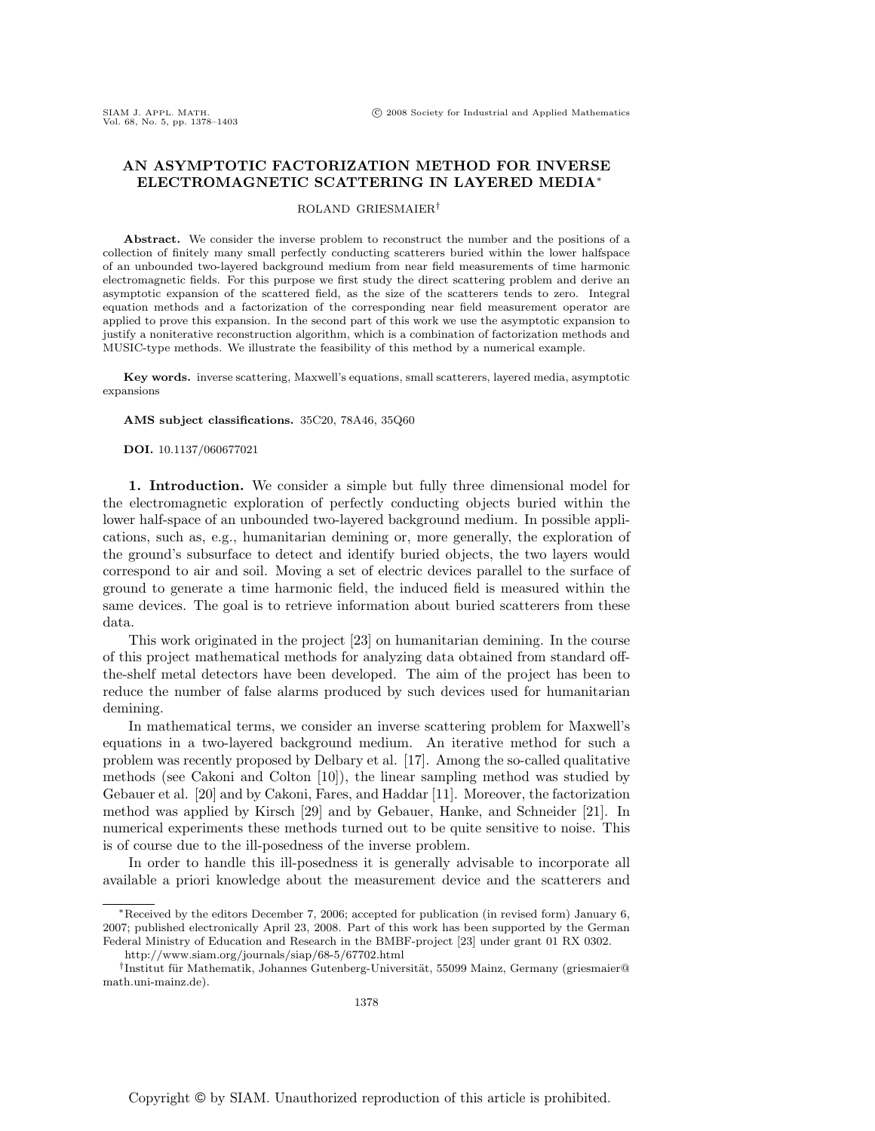# **AN ASYMPTOTIC FACTORIZATION METHOD FOR INVERSE ELECTROMAGNETIC SCATTERING IN LAYERED MEDIA**∗

### ROLAND GRIESMAIER†

**Abstract.** We consider the inverse problem to reconstruct the number and the positions of a collection of finitely many small perfectly conducting scatterers buried within the lower halfspace of an unbounded two-layered background medium from near field measurements of time harmonic electromagnetic fields. For this purpose we first study the direct scattering problem and derive an asymptotic expansion of the scattered field, as the size of the scatterers tends to zero. Integral equation methods and a factorization of the corresponding near field measurement operator are applied to prove this expansion. In the second part of this work we use the asymptotic expansion to justify a noniterative reconstruction algorithm, which is a combination of factorization methods and MUSIC-type methods. We illustrate the feasibility of this method by a numerical example.

**Key words.** inverse scattering, Maxwell's equations, small scatterers, layered media, asymptotic expansions

#### **AMS subject classifications.** 35C20, 78A46, 35Q60

**DOI.** 10.1137/060677021

**1. Introduction.** We consider a simple but fully three dimensional model for the electromagnetic exploration of perfectly conducting objects buried within the lower half-space of an unbounded two-layered background medium. In possible applications, such as, e.g., humanitarian demining or, more generally, the exploration of the ground's subsurface to detect and identify buried objects, the two layers would correspond to air and soil. Moving a set of electric devices parallel to the surface of ground to generate a time harmonic field, the induced field is measured within the same devices. The goal is to retrieve information about buried scatterers from these data.

This work originated in the project [23] on humanitarian demining. In the course of this project mathematical methods for analyzing data obtained from standard offthe-shelf metal detectors have been developed. The aim of the project has been to reduce the number of false alarms produced by such devices used for humanitarian demining.

In mathematical terms, we consider an inverse scattering problem for Maxwell's equations in a two-layered background medium. An iterative method for such a problem was recently proposed by Delbary et al. [17]. Among the so-called qualitative methods (see Cakoni and Colton [10]), the linear sampling method was studied by Gebauer et al. [20] and by Cakoni, Fares, and Haddar [11]. Moreover, the factorization method was applied by Kirsch [29] and by Gebauer, Hanke, and Schneider [21]. In numerical experiments these methods turned out to be quite sensitive to noise. This is of course due to the ill-posedness of the inverse problem.

In order to handle this ill-posedness it is generally advisable to incorporate all available a priori knowledge about the measurement device and the scatterers and

<sup>∗</sup>Received by the editors December 7, 2006; accepted for publication (in revised form) January 6, 2007; published electronically April 23, 2008. Part of this work has been supported by the German Federal Ministry of Education and Research in the BMBF-project [23] under grant 01 RX 0302.

http://www.siam.org/journals/siap/68-5/67702.html

<sup>&</sup>lt;sup>†</sup>Institut für Mathematik, Johannes Gutenberg-Universität, 55099 Mainz, Germany (griesmaier@ math.uni-mainz.de).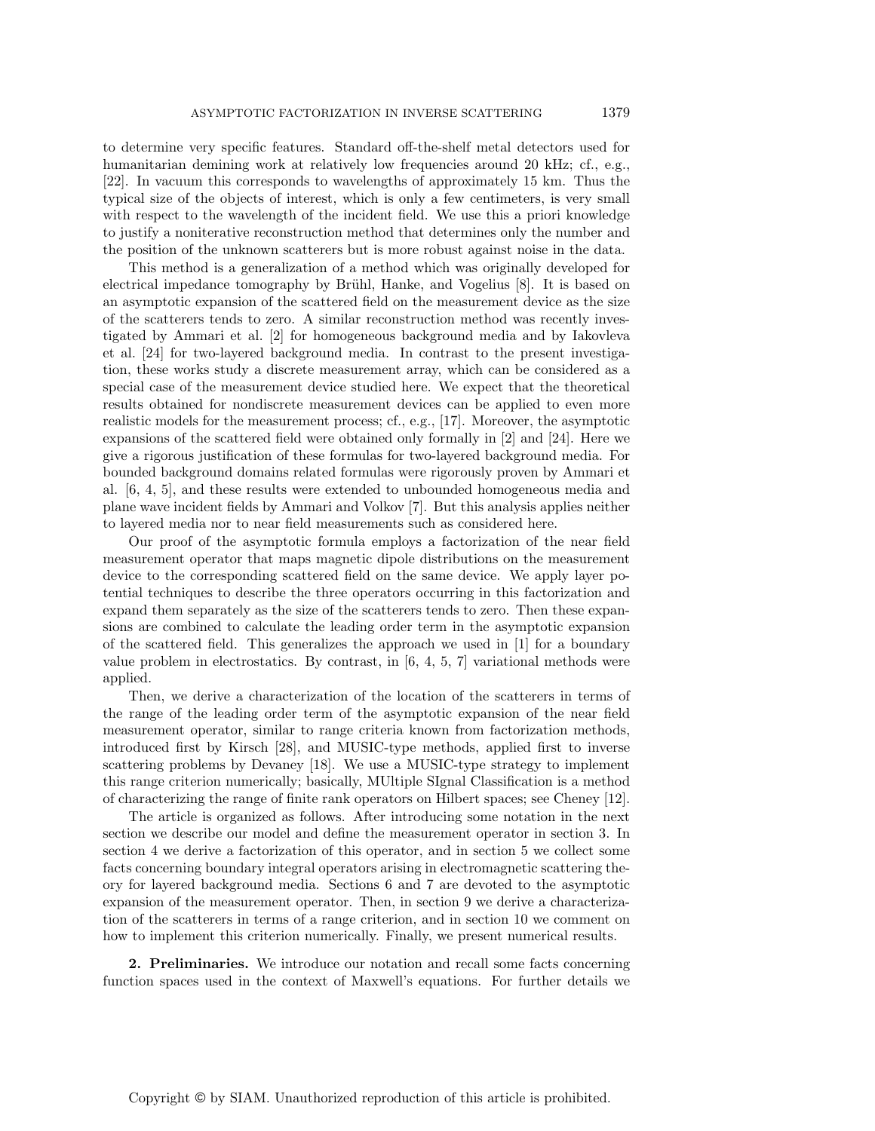to determine very specific features. Standard off-the-shelf metal detectors used for humanitarian demining work at relatively low frequencies around 20 kHz; cf., e.g., [22]. In vacuum this corresponds to wavelengths of approximately 15 km. Thus the typical size of the objects of interest, which is only a few centimeters, is very small with respect to the wavelength of the incident field. We use this a priori knowledge to justify a noniterative reconstruction method that determines only the number and the position of the unknown scatterers but is more robust against noise in the data.

This method is a generalization of a method which was originally developed for electrical impedance tomography by Brühl, Hanke, and Vogelius  $[8]$ . It is based on an asymptotic expansion of the scattered field on the measurement device as the size of the scatterers tends to zero. A similar reconstruction method was recently investigated by Ammari et al. [2] for homogeneous background media and by Iakovleva et al. [24] for two-layered background media. In contrast to the present investigation, these works study a discrete measurement array, which can be considered as a special case of the measurement device studied here. We expect that the theoretical results obtained for nondiscrete measurement devices can be applied to even more realistic models for the measurement process; cf., e.g., [17]. Moreover, the asymptotic expansions of the scattered field were obtained only formally in [2] and [24]. Here we give a rigorous justification of these formulas for two-layered background media. For bounded background domains related formulas were rigorously proven by Ammari et al. [6, 4, 5], and these results were extended to unbounded homogeneous media and plane wave incident fields by Ammari and Volkov [7]. But this analysis applies neither to layered media nor to near field measurements such as considered here.

Our proof of the asymptotic formula employs a factorization of the near field measurement operator that maps magnetic dipole distributions on the measurement device to the corresponding scattered field on the same device. We apply layer potential techniques to describe the three operators occurring in this factorization and expand them separately as the size of the scatterers tends to zero. Then these expansions are combined to calculate the leading order term in the asymptotic expansion of the scattered field. This generalizes the approach we used in [1] for a boundary value problem in electrostatics. By contrast, in  $[6, 4, 5, 7]$  variational methods were applied.

Then, we derive a characterization of the location of the scatterers in terms of the range of the leading order term of the asymptotic expansion of the near field measurement operator, similar to range criteria known from factorization methods, introduced first by Kirsch [28], and MUSIC-type methods, applied first to inverse scattering problems by Devaney [18]. We use a MUSIC-type strategy to implement this range criterion numerically; basically, MUltiple SIgnal Classification is a method of characterizing the range of finite rank operators on Hilbert spaces; see Cheney [12].

The article is organized as follows. After introducing some notation in the next section we describe our model and define the measurement operator in section 3. In section 4 we derive a factorization of this operator, and in section 5 we collect some facts concerning boundary integral operators arising in electromagnetic scattering theory for layered background media. Sections 6 and 7 are devoted to the asymptotic expansion of the measurement operator. Then, in section 9 we derive a characterization of the scatterers in terms of a range criterion, and in section 10 we comment on how to implement this criterion numerically. Finally, we present numerical results.

**2. Preliminaries.** We introduce our notation and recall some facts concerning function spaces used in the context of Maxwell's equations. For further details we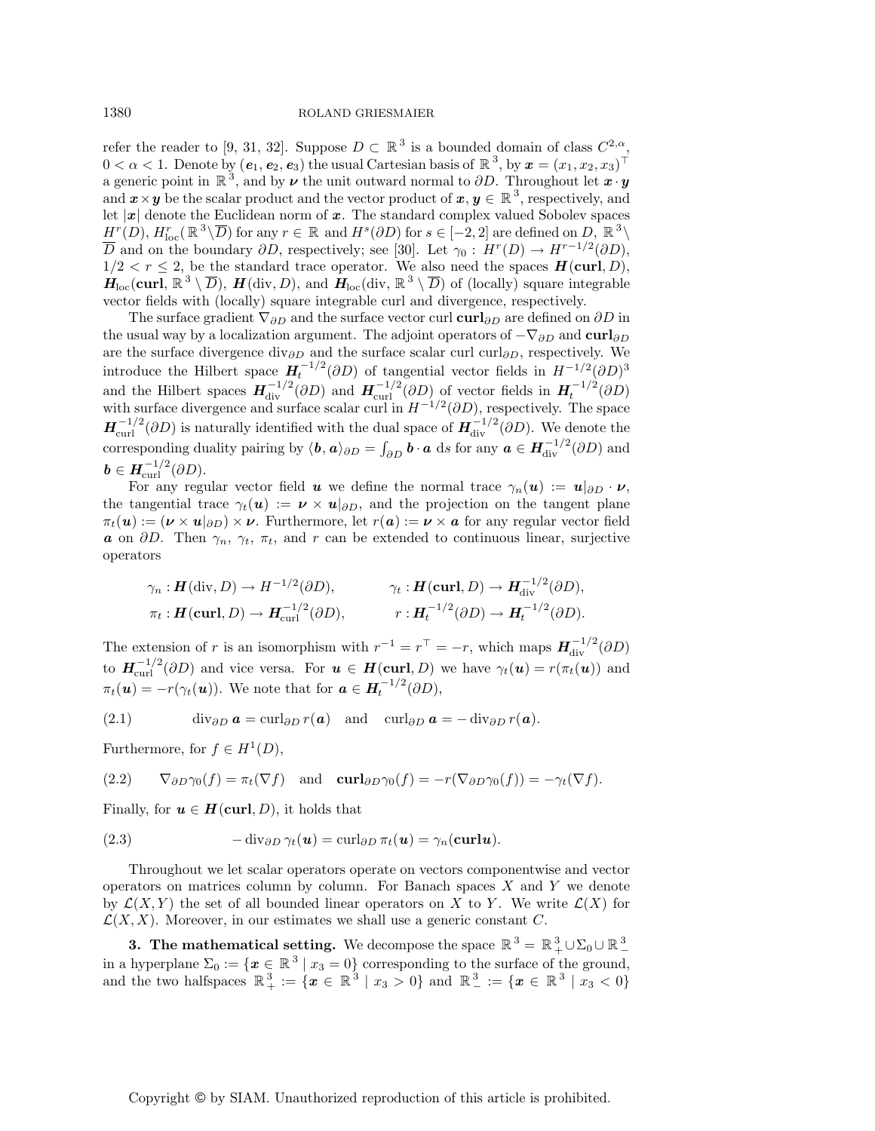1380 ROLAND GRIESMAIER

refer the reader to [9, 31, 32]. Suppose  $D \subset \mathbb{R}^3$  is a bounded domain of class  $C^{2,\alpha}$ ,  $0 < \alpha < 1$ . Denote by  $(e_1, e_2, e_3)$  the usual Cartesian basis of  $\mathbb{R}^3$ , by  $x = (x_1, x_2, x_3)^\top$ a generic point in  $\mathbb{R}^3$ , and by  $\nu$  the unit outward normal to  $\partial D$ . Throughout let  $\boldsymbol{x} \cdot \boldsymbol{y}$ and  $\mathbf{x} \times \mathbf{y}$  be the scalar product and the vector product of  $\mathbf{x}, \mathbf{y} \in \mathbb{R}^3$ , respectively, and let |*x*| denote the Euclidean norm of *x*. The standard complex valued Sobolev spaces  $H^r(D), H^r_{loc}(\mathbb{R}^3 \setminus \overline{D})$  for any  $r \in \mathbb{R}$  and  $H^s(\partial D)$  for  $s \in [-2, 2]$  are defined on  $D, \mathbb{R}^3 \setminus \overline{D}$  $\overline{D}$  and on the boundary  $\partial D$ , respectively; see [30]. Let  $\gamma_0: H^r(D) \to H^{r-1/2}(\partial D)$ ,  $1/2 < r \leq 2$ , be the standard trace operator. We also need the spaces  $H(\text{curl}, D)$ ,  $H_{\text{loc}}(\text{curl}, \mathbb{R}^3 \setminus \overline{D})$ , *H*(div, *D*), and  $H_{\text{loc}}(\text{div}, \mathbb{R}^3 \setminus \overline{D})$  of (locally) square integrable vector fields with (locally) square integrable curl and divergence, respectively.

The surface gradient  $\nabla_{\partial D}$  and the surface vector curl **curl**<sub>∂D</sub> are defined on ∂D in the usual way by a localization argument. The adjoint operators of  $-\nabla_{\partial D}$  and **curl** $_{\partial D}$ are the surface divergence div<sub>∂D</sub> and the surface scalar curl curl<sub>∂D</sub>, respectively. We introduce the Hilbert space  $H_t^{-1/2}(\partial D)$  of tangential vector fields in  $H^{-1/2}(\partial D)^3$ and the Hilbert spaces  $H_{\text{div}}^{-1/2}(\partial D)$  and  $H_{\text{curl}}^{-1/2}(\partial D)$  of vector fields in  $H_t^{-1/2}(\partial D)$ with surface divergence and surface scalar curl in  $H^{-1/2}(\partial D)$ , respectively. The space  $H^{-1/2}_{\text{curl}}(\partial D)$  is naturally identified with the dual space of  $H^{-1/2}_{\text{div}}(\partial D)$ . We denote the corresponding duality pairing by  $\langle b, a \rangle_{\partial D} = \int_{\partial D} b \cdot a$  ds for any  $a \in H^{-1/2}_{\text{div}}(\partial D)$  and  $\boldsymbol{b} \in \boldsymbol{H}^{-1/2}_{\text{curl}}(\partial D).$ 

For any regular vector field *u* we define the normal trace  $\gamma_n(\boldsymbol{u}) := \boldsymbol{u}|_{\partial D} \cdot \boldsymbol{\nu}$ , the tangential trace  $\gamma_t(\mathbf{u}) := \mathbf{v} \times \mathbf{u}|_{\partial D}$ , and the projection on the tangent plane  $\pi_t(\mathbf{u}) := (\mathbf{v} \times \mathbf{u}|_{\partial D}) \times \mathbf{v}$ . Furthermore, let  $r(\mathbf{a}) := \mathbf{v} \times \mathbf{a}$  for any regular vector field *a* on  $\partial D$ . Then  $\gamma_n$ ,  $\gamma_t$ ,  $\pi_t$ , and r can be extended to continuous linear, surjective operators

$$
\gamma_n: \boldsymbol{H}(\text{div}, D) \to H^{-1/2}(\partial D), \qquad \gamma_t: \boldsymbol{H}(\text{curl}, D) \to \boldsymbol{H}_{\text{div}}^{-1/2}(\partial D),
$$

$$
\pi_t: \boldsymbol{H}(\text{curl}, D) \to \boldsymbol{H}_{\text{curl}}^{-1/2}(\partial D), \qquad r: \boldsymbol{H}_t^{-1/2}(\partial D) \to \boldsymbol{H}_t^{-1/2}(\partial D).
$$

The extension of r is an isomorphism with  $r^{-1} = r^{\top} = -r$ , which maps  $H_{div}^{-1/2}(\partial D)$ to  $H_{\text{curl}}^{-1/2}(\partial D)$  and vice versa. For  $u \in H(\text{curl}, D)$  we have  $\gamma_t(u) = r(\pi_t(u))$  and  $\pi_t(\mathbf{u}) = -r(\gamma_t(\mathbf{u}))$ . We note that for  $\mathbf{a} \in \mathbf{H}_t^{-1/2}(\partial D)$ ,

(2.1) 
$$
\operatorname{div}_{\partial D} \mathbf{a} = \operatorname{curl}_{\partial D} r(\mathbf{a}) \quad \text{and} \quad \operatorname{curl}_{\partial D} \mathbf{a} = -\operatorname{div}_{\partial D} r(\mathbf{a}).
$$

Furthermore, for  $f \in H^1(D)$ ,

(2.2) 
$$
\nabla_{\partial D} \gamma_0(f) = \pi_t(\nabla f) \quad \text{and} \quad \mathbf{curl}_{\partial D} \gamma_0(f) = -r(\nabla_{\partial D} \gamma_0(f)) = -\gamma_t(\nabla f).
$$

Finally, for  $u \in H(\text{curl}, D)$ , it holds that

(2.3) 
$$
-\operatorname{div}_{\partial D} \gamma_t(\mathbf{u}) = \operatorname{curl}_{\partial D} \pi_t(\mathbf{u}) = \gamma_n(\mathbf{curl}\mathbf{u}).
$$

Throughout we let scalar operators operate on vectors componentwise and vector operators on matrices column by column. For Banach spaces  $X$  and  $Y$  we denote by  $\mathcal{L}(X, Y)$  the set of all bounded linear operators on X to Y. We write  $\mathcal{L}(X)$  for  $\mathcal{L}(X, X)$ . Moreover, in our estimates we shall use a generic constant C.

**3.** The mathematical setting. We decompose the space  $\mathbb{R}^3 = \mathbb{R}^3_+ \cup \Sigma_0 \cup \mathbb{R}^3_$ in a hyperplane  $\Sigma_0 := \{x \in \mathbb{R}^3 \mid x_3 = 0\}$  corresponding to the surface of the ground, and the two halfspaces  $\mathbb{R}^3_+ := \{x \in \mathbb{R}^3 \mid x_3 > 0\}$  and  $\mathbb{R}^3_- := \{x \in \mathbb{R}^3 \mid x_3 < 0\}$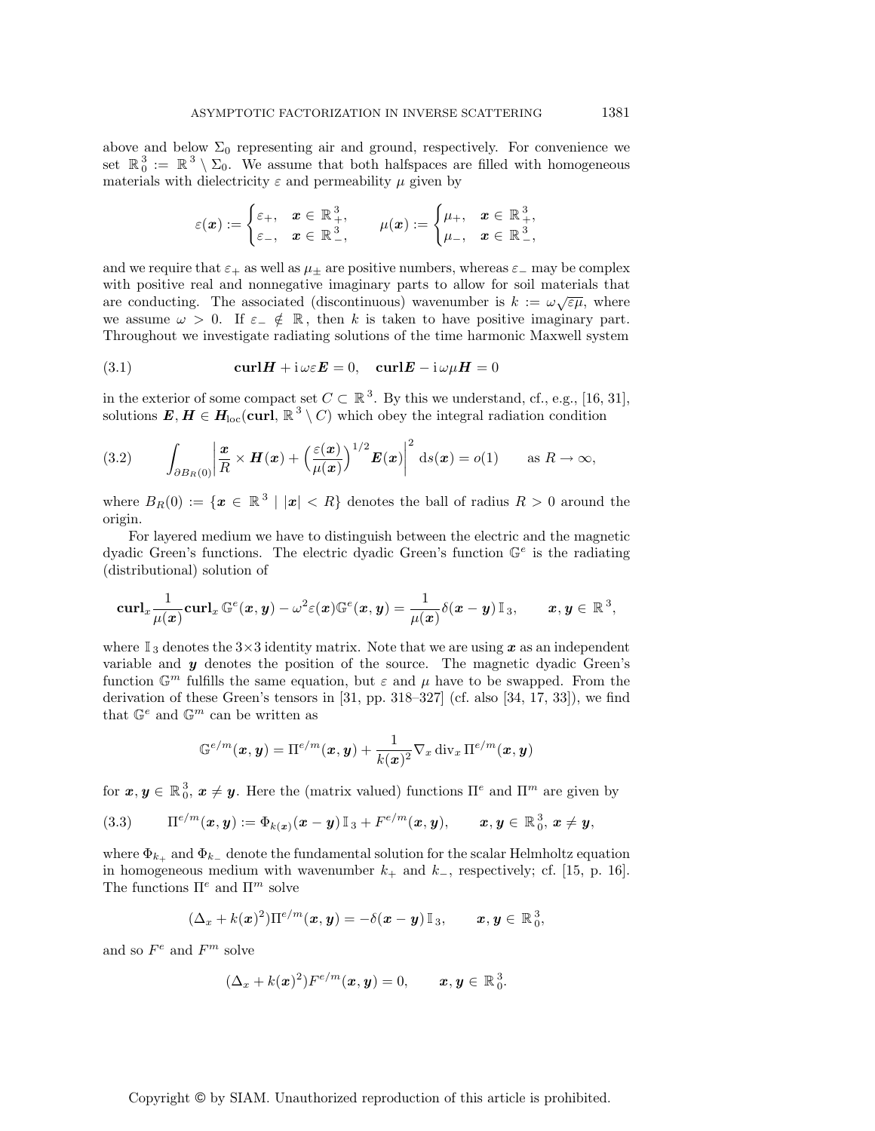above and below  $\Sigma_0$  representing air and ground, respectively. For convenience we set  $\mathbb{R}^3_0 := \mathbb{R}^3 \setminus \Sigma_0$ . We assume that both halfspaces are filled with homogeneous materials with dielectricity  $\varepsilon$  and permeability  $\mu$  given by

$$
\varepsilon(\boldsymbol{x}) := \begin{cases} \varepsilon_+, & \boldsymbol{x} \in \mathbb{R}^3_+, \\ \varepsilon_-, & \boldsymbol{x} \in \mathbb{R}^3_-, \end{cases} \qquad \mu(\boldsymbol{x}) := \begin{cases} \mu_+, & \boldsymbol{x} \in \mathbb{R}^3_+, \\ \mu_-, & \boldsymbol{x} \in \mathbb{R}^3_-, \end{cases}
$$

and we require that  $\varepsilon_+$  as well as  $\mu_+$  are positive numbers, whereas  $\varepsilon_-$  may be complex with positive real and nonnegative imaginary parts to allow for soil materials that are conducting. The associated (discontinuous) wavenumber is  $k := \omega \sqrt{\varepsilon \mu}$ , where we assume  $\omega > 0$ . If  $\varepsilon_{-} \notin \mathbb{R}$ , then k is taken to have positive imaginary part. Throughout we investigate radiating solutions of the time harmonic Maxwell system

(3.1) 
$$
\mathbf{curl}\mathbf{H} + \mathbf{i}\,\omega\varepsilon\mathbf{E} = 0, \quad \mathbf{curl}\mathbf{E} - \mathbf{i}\,\omega\mu\mathbf{H} = 0
$$

in the exterior of some compact set  $C \subset \mathbb{R}^3$ . By this we understand, cf., e.g., [16, 31], solutions  $E, H \in H_{loc}(\text{curl}, \mathbb{R}^3 \setminus C)$  which obey the integral radiation condition

(3.2) 
$$
\int_{\partial B_R(0)} \left| \frac{\mathbf{x}}{R} \times \mathbf{H}(\mathbf{x}) + \left( \frac{\varepsilon(\mathbf{x})}{\mu(\mathbf{x})} \right)^{1/2} \mathbf{E}(\mathbf{x}) \right|^2 ds(\mathbf{x}) = o(1) \quad \text{as } R \to \infty,
$$

where  $B_R(0) := \{x \in \mathbb{R}^3 \mid |x| < R\}$  denotes the ball of radius  $R > 0$  around the origin.

For layered medium we have to distinguish between the electric and the magnetic dyadic Green's functions. The electric dyadic Green's function  $\mathbb{G}^e$  is the radiating (distributional) solution of

$$
{\rm curl}_x \frac{1}{\mu(\boldsymbol{x})} {\rm curl}_x\, \mathbb{G}^e(\boldsymbol{x}, \boldsymbol{y}) - \omega^2 \varepsilon(\boldsymbol{x}) \mathbb{G}^e(\boldsymbol{x}, \boldsymbol{y}) = \frac{1}{\mu(\boldsymbol{x})} \delta(\boldsymbol{x}-\boldsymbol{y}) \, \mathbb{I}_3, \qquad \boldsymbol{x}, \boldsymbol{y} \in \mathbb{R}^3,
$$

where  $\mathbb{I}_3$  denotes the  $3\times3$  identity matrix. Note that we are using x as an independent variable and *y* denotes the position of the source. The magnetic dyadic Green's function  $\mathbb{G}^m$  fulfills the same equation, but  $\varepsilon$  and  $\mu$  have to be swapped. From the derivation of these Green's tensors in [31, pp. 318–327] (cf. also [34, 17, 33]), we find that  $\mathbb{G}^e$  and  $\mathbb{G}^m$  can be written as

$$
\mathbb{G}^{e/m}(\boldsymbol{x},\boldsymbol{y})=\Pi^{e/m}(\boldsymbol{x},\boldsymbol{y})+\frac{1}{k(\boldsymbol{x})^2}\nabla_x\operatorname{div}_x\Pi^{e/m}(\boldsymbol{x},\boldsymbol{y})
$$

for  $x, y \in \mathbb{R}^3_0$ ,  $x \neq y$ . Here the (matrix valued) functions  $\Pi^e$  and  $\Pi^m$  are given by

$$
(3.3) \qquad \Pi^{e/m}(\boldsymbol{x},\boldsymbol{y}) := \Phi_{k(\boldsymbol{x})}(\boldsymbol{x}-\boldsymbol{y})\mathbb{I}_3 + F^{e/m}(\boldsymbol{x},\boldsymbol{y}), \qquad \boldsymbol{x},\boldsymbol{y} \in \mathbb{R}_0^3, \boldsymbol{x} \neq \boldsymbol{y},
$$

where  $\Phi_{k_+}$  and  $\Phi_{k_-}$  denote the fundamental solution for the scalar Helmholtz equation in homogeneous medium with wavenumber  $k_+$  and  $k_-,$  respectively; cf. [15, p. 16]. The functions  $\Pi^e$  and  $\Pi^m$  solve

$$
(\Delta_x + k(\boldsymbol{x})^2) \Pi^{e/m}(\boldsymbol{x}, \boldsymbol{y}) = -\delta(\boldsymbol{x} - \boldsymbol{y}) \mathbb{I}_3, \qquad \boldsymbol{x}, \boldsymbol{y} \in \mathbb{R}_0^3,
$$

and so  $F^e$  and  $F^m$  solve

$$
(\Delta_x + k(\boldsymbol{x})^2) F^{e/m}(\boldsymbol{x}, \boldsymbol{y}) = 0, \qquad \boldsymbol{x}, \boldsymbol{y} \in \mathbb{R}_0^3.
$$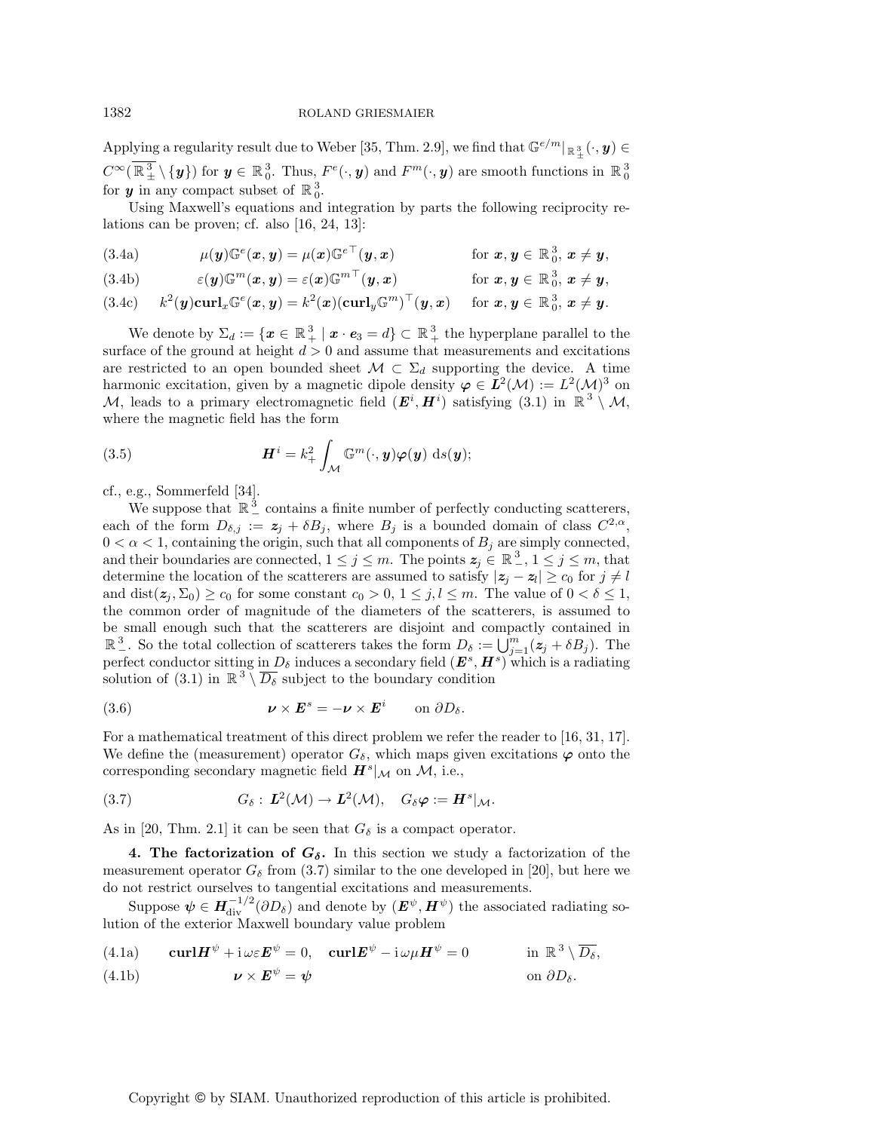Applying a regularity result due to Weber [35, Thm. 2.9], we find that  $\mathbb{G}^{e/m}|_{\mathbb{R}^3_\pm}(\cdot, y) \in$  $C^{\infty}(\mathbb{R}^3_{\pm} \setminus \{y\})$  for  $y \in \mathbb{R}^3_0$ . Thus,  $F^e(\cdot, y)$  and  $F^m(\cdot, y)$  are smooth functions in  $\mathbb{R}^3_0$ for  $y$  in any compact subset of  $\mathbb{R}^3_0$ .

Using Maxwell's equations and integration by parts the following reciprocity relations can be proven; cf. also [16, 24, 13]:

(3.4a) 
$$
\mu(\mathbf{y})\mathbb{G}^e(\mathbf{x},\mathbf{y})=\mu(\mathbf{x})\mathbb{G}^{e\top}(\mathbf{y},\mathbf{x}) \qquad \text{for } \mathbf{x},\mathbf{y} \in \mathbb{R}_0^3, \mathbf{x} \neq \mathbf{y},
$$

(3.4b) 
$$
\varepsilon(\boldsymbol{y})\mathbb{G}^m(\boldsymbol{x},\boldsymbol{y})=\varepsilon(\boldsymbol{x})\mathbb{G}^{m\top}(\boldsymbol{y},\boldsymbol{x}) \qquad \text{for } \boldsymbol{x},\boldsymbol{y}\in\mathbb{R}_0^3, \boldsymbol{x}\neq\boldsymbol{y},
$$

$$
(3.4c)\qquad k^2(\mathbf{y})\mathbf{curl}_x\mathbb{G}^e(\mathbf{x},\mathbf{y})=k^2(\mathbf{x})(\mathbf{curl}_y\mathbb{G}^m)^{\top}(\mathbf{y},\mathbf{x})\qquad \text{for } \mathbf{x},\mathbf{y}\in\mathbb{R}_0^3, \mathbf{x}\neq \mathbf{y}.
$$

We denote by  $\Sigma_d := \{ \pmb{x} \in \mathbb{R}_+^3 \mid \pmb{x} \cdot \pmb{e}_3 = d \} \subset \mathbb{R}_+^3$  the hyperplane parallel to the surface of the ground at height  $d > 0$  and assume that measurements and excitations are restricted to an open bounded sheet  $\mathcal{M} \subset \Sigma_d$  supporting the device. A time harmonic excitation, given by a magnetic dipole density  $\varphi \in L^2(\mathcal{M}) := L^2(\mathcal{M})^3$  on M, leads to a primary electromagnetic field  $(E^i, H^i)$  satisfying (3.1) in  $\mathbb{R}^3 \setminus \mathcal{M}$ , where the magnetic field has the form

(3.5) 
$$
\boldsymbol{H}^{i} = k_{+}^{2} \int_{\mathcal{M}} \mathbb{G}^{m}(\cdot, \boldsymbol{y}) \boldsymbol{\varphi}(\boldsymbol{y}) \, \mathrm{d}s(\boldsymbol{y});
$$

cf., e.g., Sommerfeld [34].

We suppose that  $\mathbb{R}^3$  contains a finite number of perfectly conducting scatterers, each of the form  $D_{\delta,j} := z_j + \delta B_j$ , where  $B_j$  is a bounded domain of class  $C^{2,\alpha}$ ,  $0 < \alpha < 1$ , containing the origin, such that all components of  $B_j$  are simply connected, and their boundaries are connected,  $1 \leq j \leq m$ . The points  $z_j \in \mathbb{R}^3$ ,  $1 \leq j \leq m$ , that determine the location of the scatterers are assumed to satisfy  $|z_j - z_l| \ge c_0$  for  $j \ne l$ and  $dist(z_i, \Sigma_0) \ge c_0$  for some constant  $c_0 > 0$ ,  $1 \le j, l \le m$ . The value of  $0 < \delta \le 1$ , the common order of magnitude of the diameters of the scatterers, is assumed to be small enough such that the scatterers are disjoint and compactly contained in  $\mathbb{R}^3$ . So the total collection of scatterers takes the form  $D_{\delta} := \bigcup_{j=1}^m (z_j + \delta B_j)$ . The perfect conductor sitting in  $D_{\delta}$  induces a secondary field  $(E^{s}, H^{s})$  which is a radiating solution of (3.1) in  $\mathbb{R}^3 \setminus \overline{D_\delta}$  subject to the boundary condition

(3.6) 
$$
\boldsymbol{\nu} \times \boldsymbol{E}^s = -\boldsymbol{\nu} \times \boldsymbol{E}^i \qquad \text{on } \partial D_{\delta}.
$$

For a mathematical treatment of this direct problem we refer the reader to [16, 31, 17]. We define the (measurement) operator  $G_{\delta}$ , which maps given excitations  $\varphi$  onto the corresponding secondary magnetic field  $H^s|_{\mathcal{M}}$  on  $\mathcal{M}$ , i.e.,

(3.7) 
$$
G_{\delta}: \mathbf{L}^{2}(\mathcal{M}) \to \mathbf{L}^{2}(\mathcal{M}), \quad G_{\delta} \varphi := \mathbf{H}^{s}|_{\mathcal{M}}.
$$

As in [20, Thm. 2.1] it can be seen that  $G_{\delta}$  is a compact operator.

**4. The factorization of**  $G_{\delta}$ **.** In this section we study a factorization of the measurement operator  $G_{\delta}$  from (3.7) similar to the one developed in [20], but here we do not restrict ourselves to tangential excitations and measurements.

Suppose  $\psi \in H^{-1/2}_{\text{div}}(\partial D_\delta)$  and denote by  $(E^{\psi}, H^{\psi})$  the associated radiating solution of the exterior Maxwell boundary value problem

(4.1a) 
$$
\operatorname{curl} \boldsymbol{H}^{\psi} + \mathrm{i} \omega \varepsilon \boldsymbol{E}^{\psi} = 0
$$
,  $\operatorname{curl} \boldsymbol{E}^{\psi} - \mathrm{i} \omega \mu \boldsymbol{H}^{\psi} = 0$  in  $\mathbb{R}^{3} \setminus \overline{D_{\delta}}$ ,  
(4.1b)  $\boldsymbol{\nu} \times \boldsymbol{E}^{\psi} = \boldsymbol{\psi}$  on  $\partial D_{\delta}$ .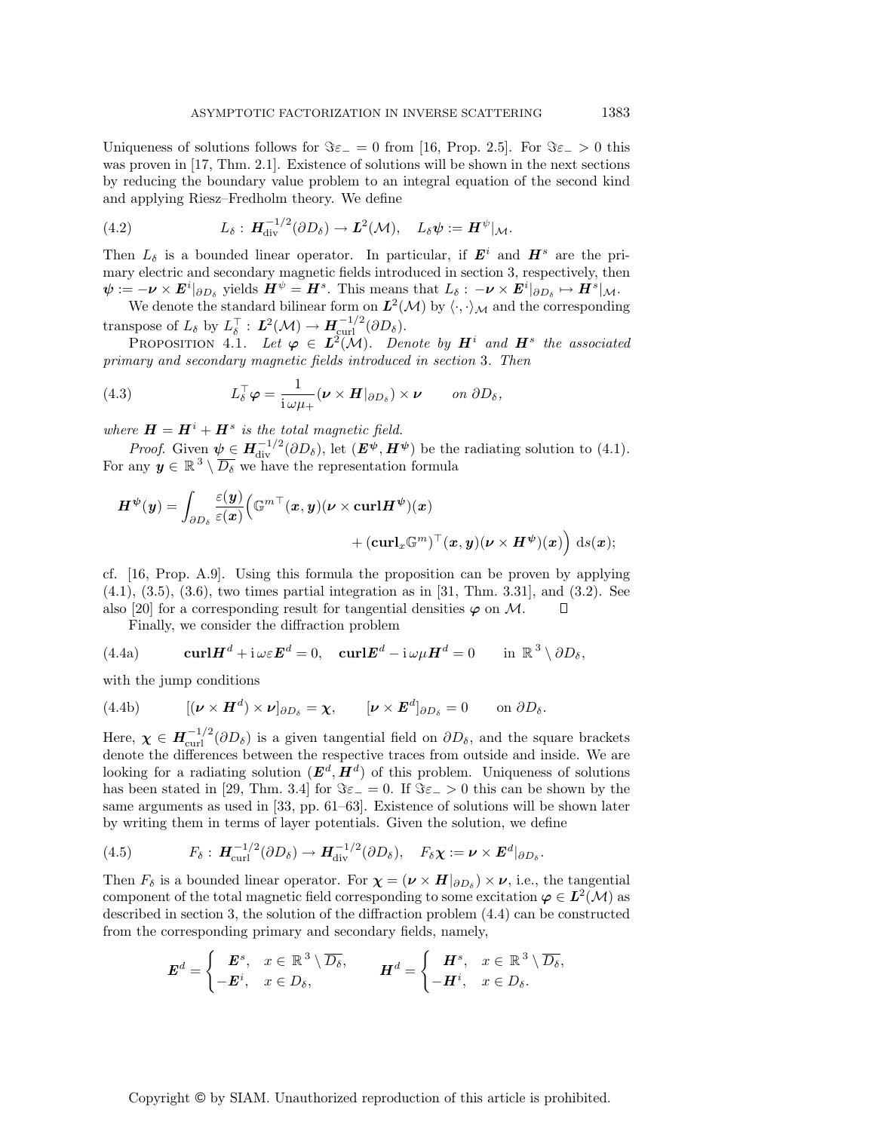Uniqueness of solutions follows for  $\Im \varepsilon_-=0$  from [16, Prop. 2.5]. For  $\Im \varepsilon_->0$  this was proven in [17, Thm. 2.1]. Existence of solutions will be shown in the next sections by reducing the boundary value problem to an integral equation of the second kind and applying Riesz–Fredholm theory. We define

(4.2) 
$$
L_{\delta}: \boldsymbol{H}_{\mathrm{div}}^{-1/2}(\partial D_{\delta}) \to \boldsymbol{L}^{2}(\mathcal{M}), \quad L_{\delta} \psi := \boldsymbol{H}^{\psi}|_{\mathcal{M}}.
$$

Then  $L_{\delta}$  is a bounded linear operator. In particular, if  $\mathbf{E}^{i}$  and  $\mathbf{H}^{s}$  are the primary electric and secondary magnetic fields introduced in section 3, respectively, then  $\psi := -\nu \times E^i|_{\partial D_\delta}$  yields  $H^\psi = H^s$ . This means that  $L_\delta : -\nu \times E^i|_{\partial D_\delta} \mapsto H^s|_{\mathcal{M}}$ .

We denote the standard bilinear form on  $L^2(\mathcal{M})$  by  $\langle \cdot, \cdot \rangle_{\mathcal{M}}$  and the corresponding transpose of  $L_{\delta}$  by  $L_{\delta}^{\top}$  :  $\mathbf{\mathit{L}}^{2}(\mathcal{M}) \rightarrow \mathbf{\mathit{H}}_{\text{curl}}^{-1/2}(\partial D_{\delta}).$ 

PROPOSITION 4.1. Let  $\varphi \in L^2(M)$ . Denote by  $H^i$  and  $H^s$  the associated primary and secondary magnetic fields introduced in section 3. Then

(4.3) 
$$
L_{\delta}^{\top} \varphi = \frac{1}{i \omega \mu_+} (\nu \times H|_{\partial D_{\delta}}) \times \nu \quad on \ \partial D_{\delta},
$$

where  $\mathbf{H} = \mathbf{H}^i + \mathbf{H}^s$  is the total magnetic field.

*Proof.* Given  $\psi \in H^{-1/2}_{\text{div}}(\partial D_{\delta})$ , let  $(E^{\psi}, H^{\psi})$  be the radiating solution to (4.1). For any  $y \in \mathbb{R}^3 \setminus \overline{D_{\delta}}$  we have the representation formula

$$
\begin{aligned} \boldsymbol{H}^{\psi}(\boldsymbol{y}) &= \int_{\partial D_{\delta}} \frac{\varepsilon(\boldsymbol{y})}{\varepsilon(\boldsymbol{x})} \Big( \mathbb{G}^{m\top}(\boldsymbol{x}, \boldsymbol{y}) (\boldsymbol{\nu} \times \boldsymbol{\mathrm{curl}} \boldsymbol{H}^{\psi})(\boldsymbol{x}) \\ &+ (\boldsymbol{\mathrm{curl}}_{\boldsymbol{x}} \mathbb{G}^{m})^{\top}(\boldsymbol{x}, \boldsymbol{y}) (\boldsymbol{\nu} \times \boldsymbol{H}^{\psi})(\boldsymbol{x}) \Big) \mathrm{~d} s(\boldsymbol{x}); \end{aligned}
$$

cf. [16, Prop. A.9]. Using this formula the proposition can be proven by applying  $(4.1), (3.5), (3.6),$  two times partial integration as in [31, Thm. 3.31], and  $(3.2)$ . See also [20] for a corresponding result for tangential densities  $\varphi$  on M.  $\Box$ 

Finally, we consider the diffraction problem

(4.4a) 
$$
\mathbf{curl}\mathbf{H}^d + \mathbf{i}\,\omega\varepsilon\mathbf{E}^d = 0, \quad \mathbf{curl}\mathbf{E}^d - \mathbf{i}\,\omega\mu\mathbf{H}^d = 0 \quad \text{in } \mathbb{R}^3 \setminus \partial D_\delta,
$$

with the jump conditions

(4.4b) 
$$
[(\boldsymbol{\nu}\times\boldsymbol{H}^d)\times\boldsymbol{\nu}]_{\partial D_{\delta}}=\boldsymbol{\chi}, \qquad [\boldsymbol{\nu}\times\boldsymbol{E}^d]_{\partial D_{\delta}}=0 \qquad \text{on } \partial D_{\delta}.
$$

Here,  $\chi \in H^{-1/2}_{\text{curl}}(\partial D_\delta)$  is a given tangential field on  $\partial D_\delta$ , and the square brackets denote the differences between the respective traces from outside and inside. We are looking for a radiating solution  $(E^d, H^d)$  of this problem. Uniqueness of solutions has been stated in [29, Thm. 3.4] for  $\Im \varepsilon_0 = 0$ . If  $\Im \varepsilon_0 > 0$  this can be shown by the same arguments as used in [33, pp. 61–63]. Existence of solutions will be shown later by writing them in terms of layer potentials. Given the solution, we define

(4.5) 
$$
F_{\delta}: \mathbf{H}_{\mathrm{curl}}^{-1/2}(\partial D_{\delta}) \to \mathbf{H}_{\mathrm{div}}^{-1/2}(\partial D_{\delta}), \quad F_{\delta} \chi := \nu \times \mathbf{E}^{d}|_{\partial D_{\delta}}.
$$

Then  $F_{\delta}$  is a bounded linear operator. For  $\chi = (\nu \times H|_{\partial D_{\delta}}) \times \nu$ , i.e., the tangential component of the total magnetic field corresponding to some excitation  $\varphi \in L^2(\mathcal{M})$  as described in section 3, the solution of the diffraction problem (4.4) can be constructed from the corresponding primary and secondary fields, namely,

$$
\boldsymbol{E}^d = \begin{cases} \boldsymbol{E}^s, & x \in \mathbb{R}^3 \setminus \overline{D_\delta}, \\ -\boldsymbol{E}^i, & x \in D_\delta, \end{cases} \qquad \boldsymbol{H}^d = \begin{cases} \boldsymbol{H}^s, & x \in \mathbb{R}^3 \setminus \overline{D_\delta}, \\ -\boldsymbol{H}^i, & x \in D_\delta. \end{cases}
$$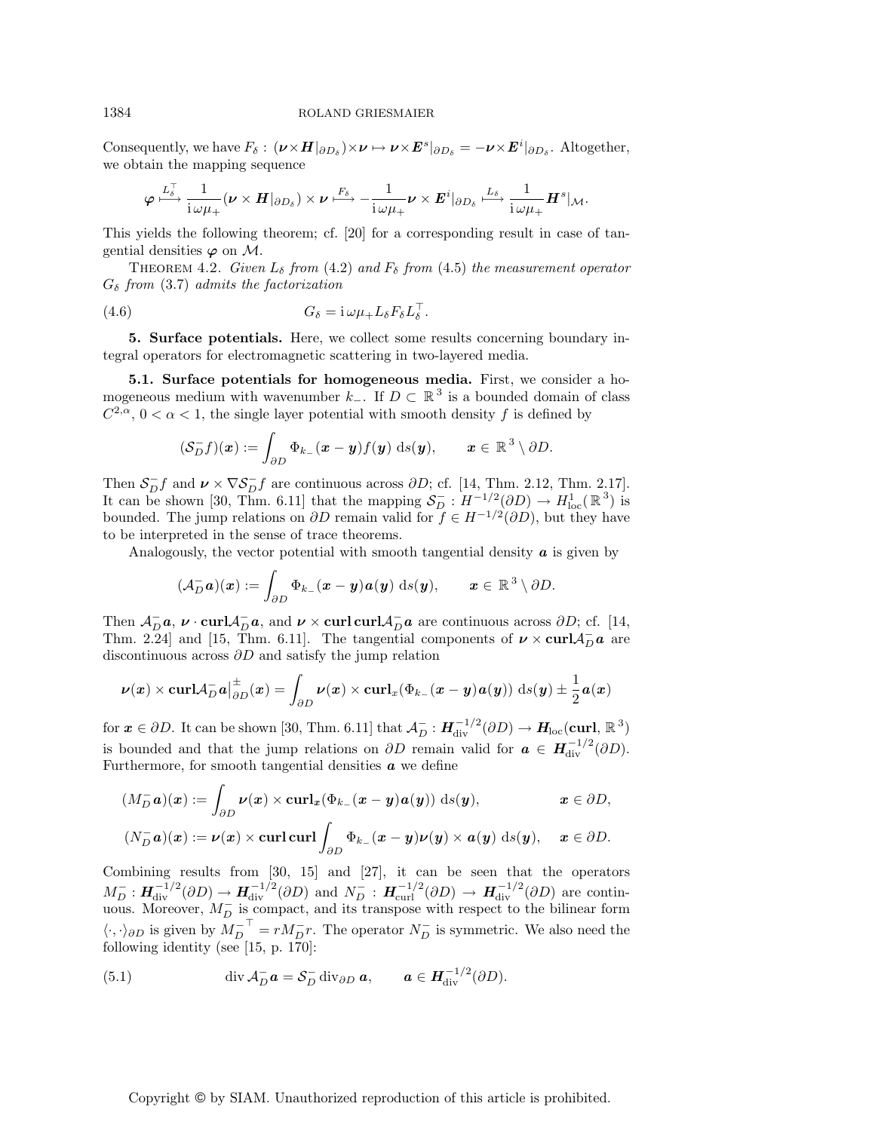### 1384 ROLAND GRIESMAIER

Consequently, we have  $F_{\delta}$  :  $(\boldsymbol{\nu} \times \boldsymbol{H}|_{\partial D_{\delta}}) \times \boldsymbol{\nu} \mapsto \boldsymbol{\nu} \times \boldsymbol{E}^{s}|_{\partial D_{\delta}} = -\boldsymbol{\nu} \times \boldsymbol{E}^{i}|_{\partial D_{\delta}}$ . Altogether, we obtain the mapping sequence

$$
\varphi \overset{L_{\delta}^{\top}}{\longmapsto} \frac{1}{\mathrm{i} \omega \mu_+} (\boldsymbol{\nu} \times \boldsymbol{H}|_{\partial D_{\delta}}) \times \boldsymbol{\nu} \overset{F_{\delta}}{\longmapsto} - \frac{1}{\mathrm{i} \omega \mu_+} \boldsymbol{\nu} \times \boldsymbol{E}^{i}|_{\partial D_{\delta}} \overset{L_{\delta}}{\longmapsto} \frac{1}{\mathrm{i} \omega \mu_+} \boldsymbol{H}^{s}|_{\mathcal{M}}.
$$

This yields the following theorem; cf. [20] for a corresponding result in case of tangential densities  $\varphi$  on M.

THEOREM 4.2. Given  $L_{\delta}$  from (4.2) and  $F_{\delta}$  from (4.5) the measurement operator  $G_{\delta}$  from (3.7) admits the factorization

$$
(4.6) \tG_{\delta} = i \omega \mu_{+} L_{\delta} F_{\delta} L_{\delta}^{\top}.
$$

**5. Surface potentials.** Here, we collect some results concerning boundary integral operators for electromagnetic scattering in two-layered media.

**5.1. Surface potentials for homogeneous media.** First, we consider a homogeneous medium with wavenumber  $k_$ . If  $D \subset \mathbb{R}^3$  is a bounded domain of class  $C^{2,\alpha}$ ,  $0 < \alpha < 1$ , the single layer potential with smooth density f is defined by

$$
(\mathcal{S}_D^- f)(\boldsymbol{x}) := \int_{\partial D} \Phi_{k-}(\boldsymbol{x} - \boldsymbol{y}) f(\boldsymbol{y}) \, ds(\boldsymbol{y}), \qquad \boldsymbol{x} \in \mathbb{R}^3 \setminus \partial D.
$$

Then  $S_D^- f$  and  $\nu \times \nabla S_D^- f$  are continuous across  $\partial D$ ; cf. [14, Thm. 2.12, Thm. 2.17]. It can be shown [30, Thm. 6.11] that the mapping  $S_D^- : H^{-1/2}(\partial D) \to H^1_{loc}(\mathbb{R}^3)$  is bounded. The jump relations on  $\partial D$  remain valid for  $f \in H^{-1/2}(\partial D)$ , but they have to be interpreted in the sense of trace theorems.

Analogously, the vector potential with smooth tangential density *a* is given by

$$
(\mathcal{A}_D^- \boldsymbol{a})(\boldsymbol{x}) := \int_{\partial D} \Phi_{k-}(\boldsymbol{x} - \boldsymbol{y}) \boldsymbol{a}(\boldsymbol{y}) \, \mathrm{d} s(\boldsymbol{y}), \qquad \boldsymbol{x} \in \mathbb{R}^3 \setminus \partial D.
$$

Then  $\mathcal{A}_D^-$ *a*,  $\nu \cdot \text{curl} \mathcal{A}_D^-$ *a*, and  $\nu \times \text{curl} \text{curl} \mathcal{A}_D^-$ *a* are continuous across  $\partial D$ ; cf. [14, Thm. 2.24] and [15, Thm. 6.11]. The tangential components of  $\nu \times \text{curl} \mathcal{A}_D^- \mathbf{a}$  are discontinuous across  $\partial D$  and satisfy the jump relation

$$
\boldsymbol{\nu}(\boldsymbol{x})\times\text{curl}\mathcal{A}_D^-\boldsymbol{a}\big|_{\partial D}^{\pm}(\boldsymbol{x})=\int_{\partial D}\boldsymbol{\nu}(\boldsymbol{x})\times\text{curl}_x(\Phi_{k_-}(\boldsymbol{x}-\boldsymbol{y})\boldsymbol{a}(\boldsymbol{y}))\,\,\mathrm{d}s(\boldsymbol{y})\pm\frac{1}{2}\boldsymbol{a}(\boldsymbol{x})
$$

for  $x \in \partial D$ . It can be shown [30, Thm. 6.11] that  $\mathcal{A}_D^- : H^{-1/2}_{\text{div}}(\partial D) \to H_{\text{loc}}(\text{curl}, \mathbb{R}^3)$ is bounded and that the jump relations on  $\partial D$  remain valid for  $\boldsymbol{a} \in H^{-1/2}_{div}(\partial D)$ . Furthermore, for smooth tangential densities *a* we define

$$
(M_D^- \mathbf{a})(\mathbf{x}) := \int_{\partial D} \nu(\mathbf{x}) \times \operatorname{curl}_{\mathbf{x}} (\Phi_{k_-}(\mathbf{x} - \mathbf{y})\mathbf{a}(\mathbf{y})) \, \mathrm{d}s(\mathbf{y}), \qquad \mathbf{x} \in \partial D,
$$

$$
(N_D^- \mathbf{a})(\mathbf{x}) := \nu(\mathbf{x}) \times \mathbf{curl} \mathbf{curl} \int_{\partial D} \Phi_{k_-}(\mathbf{x} - \mathbf{y}) \nu(\mathbf{y}) \times \mathbf{a}(\mathbf{y}) \, ds(\mathbf{y}), \quad \mathbf{x} \in \partial D.
$$

Combining results from [30, 15] and [27], it can be seen that the operators  $M_D^-: H_{div}^{-1/2}(\partial D) \to H_{div}^{-1/2}(\partial D)$  and  $N_D^-: H_{curl}^{-1/2}(\partial D) \to H_{div}^{-1/2}(\partial D)$  are continuous. Moreover,  $M_D^-$  is compact, and its transpose with respect to the bilinear form  $\langle \cdot, \cdot \rangle_{\partial D}$  is given by  $M_D^{-^{-1}} = r M_D^- r$ . The operator  $N_D^-$  is symmetric. We also need the following identity (see [15, p. 170]:

(5.1) 
$$
\operatorname{div} \mathcal{A}_D^- \mathbf{a} = \mathcal{S}_D^- \operatorname{div}_{\partial D} \mathbf{a}, \qquad \mathbf{a} \in \mathbf{H}_{\operatorname{div}}^{-1/2}(\partial D).
$$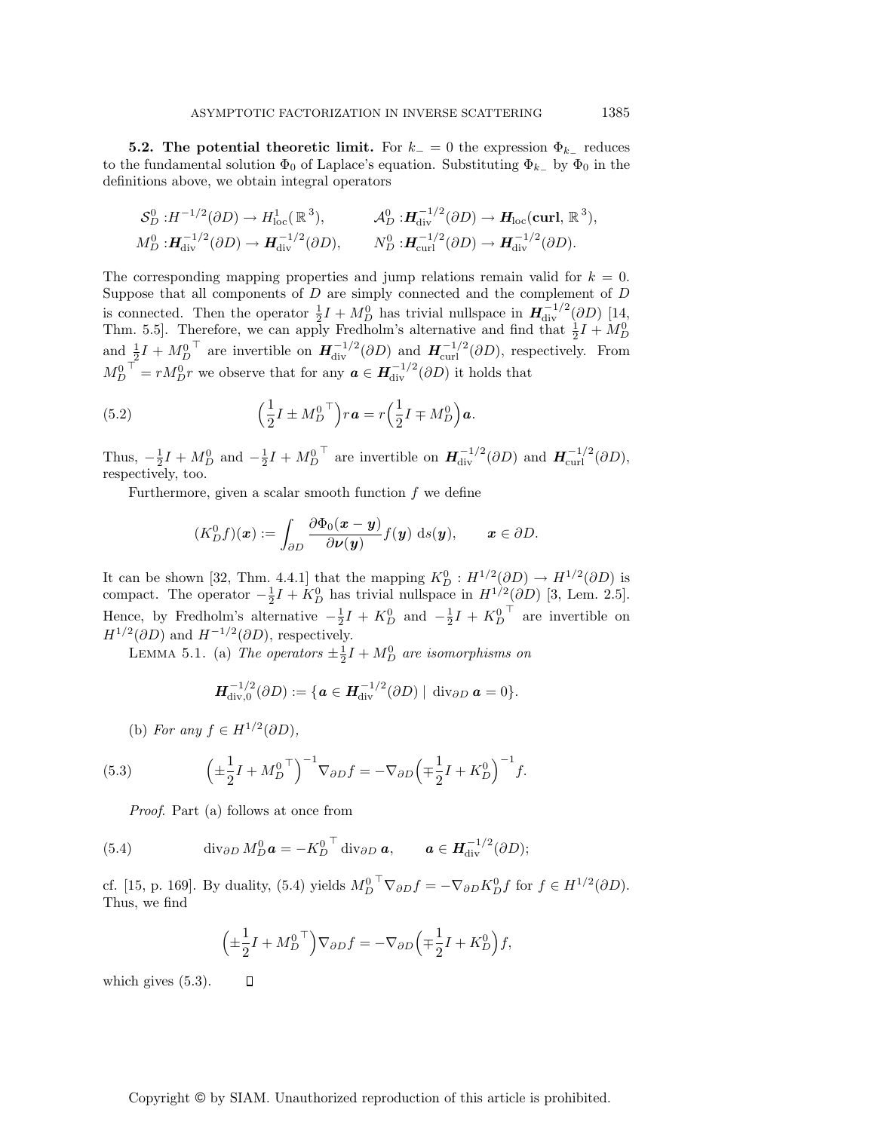**5.2. The potential theoretic limit.** For  $k_-=0$  the expression  $\Phi_{k_-}$  reduces to the fundamental solution  $\Phi_0$  of Laplace's equation. Substituting  $\Phi_{k-}$  by  $\Phi_0$  in the definitions above, we obtain integral operators

$$
\mathcal{S}_D^0: H^{-1/2}(\partial D) \to H^1_{\text{loc}}(\mathbb{R}^3), \qquad \mathcal{A}_D^0: \mathbf{H}_{\text{div}}^{-1/2}(\partial D) \to \mathbf{H}_{\text{loc}}(\text{curl}, \mathbb{R}^3),
$$
  

$$
M_D^0: \mathbf{H}_{\text{div}}^{-1/2}(\partial D) \to \mathbf{H}_{\text{div}}^{-1/2}(\partial D), \qquad N_D^0: \mathbf{H}_{\text{curl}}^{-1/2}(\partial D) \to \mathbf{H}_{\text{div}}^{-1/2}(\partial D).
$$

The corresponding mapping properties and jump relations remain valid for  $k = 0$ . Suppose that all components of  $D$  are simply connected and the complement of  $D$ is connected. Then the operator  $\frac{1}{2}I + M_D^0$  has trivial nullspace in  $H_{\text{div}}^{-1/2}(\partial D)$  [14, Thm. 5.5. Therefore, we can apply Fredholm's alternative and find that  $\frac{1}{2}I + M_D^0$ and  $\frac{1}{2}I + M_D^{0}$ <sup>T</sup> are invertible on  $H_{div}^{-1/2}(\partial D)$  and  $H_{curl}^{-1/2}(\partial D)$ , respectively. From  $M_D^{0}$ <sup>T</sup> =  $rM_D^0r$  we observe that for any  $a \in H^{-1/2}_{div}(\partial D)$  it holds that

(5.2) 
$$
\left(\frac{1}{2}I \pm M_D^{0\ \top}\right) r\mathbf{a} = r\left(\frac{1}{2}I \mp M_D^{0}\right)\mathbf{a}.
$$

Thus,  $-\frac{1}{2}I + M_D^0$  and  $-\frac{1}{2}I + M_D^{0\top}$  are invertible on  $\boldsymbol{H}_{div}^{-1/2}(\partial D)$  and  $\boldsymbol{H}_{curl}^{-1/2}(\partial D)$ , respectively, too.

Furthermore, given a scalar smooth function  $f$  we define

$$
(K_D^0 f)(\mathbf{x}) := \int_{\partial D} \frac{\partial \Phi_0(\mathbf{x} - \mathbf{y})}{\partial \nu(\mathbf{y})} f(\mathbf{y}) \, ds(\mathbf{y}), \qquad \mathbf{x} \in \partial D.
$$

It can be shown [32, Thm. 4.4.1] that the mapping  $K_D^0: H^{1/2}(\partial D) \to H^{1/2}(\partial D)$  is compact. The operator  $-\frac{1}{2}I + K_D^0$  has trivial nullspace in  $H^{1/2}(\partial D)$  [3, Lem. 2.5]. Hence, by Fredholm's alternative  $-\frac{1}{2}I + K_D^0$  and  $-\frac{1}{2}I + K_D^{0}$  are invertible on  $H^{1/2}(\partial D)$  and  $H^{-1/2}(\partial D)$ , respectively.

LEMMA 5.1. (a) The operators  $\pm \frac{1}{2}I + M_D^0$  are isomorphisms on

$$
\boldsymbol{H}_{\mathrm{div},0}^{-1/2}(\partial D) := \{ \boldsymbol{a} \in \boldsymbol{H}_{\mathrm{div}}^{-1/2}(\partial D) \mid \mathrm{div}_{\partial D} \boldsymbol{a} = 0 \}.
$$

(b) For any  $f \in H^{1/2}(\partial D)$ ,

(5.3) 
$$
\left(\pm \frac{1}{2}I + M_D^{0\;T}\right)^{-1} \nabla_{\partial D} f = -\nabla_{\partial D} \left(\mp \frac{1}{2}I + K_D^{0}\right)^{-1} f.
$$

Proof. Part (a) follows at once from

 $\Box$ 

(5.4) 
$$
\operatorname{div}_{\partial D} M_D^0 \mathbf{a} = -K_D^{0\ \top} \operatorname{div}_{\partial D} \mathbf{a}, \qquad \mathbf{a} \in \mathbf{H}_{\operatorname{div}}^{-1/2}(\partial D);
$$

cf. [15, p. 169]. By duality, (5.4) yields  $M_D^{0}$   $\nabla_{\partial D} f = -\nabla_{\partial D} K_D^0 f$  for  $f \in H^{1/2}(\partial D)$ . Thus, we find

$$
\left(\pm\frac{1}{2}I + M_D^{0\ \top}\right)\nabla_{\partial D}f = -\nabla_{\partial D}\left(\mp\frac{1}{2}I + K_D^{0}\right)f,
$$

which gives (5.3).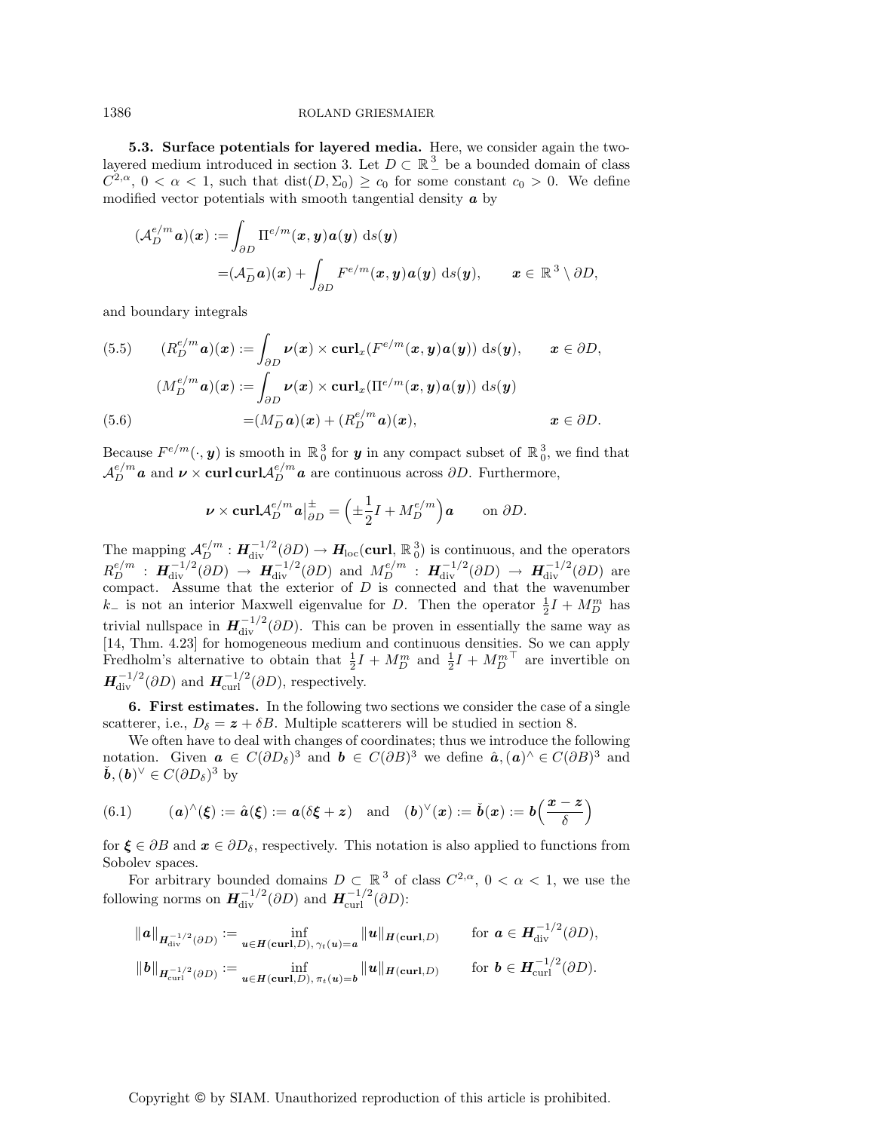**5.3. Surface potentials for layered media.** Here, we consider again the twolayered medium introduced in section 3. Let  $D \subset \mathbb{R}^3$  be a bounded domain of class  $C^{2,\alpha}$ ,  $0 < \alpha < 1$ , such that  $dist(D,\Sigma_0) \geq c_0$  for some constant  $c_0 > 0$ . We define modified vector potentials with smooth tangential density *a* by

$$
(\mathcal{A}_{D}^{e/m} \mathbf{a})(\mathbf{x}) := \int_{\partial D} \Pi^{e/m}(\mathbf{x}, \mathbf{y}) \mathbf{a}(\mathbf{y}) \, ds(\mathbf{y})
$$

$$
= (\mathcal{A}_{D}^{-} \mathbf{a})(\mathbf{x}) + \int_{\partial D} F^{e/m}(\mathbf{x}, \mathbf{y}) \mathbf{a}(\mathbf{y}) \, ds(\mathbf{y}), \qquad \mathbf{x} \in \mathbb{R}^{3} \setminus \partial D,
$$

and boundary integrals

(5.5) 
$$
(R_D^{e/m} \mathbf{a})(\mathbf{x}) := \int_{\partial D} \nu(\mathbf{x}) \times \operatorname{curl}_{\mathbf{x}} (F^{e/m}(\mathbf{x}, \mathbf{y}) \mathbf{a}(\mathbf{y})) \, ds(\mathbf{y}), \qquad \mathbf{x} \in \partial D,
$$

$$
(M_D^{e/m} \mathbf{a})(\mathbf{x}) := \int_{\partial D} \nu(\mathbf{x}) \times \operatorname{curl}_{\mathbf{x}} (\Pi^{e/m}(\mathbf{x}, \mathbf{y}) \mathbf{a}(\mathbf{y})) \, ds(\mathbf{y})
$$

$$
= (M_D^- \mathbf{a})(\mathbf{x}) + (R_D^{e/m} \mathbf{a})(\mathbf{x}), \qquad \mathbf{x} \in \partial D.
$$

Because  $F^{e/m}(\cdot, y)$  is smooth in  $\mathbb{R}^3_0$  for  $y$  in any compact subset of  $\mathbb{R}^3_0$ , we find that  $\mathcal{A}_{D}^{e/m}$  *a* and  $\nu \times \text{curl curl} \mathcal{A}_{D}^{e/m}$  *a* are continuous across  $\partial D$ . Furthermore,

$$
\nu \times \operatorname{curl} \mathcal{A}_D^{e/m} \mathbf{a} \vert_{\partial D}^{\pm} = \left( \pm \frac{1}{2} I + M_D^{e/m} \right) \mathbf{a} \qquad \text{on } \partial D.
$$

The mapping  $\mathcal{A}_{D}^{e/m}: H^{-1/2}_{\text{div}}(\partial D) \to H_{\text{loc}}(\text{curl}, \mathbb{R}^3_0)$  is continuous, and the operators  $R_D^{e/m}$  :  $H_{\text{div}}^{-1/2}(\partial D) \rightarrow H_{\text{div}}^{-1/2}(\partial D)$  and  $M_D^{e/m}$  :  $H_{\text{div}}^{-1/2}(\partial D) \rightarrow H_{\text{div}}^{-1/2}(\partial D)$  are compact. Assume that the exterior of  $D$  is connected and that the wavenumber  $k_$  is not an interior Maxwell eigenvalue for D. Then the operator  $\frac{1}{2}I + M_D^m$  has trivial nullspace in  $H^{-1/2}_{div}(\partial D)$ . This can be proven in essentially the same way as [14, Thm. 4.23] for homogeneous medium and continuous densities. So we can apply Fredholm's alternative to obtain that  $\frac{1}{2}I + M_D^m$  and  $\frac{1}{2}I + M_D^{m}$  are invertible on  $H_{\text{div}}^{-1/2}(\partial D)$  and  $H_{\text{curl}}^{-1/2}(\partial D)$ , respectively.

**6. First estimates.** In the following two sections we consider the case of a single scatterer, i.e.,  $D_{\delta} = z + \delta B$ . Multiple scatterers will be studied in section 8.

We often have to deal with changes of coordinates; thus we introduce the following notation. Given  $a \in C(\partial D_\delta)^3$  and  $b \in C(\partial B)^3$  we define  $\hat{a}, (a)^\wedge \in C(\partial B)^3$  and  $\check{b}$ ,  $(b)^{\vee} \in C(\partial D_{\delta})^3$  by

(6.1) 
$$
(a)^{\wedge}(\xi) := \hat{a}(\xi) := a(\delta\xi + z)
$$
 and  $(b)^{\vee}(x) := \check{b}(x) := b\left(\frac{x-z}{\delta}\right)$ 

for  $\xi \in \partial B$  and  $x \in \partial D_{\delta}$ , respectively. This notation is also applied to functions from Sobolev spaces.

For arbitrary bounded domains  $D \subset \mathbb{R}^3$  of class  $C^{2,\alpha}$ ,  $0 < \alpha < 1$ , we use the following norms on  $H_{div}^{-1/2}(\partial D)$  and  $H_{curl}^{-1/2}(\partial D)$ :

$$
\|a\|_{H_{\text{div}}^{-1/2}(\partial D)} := \inf_{\boldsymbol{u} \in H(\text{curl}, D), \gamma_t(\boldsymbol{u}) = \boldsymbol{a}} \|\boldsymbol{u}\|_{H(\text{curl}, D)} \quad \text{for } \boldsymbol{a} \in H_{\text{div}}^{-1/2}(\partial D),
$$
  

$$
\|\boldsymbol{b}\|_{H_{\text{curl}}^{-1/2}(\partial D)} := \inf_{\boldsymbol{u} \in H(\text{curl}, D), \pi_t(\boldsymbol{u}) = \boldsymbol{b}} \|\boldsymbol{u}\|_{H(\text{curl}, D)} \quad \text{for } \boldsymbol{b} \in H_{\text{curl}}^{-1/2}(\partial D).
$$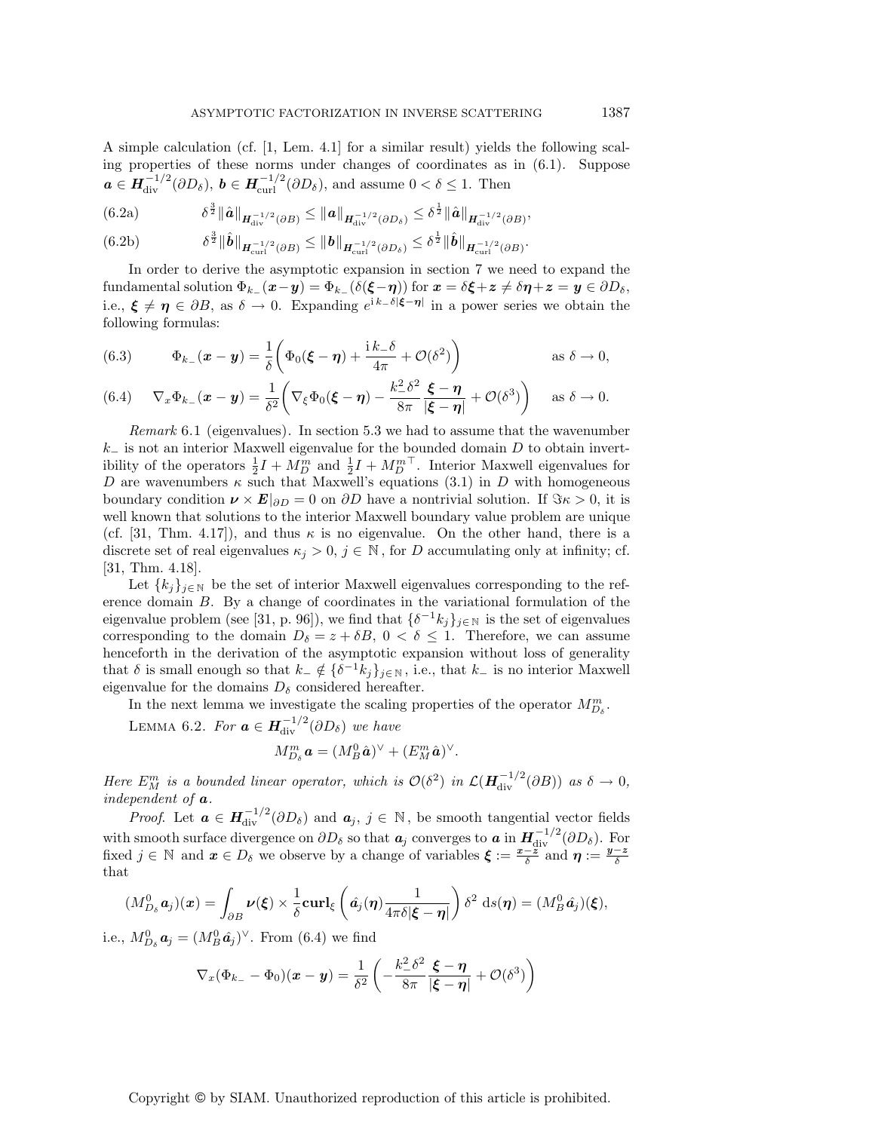A simple calculation (cf. [1, Lem. 4.1] for a similar result) yields the following scaling properties of these norms under changes of coordinates as in (6.1). Suppose  $a \in H^{-1/2}_{\text{div}}(\partial D_\delta)$ ,  $b \in H^{-1/2}_{\text{curl}}(\partial D_\delta)$ , and assume  $0 < \delta \leq 1$ . Then

(6.2a) 
$$
\delta^{\frac{3}{2}} \|\hat{\mathbf{a}}\|_{\mathbf{H}_{div}^{-1/2}(\partial B)} \leq \|\mathbf{a}\|_{\mathbf{H}_{div}^{-1/2}(\partial D_{\delta})} \leq \delta^{\frac{1}{2}} \|\hat{\mathbf{a}}\|_{\mathbf{H}_{div}^{-1/2}(\partial B)},
$$

$$
(6.2b) \t\t \delta^{\frac{3}{2}} \|\hat{b}\|_{H_{\text{curl}}^{-1/2}(\partial B)} \leq \|b\|_{H_{\text{curl}}^{-1/2}(\partial D_{\delta})} \leq \delta^{\frac{1}{2}} \|\hat{b}\|_{H_{\text{curl}}^{-1/2}(\partial B)}.
$$

In order to derive the asymptotic expansion in section 7 we need to expand the fundamental solution  $\Phi_{k-1}(x-y) = \Phi_{k-1}(\delta(\xi-\eta))$  for  $x = \delta\xi + z \neq \delta\eta + z = y \in \partial D_{\delta}$ , i.e.,  $\xi \neq \eta \in \partial B$ , as  $\delta \to 0$ . Expanding  $e^{i k - \delta |\xi - \eta|}$  in a power series we obtain the following formulas:

(6.3) 
$$
\Phi_{k-}(\boldsymbol{x}-\boldsymbol{y})=\frac{1}{\delta}\bigg(\Phi_0(\boldsymbol{\xi}-\boldsymbol{\eta})+\frac{\mathrm{i}k_-\delta}{4\pi}+\mathcal{O}(\delta^2)\bigg) \qquad \text{as } \delta\to 0,
$$

(6.4) 
$$
\nabla_x \Phi_{k-}(\boldsymbol{x}-\boldsymbol{y}) = \frac{1}{\delta^2} \bigg( \nabla_{\xi} \Phi_0(\boldsymbol{\xi}-\boldsymbol{\eta}) - \frac{k_-^2 \delta^2}{8\pi} \frac{\boldsymbol{\xi}-\boldsymbol{\eta}}{|\boldsymbol{\xi}-\boldsymbol{\eta}|} + \mathcal{O}(\delta^3) \bigg) \quad \text{as } \delta \to 0.
$$

Remark 6.1 (eigenvalues). In section 5.3 we had to assume that the wavenumber  $k_$  is not an interior Maxwell eigenvalue for the bounded domain D to obtain invertibility of the operators  $\frac{1}{2}I + M_D^m$  and  $\frac{1}{2}I + M_D^{m\top}$ . Interior Maxwell eigenvalues for D are wavenumbers  $\kappa$  such that Maxwell's equations (3.1) in D with homogeneous boundary condition  $\nu \times E|_{\partial D} = 0$  on  $\partial D$  have a nontrivial solution. If  $\Im \kappa > 0$ , it is well known that solutions to the interior Maxwell boundary value problem are unique (cf. [31, Thm. 4.17]), and thus  $\kappa$  is no eigenvalue. On the other hand, there is a discrete set of real eigenvalues  $\kappa_j > 0$ ,  $j \in \mathbb{N}$ , for D accumulating only at infinity; cf. [31, Thm. 4.18].

Let  $\{k_i\}_{i\in\mathbb{N}}$  be the set of interior Maxwell eigenvalues corresponding to the reference domain B. By a change of coordinates in the variational formulation of the eigenvalue problem (see [31, p. 96]), we find that  $\{\delta^{-1}k_j\}_{j\in\mathbb{N}}$  is the set of eigenvalues corresponding to the domain  $D_{\delta} = z + \delta B$ ,  $0 < \delta \leq 1$ . Therefore, we can assume henceforth in the derivation of the asymptotic expansion without loss of generality that  $\delta$  is small enough so that  $k_-\notin {\{\delta^{-1}k_j\}}_{j\in\mathbb{N}},$  i.e., that  $k_-\neq$  is no interior Maxwell eigenvalue for the domains  $D_{\delta}$  considered hereafter.

In the next lemma we investigate the scaling properties of the operator  $M^m_{D_\delta}.$ 

LEMMA 6.2. For  $\boldsymbol{a} \in \boldsymbol{H}_{div}^{-1/2}(\partial D_{\delta})$  we have

$$
M_{D_{\delta}}^m \mathbf{a} = (M_B^0 \hat{\mathbf{a}})^{\vee} + (E_M^m \hat{\mathbf{a}})^{\vee}.
$$

Here  $E_M^m$  is a bounded linear operator, which is  $\mathcal{O}(\delta^2)$  in  $\mathcal{L}(\mathbf{H}_{div}^{-1/2}(\partial B))$  as  $\delta \to 0$ , independent of *a*.

*Proof.* Let  $\boldsymbol{a} \in \boldsymbol{H}_{div}^{-1/2}(\partial D_{\delta})$  and  $\boldsymbol{a}_j, j \in \mathbb{N}$ , be smooth tangential vector fields with smooth surface divergence on  $\partial D_{\delta}$  so that  $a_j$  converges to  $a$  in  $H^{-1/2}_{div}(\partial D_{\delta})$ . For fixed  $j \in \mathbb{N}$  and  $x \in D_{\delta}$  we observe by a change of variables  $\xi := \frac{x - \overline{z}}{\delta}$  and  $\eta := \frac{y - \overline{z}}{\delta}$ that

$$
(M_{D_{\delta}}^0 \mathbf{a}_j)(\mathbf{x}) = \int_{\partial B} \nu(\boldsymbol{\xi}) \times \frac{1}{\delta} \mathbf{curl}_{\boldsymbol{\xi}} \left( \hat{\mathbf{a}}_j(\boldsymbol{\eta}) \frac{1}{4\pi \delta |\boldsymbol{\xi} - \boldsymbol{\eta}|} \right) \delta^2 \ \mathrm{d}s(\boldsymbol{\eta}) = (M_B^0 \hat{\mathbf{a}}_j)(\boldsymbol{\xi}),
$$

i.e.,  $M_{D_{\delta}}^{0} a_j = (M_B^0 \hat{a}_j)^{\vee}$ . From (6.4) we find

$$
\nabla_x(\Phi_{k_-} - \Phi_0)(\boldsymbol{x} - \boldsymbol{y}) = \frac{1}{\delta^2} \left( -\frac{k_-^2 \delta^2}{8\pi} \frac{\boldsymbol{\xi} - \boldsymbol{\eta}}{|\boldsymbol{\xi} - \boldsymbol{\eta}|} + \mathcal{O}(\delta^3) \right)
$$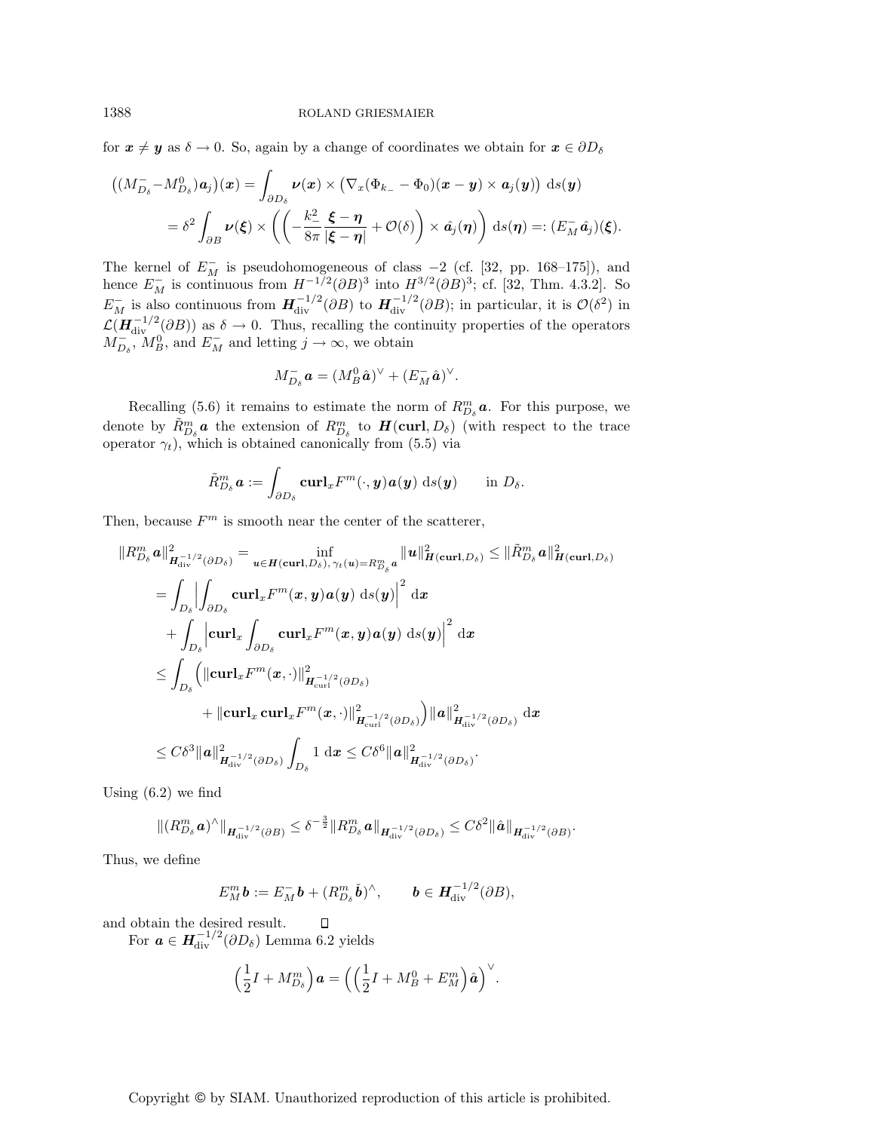for  $x \neq y$  as  $\delta \to 0$ . So, again by a change of coordinates we obtain for  $x \in \partial D_{\delta}$ 

$$
\left((M_{D_{\delta}}^- - M_{D_{\delta}}^0)a_j\right)(\boldsymbol{x}) = \int_{\partial D_{\delta}} \boldsymbol{\nu}(\boldsymbol{x}) \times \left(\nabla_x (\Phi_{k_-} - \Phi_0)(\boldsymbol{x} - \boldsymbol{y}) \times \boldsymbol{a}_j(\boldsymbol{y})\right) \, \mathrm{d}s(\boldsymbol{y})
$$

$$
= \delta^2 \int_{\partial B} \boldsymbol{\nu}(\boldsymbol{\xi}) \times \left(\left(-\frac{k_-^2}{8\pi} \frac{\boldsymbol{\xi} - \boldsymbol{\eta}}{|\boldsymbol{\xi} - \boldsymbol{\eta}|} + \mathcal{O}(\delta)\right) \times \hat{\boldsymbol{a}}_j(\boldsymbol{\eta})\right) \, \mathrm{d}s(\boldsymbol{\eta}) =: (E_M^-\hat{\boldsymbol{a}}_j)(\boldsymbol{\xi}).
$$

The kernel of  $E_M^-$  is pseudohomogeneous of class  $-2$  (cf. [32, pp. 168–175]), and hence  $E_M^-$  is continuous from  $H^{-1/2}(\partial B)^3$  into  $H^{3/2}(\partial B)^3$ ; cf. [32, Thm. 4.3.2]. So  $E_M^-$  is also continuous from  $H^{-1/2}_{div}(\partial B)$  to  $H^{-1/2}_{div}(\partial B)$ ; in particular, it is  $\mathcal{O}(\delta^2)$  in  $\mathcal{L}(\mathbf{H}_{div}^{-1/2}(\partial B))$  as  $\delta \to 0$ . Thus, recalling the continuity properties of the operators  $M_{D_{\delta}}^-, M_B^0$ , and  $E_M^-$  and letting  $j \to \infty$ , we obtain

$$
M_{D_{\delta}}^- \mathbf{a} = (M_B^0 \hat{\mathbf{a}})^{\vee} + (E_M^- \hat{\mathbf{a}})^{\vee}.
$$

Recalling (5.6) it remains to estimate the norm of  $R_{D_{\delta}}^{m}$  **a**. For this purpose, we denote by  $\tilde{R}_{D_{\delta}}^{m}$  a the extension of  $R_{D_{\delta}}^{m}$  to  $H(\text{curl}, D_{\delta})$  (with respect to the trace operator  $\gamma_t$ ), which is obtained canonically from (5.5) via

$$
\tilde{R}_{D_{\delta}}^{m} \boldsymbol{a} := \int_{\partial D_{\delta}} \mathbf{curl}_{x} F^{m}(\cdot, \boldsymbol{y}) \boldsymbol{a}(\boldsymbol{y}) \ \mathrm{d}s(\boldsymbol{y}) \qquad \text{in} \ D_{\delta}.
$$

Then, because  $F<sup>m</sup>$  is smooth near the center of the scatterer,

$$
\|R_{D_{\delta}}^{m}\mathbf{a}\|_{\mathbf{H}_{\text{div}}^{-1/2}(\partial D_{\delta})}^{2} = \inf_{\mathbf{u}\in\mathbf{H}(\text{curl},D_{\delta}),\,\gamma_{t}(\mathbf{u})=R_{D_{\delta}}^{m}\mathbf{a}}\|\mathbf{u}\|_{\mathbf{H}(\text{curl},D_{\delta})}^{2} \leq \|\tilde{R}_{D_{\delta}}^{m}\mathbf{a}\|_{\mathbf{H}(\text{curl},D_{\delta})}^{2}
$$
\n
$$
= \int_{D_{\delta}} \left| \int_{\partial D_{\delta}} \mathbf{curl}_{x} F^{m}(\mathbf{x}, \mathbf{y}) \mathbf{a}(\mathbf{y}) \, d s(\mathbf{y}) \right|^{2} \, d \mathbf{x}
$$
\n
$$
+ \int_{D_{\delta}} \left| \mathbf{curl}_{x} \int_{\partial D_{\delta}} \mathbf{curl}_{x} F^{m}(\mathbf{x}, \mathbf{y}) \mathbf{a}(\mathbf{y}) \, d s(\mathbf{y}) \right|^{2} \, d \mathbf{x}
$$
\n
$$
\leq \int_{D_{\delta}} \left( \left\| \mathbf{curl}_{x} F^{m}(\mathbf{x}, \cdot) \right\|_{\mathbf{H}_{\text{curl}}^{-1/2}(\partial D_{\delta})}^{2} \right)
$$
\n
$$
+ \left\| \mathbf{curl}_{x} \mathbf{curl}_{x} F^{m}(\mathbf{x}, \cdot) \right\|_{\mathbf{H}_{\text{curl}}^{-1/2}(\partial D_{\delta})}^{2} \right) \|\mathbf{a}\|_{\mathbf{H}_{\text{div}}^{-1/2}(\partial D_{\delta})}^{2} \, d \mathbf{x}
$$
\n
$$
\leq C \delta^{3} \|\mathbf{a}\|_{\mathbf{H}_{\text{div}}^{-1/2}(\partial D_{\delta})}^{2} \int_{D_{\delta}} 1 \, d \mathbf{x} \leq C \delta^{6} \|\mathbf{a}\|_{\mathbf{H}_{\text{div}}^{-1/2}(\partial D_{\delta})}^{2}.
$$

Using (6.2) we find

$$
\|(R_{D_{\delta}}^m \boldsymbol{a})^{\wedge}\|_{\boldsymbol{H}_{\mathrm{div}}^{-1/2}(\partial B)} \leq \delta^{-\frac{3}{2}} \|R_{D_{\delta}}^m \boldsymbol{a}\|_{\boldsymbol{H}_{\mathrm{div}}^{-1/2}(\partial D_{\delta})} \leq C\delta^2 \|\hat{\boldsymbol{a}}\|_{\boldsymbol{H}_{\mathrm{div}}^{-1/2}(\partial B)}
$$

.

Thus, we define

$$
E_M^m \mathbf{b} := E_M^- \mathbf{b} + (R_{D_{\delta}}^m \check{\mathbf{b}})^{\wedge}, \qquad \mathbf{b} \in \mathbf{H}_{\mathrm{div}}^{-1/2}(\partial B),
$$

and obtain the desired result.

For  $\boldsymbol{a} \in \boldsymbol{H}_{\mathrm{div}}^{-1/2} (\partial D_{\delta})$  Lemma 6.2 yields

$$
\left(\frac{1}{2}I + M_{D_{\delta}}^{m}\right)\boldsymbol{a} = \left(\left(\frac{1}{2}I + M_{B}^{0} + E_{M}^{m}\right)\hat{\boldsymbol{a}}\right)^{\vee}.
$$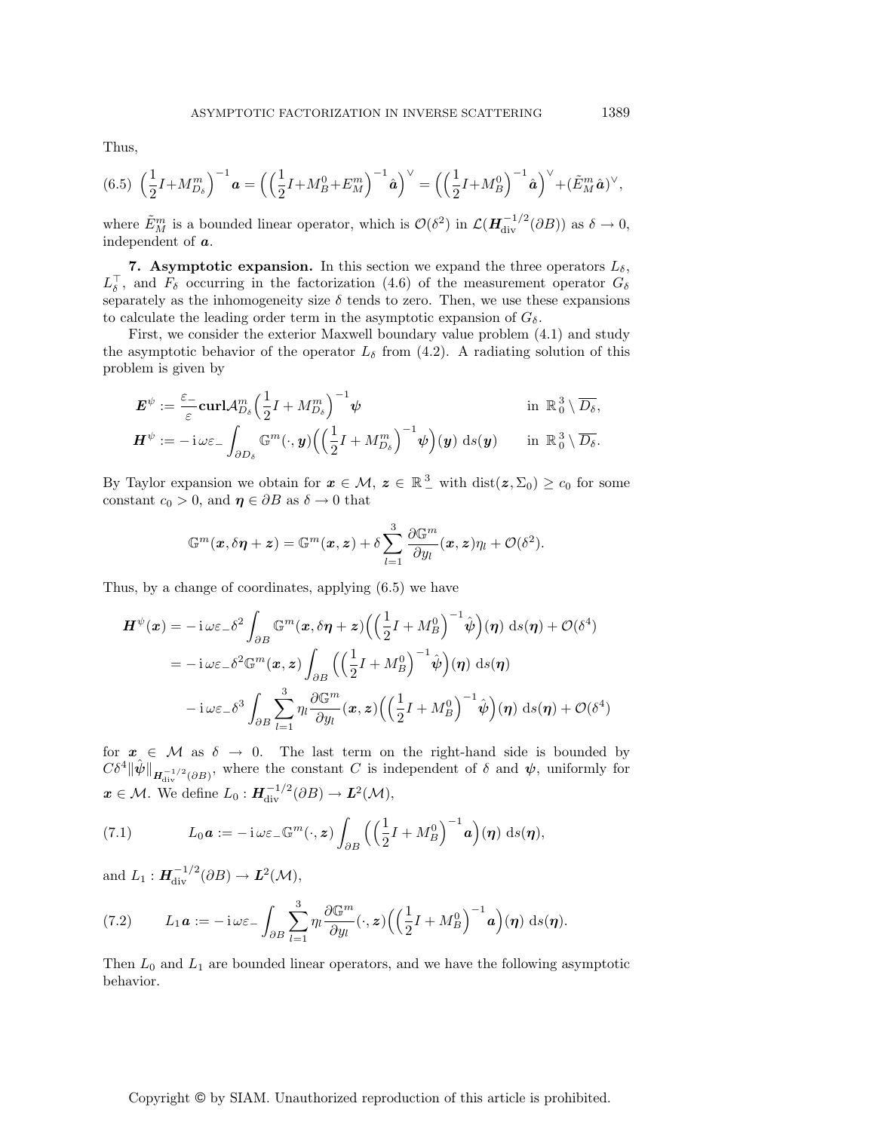Thus,

$$
(6.5)\ \left(\frac{1}{2}I + M_{D_{\delta}}^{m}\right)^{-1} \mathbf{a} = \left(\left(\frac{1}{2}I + M_{B}^{0} + E_{M}^{m}\right)^{-1} \hat{\mathbf{a}}\right)^{\vee} = \left(\left(\frac{1}{2}I + M_{B}^{0}\right)^{-1} \hat{\mathbf{a}}\right)^{\vee} + (\tilde{E}_{M}^{m} \hat{\mathbf{a}})^{\vee},
$$

where  $\tilde{E}_M^m$  is a bounded linear operator, which is  $\mathcal{O}(\delta^2)$  in  $\mathcal{L}(\mathbf{H}_{div}^{-1/2}(\partial B))$  as  $\delta \to 0$ , independent of *a*.

**7. Asymptotic expansion.** In this section we expand the three operators  $L_{\delta}$ ,  $L_{\delta}^{\perp}$ , and  $F_{\delta}$  occurring in the factorization (4.6) of the measurement operator  $G_{\delta}$ separately as the inhomogeneity size  $\delta$  tends to zero. Then, we use these expansions to calculate the leading order term in the asymptotic expansion of  $G_{\delta}$ .

First, we consider the exterior Maxwell boundary value problem (4.1) and study the asymptotic behavior of the operator  $L_{\delta}$  from (4.2). A radiating solution of this problem is given by

$$
\mathbf{E}^{\psi} := \frac{\varepsilon_{-}}{\varepsilon} \mathbf{curl} \mathcal{A}_{D_{\delta}}^{m} \Big(\frac{1}{2}I + M_{D_{\delta}}^{m}\Big)^{-1} \psi \qquad \text{in } \mathbb{R}_{0}^{3} \setminus \overline{D_{\delta}},
$$

$$
\mathbf{H}^{\psi} := -\mathrm{i} \,\omega \varepsilon_{-} \int_{\partial D_{\delta}} \mathbb{G}^{m}(\cdot, \mathbf{y}) \Big(\Big(\frac{1}{2}I + M_{D_{\delta}}^{m}\Big)^{-1} \psi\Big)(\mathbf{y}) \mathrm{d}s(\mathbf{y}) \qquad \text{in } \mathbb{R}_{0}^{3} \setminus \overline{D_{\delta}}.
$$

By Taylor expansion we obtain for  $x \in M$ ,  $z \in \mathbb{R}^3$  with  $dist(z, \Sigma_0) \ge c_0$  for some constant  $c_0 > 0$ , and  $\eta \in \partial B$  as  $\delta \to 0$  that

$$
\mathbb{G}^m(\boldsymbol{x},\delta\boldsymbol{\eta}+\boldsymbol{z})=\mathbb{G}^m(\boldsymbol{x},\boldsymbol{z})+\delta\sum_{l=1}^3\frac{\partial \mathbb{G}^m}{\partial y_l}(\boldsymbol{x},\boldsymbol{z})\eta_l+\mathcal{O}(\delta^2).
$$

Thus, by a change of coordinates, applying (6.5) we have

$$
\mathbf{H}^{\psi}(\mathbf{x}) = -\mathrm{i}\,\omega\varepsilon_{-}\delta^{2}\int_{\partial B} \mathbb{G}^{m}(\mathbf{x},\delta\boldsymbol{\eta}+\mathbf{z}) \Big(\Big(\frac{1}{2}I+M_{B}^{0}\Big)^{-1}\hat{\psi}\Big)(\boldsymbol{\eta}) \mathrm{d}s(\boldsymbol{\eta}) + \mathcal{O}(\delta^{4})
$$

$$
= -\mathrm{i}\,\omega\varepsilon_{-}\delta^{2}\mathbb{G}^{m}(\mathbf{x},\mathbf{z}) \int_{\partial B} \Big(\Big(\frac{1}{2}I+M_{B}^{0}\Big)^{-1}\hat{\psi}\Big)(\boldsymbol{\eta}) \mathrm{d}s(\boldsymbol{\eta})
$$

$$
-\mathrm{i}\,\omega\varepsilon_{-}\delta^{3}\int_{\partial B} \sum_{l=1}^{3} \eta_{l} \frac{\partial \mathbb{G}^{m}}{\partial y_{l}}(\mathbf{x},\mathbf{z}) \Big(\Big(\frac{1}{2}I+M_{B}^{0}\Big)^{-1}\hat{\psi}\Big)(\boldsymbol{\eta}) \mathrm{d}s(\boldsymbol{\eta}) + \mathcal{O}(\delta^{4})
$$

for  $x \in \mathcal{M}$  as  $\delta \to 0$ . The last term on the right-hand side is bounded by  $C\delta^4 \|\hat{\psi}\|_{H^{-1/2}_{div}(\partial B)}$ , where the constant C is independent of  $\delta$  and  $\psi$ , uniformly for  $x \in \mathcal{M}$ . We define  $L_0: H^{-1/2}_{div}(\partial B) \to L^2(\mathcal{M}),$ 

(7.1) 
$$
L_0 \mathbf{a} := -\mathrm{i} \,\omega \varepsilon_- \mathbb{G}^m(\cdot, \mathbf{z}) \int_{\partial B} \left( \left( \frac{1}{2} I + M_B^0 \right)^{-1} \mathbf{a} \right) (\boldsymbol{\eta}) \, \mathrm{d} s(\boldsymbol{\eta}),
$$

and  $L_1: \mathbf{H}_{\text{div}}^{-1/2}(\partial B) \to \mathbf{L}^2(\mathcal{M}),$ 

(7.2) 
$$
L_1 a := -\mathbf{i} \omega \varepsilon_- \int_{\partial B} \sum_{l=1}^3 \eta_l \frac{\partial \mathbb{G}^m}{\partial y_l} (\cdot, \mathbf{z}) \Big( \Big( \frac{1}{2} I + M_B^0 \Big)^{-1} a \Big) (\boldsymbol{\eta}) \, \mathrm{d} s(\boldsymbol{\eta}).
$$

Then  $L_0$  and  $L_1$  are bounded linear operators, and we have the following asymptotic behavior.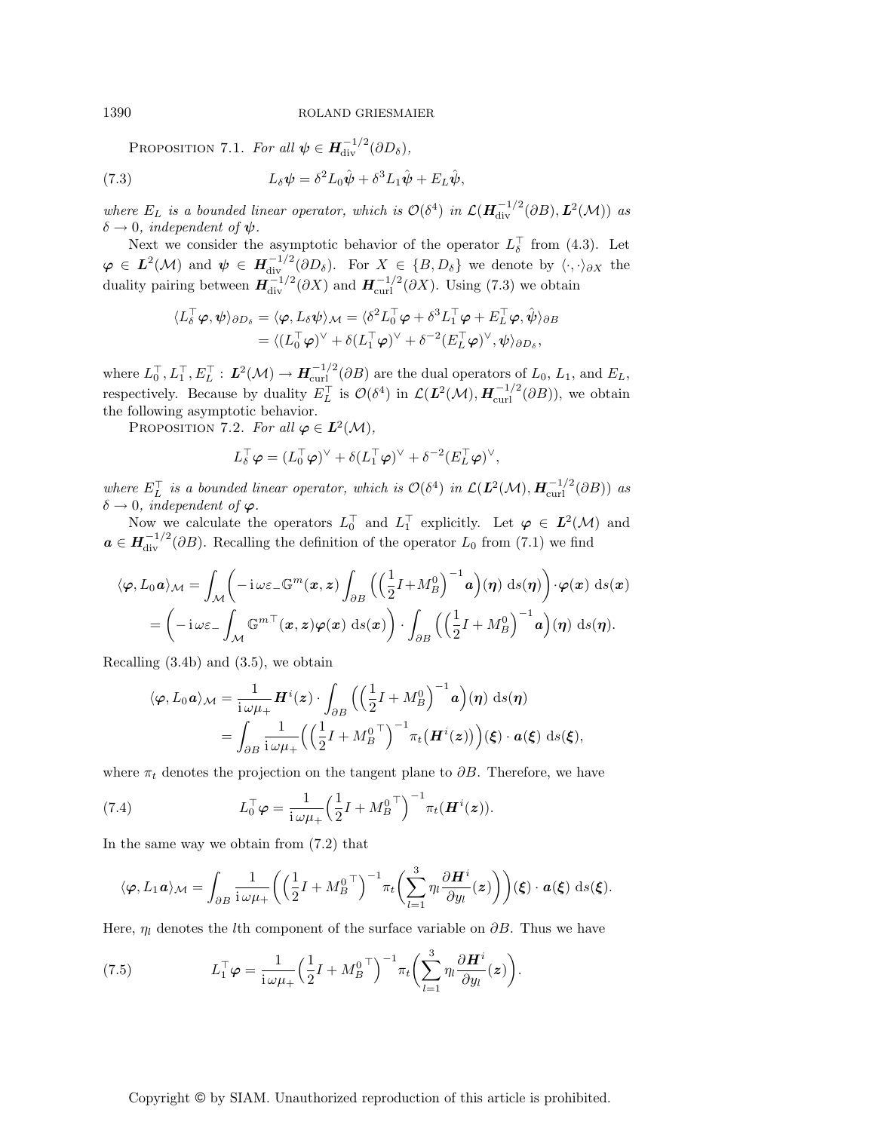PROPOSITION 7.1. For all  $\psi \in H^{-1/2}_{\text{div}}(\partial D_\delta)$ ,

(7.3) 
$$
L_{\delta}\psi = \delta^2 L_0 \hat{\psi} + \delta^3 L_1 \hat{\psi} + E_L \hat{\psi},
$$

where  $E_L$  is a bounded linear operator, which is  $\mathcal{O}(\delta^4)$  in  $\mathcal{L}(\mathbf{H}_{div}^{-1/2}(\partial B), \mathbf{L}^2(\mathcal{M}))$  as  $\delta \rightarrow 0$ , *independent of*  $\psi$ .

Next we consider the asymptotic behavior of the operator  $L_{\delta}^{\perp}$  from (4.3). Let  $\boldsymbol{\varphi} \in L^2(\mathcal{M})$  and  $\boldsymbol{\psi} \in H^{-1/2}_{\text{div}}(\partial D_{\delta}).$  For  $X \in \{B, D_{\delta}\}\$  we denote by  $\langle \cdot, \cdot \rangle_{\partial X}$  the duality pairing between  $H_{\text{div}}^{-1/2}(\partial X)$  and  $H_{\text{curl}}^{-1/2}(\partial X)$ . Using (7.3) we obtain

$$
\langle L_{\delta}^{\top} \varphi, \psi \rangle_{\partial D_{\delta}} = \langle \varphi, L_{\delta} \psi \rangle_{\mathcal{M}} = \langle \delta^{2} L_{0}^{\top} \varphi + \delta^{3} L_{1}^{\top} \varphi + E_{L}^{\top} \varphi, \hat{\psi} \rangle_{\partial B}
$$
  
=  $\langle (L_{0}^{\top} \varphi)^{\vee} + \delta (L_{1}^{\top} \varphi)^{\vee} + \delta^{-2} (E_{L}^{\top} \varphi)^{\vee}, \psi \rangle_{\partial D_{\delta}},$ 

where  $L_0^{\top}, L_1^{\top}, E_L^{\top} : L^2(\mathcal{M}) \to H_{\text{curl}}^{-1/2}(\partial B)$  are the dual operators of  $L_0, L_1$ , and  $E_L$ , respectively. Because by duality  $E_L^{\top}$  is  $\mathcal{O}(\delta^4)$  in  $\mathcal{L}(\mathbf{L}^2(\mathcal{M}), \mathbf{H}_{\text{curl}}^{-1/2}(\partial B))$ , we obtain the following asymptotic behavior.

PROPOSITION 7.2. For all  $\varphi \in L^2(\mathcal{M})$ ,

$$
L_{\delta}^{\top} \boldsymbol{\varphi} = (L_0^{\top} \boldsymbol{\varphi})^{\vee} + \delta (L_1^{\top} \boldsymbol{\varphi})^{\vee} + \delta^{-2} (E_L^{\top} \boldsymbol{\varphi})^{\vee},
$$

where  $E_L^{\top}$  is a bounded linear operator, which is  $\mathcal{O}(\delta^4)$  in  $\mathcal{L}(\mathbf{L}^2(\mathcal{M}), \mathbf{H}_{\text{curl}}^{-1/2}(\partial B))$  as  $\delta \rightarrow 0$ , independent of  $\varphi$ .

Now we calculate the operators  $L_0^{\top}$  and  $L_1^{\top}$  explicitly. Let  $\varphi \in L^2(\mathcal{M})$  and  $a \in H^{-1/2}_{\text{div}}(\partial B)$ . Recalling the definition of the operator  $L_0$  from (7.1) we find

$$
\langle \varphi, L_0 \mathbf{a} \rangle_{\mathcal{M}} = \int_{\mathcal{M}} \left( -i \omega \varepsilon_- \mathbb{G}^m(x, z) \int_{\partial B} \left( \left( \frac{1}{2} I + M_B^0 \right)^{-1} \mathbf{a} \right) (\eta) \, \mathrm{d}s(\eta) \right) \cdot \varphi(x) \, \mathrm{d}s(x) = \left( -i \omega \varepsilon_- \int_{\mathcal{M}} \mathbb{G}^{m \top}(x, z) \varphi(x) \, \mathrm{d}s(x) \right) \cdot \int_{\partial B} \left( \left( \frac{1}{2} I + M_B^0 \right)^{-1} \mathbf{a} \right) (\eta) \, \mathrm{d}s(\eta).
$$

Recalling (3.4b) and (3.5), we obtain

$$
\langle \varphi, L_0 \mathbf{a} \rangle_{\mathcal{M}} = \frac{1}{i \omega \mu_+} \mathbf{H}^i(\mathbf{z}) \cdot \int_{\partial B} \left( \left( \frac{1}{2} I + M_B^0 \right)^{-1} \mathbf{a} \right) (\boldsymbol{\eta}) \, \mathrm{d} s(\boldsymbol{\eta}) \n= \int_{\partial B} \frac{1}{i \omega \mu_+} \left( \left( \frac{1}{2} I + M_B^0 \right)^{-1} \pi_t(\mathbf{H}^i(\mathbf{z})) \right) (\boldsymbol{\xi}) \cdot \mathbf{a}(\boldsymbol{\xi}) \, \mathrm{d} s(\boldsymbol{\xi}),
$$

where  $\pi_t$  denotes the projection on the tangent plane to  $\partial B$ . Therefore, we have

(7.4) 
$$
L_0^{\top} \varphi = \frac{1}{i \omega \mu_+} \left(\frac{1}{2} I + M_B^{0 \top}\right)^{-1} \pi_t(\boldsymbol{H}^i(z)).
$$

In the same way we obtain from (7.2) that

$$
\langle \varphi, L_1 \mathbf{a} \rangle_{\mathcal{M}} = \int_{\partial B} \frac{1}{i \omega \mu_+} \left( \left( \frac{1}{2} I + M_B^0 \right)^{-1} \pi_t \left( \sum_{l=1}^3 \eta_l \frac{\partial \mathbf{H}^i}{\partial y_l}(z) \right) \right) (\xi) \cdot \mathbf{a}(\xi) \, \mathrm{d}s(\xi).
$$

Here,  $\eta_l$  denotes the *l*th component of the surface variable on  $\partial B$ . Thus we have

(7.5) 
$$
L_1^{\top} \varphi = \frac{1}{i \omega \mu_+} \left(\frac{1}{2} I + M_B^0{}^{\top}\right)^{-1} \pi_t \left(\sum_{l=1}^3 \eta_l \frac{\partial \boldsymbol{H}^i}{\partial y_l}(z)\right).
$$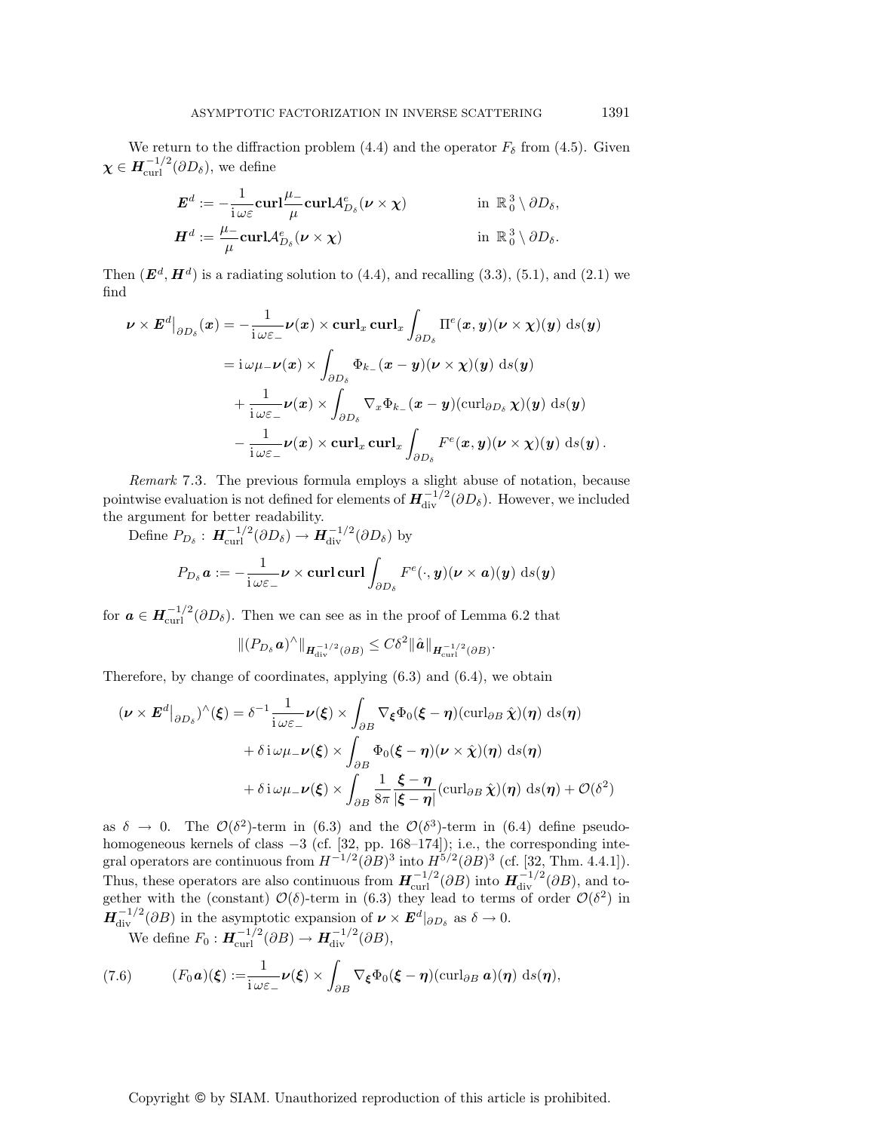We return to the diffraction problem (4.4) and the operator  $F_\delta$  from (4.5). Given  $\boldsymbol{\chi} \in \boldsymbol{H}^{-1/2}_{\text{curl}}(\partial D_{\delta}),$  we define

$$
E^{d} := -\frac{1}{i \omega \varepsilon} \operatorname{curl} \frac{\mu_{-}}{\mu} \operatorname{curl} \mathcal{A}_{D_{\delta}}^{e}(\nu \times \chi) \qquad \text{in } \mathbb{R}_{0}^{3} \setminus \partial D_{\delta},
$$

$$
H^{d} := \frac{\mu_{-}}{\mu} \operatorname{curl} \mathcal{A}_{D_{\delta}}^{e}(\nu \times \chi) \qquad \text{in } \mathbb{R}_{0}^{3} \setminus \partial D_{\delta}.
$$

Then  $(E^d, H^d)$  is a radiating solution to  $(4.4)$ , and recalling  $(3.3)$ ,  $(5.1)$ , and  $(2.1)$  we find

$$
\nu \times E^d|_{\partial D_{\delta}}(x) = -\frac{1}{i\omega \varepsilon_{-}} \nu(x) \times \operatorname{curl}_{x} \operatorname{curl}_{x} \int_{\partial D_{\delta}} \Pi^e(x, y) (\nu \times \chi)(y) \, ds(y)
$$
  
\n
$$
= i\omega \mu_{-} \nu(x) \times \int_{\partial D_{\delta}} \Phi_{k_{-}}(x - y) (\nu \times \chi)(y) \, ds(y)
$$
  
\n
$$
+ \frac{1}{i\omega \varepsilon_{-}} \nu(x) \times \int_{\partial D_{\delta}} \nabla_{x} \Phi_{k_{-}}(x - y) (\operatorname{curl}_{\partial D_{\delta}} \chi)(y) \, ds(y)
$$
  
\n
$$
- \frac{1}{i\omega \varepsilon_{-}} \nu(x) \times \operatorname{curl}_{x} \operatorname{curl}_{x} \int_{\partial D_{\delta}} F^e(x, y) (\nu \times \chi)(y) \, ds(y).
$$

Remark 7.3. The previous formula employs a slight abuse of notation, because pointwise evaluation is not defined for elements of  $H^{-1/2}_{div}(\partial D_\delta)$ . However, we included the argument for better readability.

Define  $P_{D_{\delta}}: H^{-1/2}_{\text{curl}}(\partial D_{\delta}) \to H^{-1/2}_{\text{div}}(\partial D_{\delta})$  by  $P_{D_{\delta}} a := -\frac{1}{\cdots}$  $i\,\omega\varepsilon_{-}$ *<sup>ν</sup>* <sup>×</sup> **curl curl**  $\partial D_\delta$  $F^e(\cdot, \mathbf{y}) (\boldsymbol{\nu} \times \boldsymbol{a})(\mathbf{y}) \text{ d}s(\mathbf{y})$ 

for  $a \in H^{-1/2}_{\text{curl}}(\partial D_{\delta})$ . Then we can see as in the proof of Lemma 6.2 that

$$
\|(P_{D_{\delta}}\boldsymbol{a})^{\wedge}\|_{\boldsymbol{H}^{-1/2}_{\mathrm{div}}(\partial B)} \leq C\delta^2 \|\hat{\boldsymbol{a}}\|_{\boldsymbol{H}^{-1/2}_{\mathrm{curl}}(\partial B)}.
$$

Therefore, by change of coordinates, applying (6.3) and (6.4), we obtain

$$
(\nu \times E^d|_{\partial D_{\delta}})^{\wedge}(\xi) = \delta^{-1} \frac{1}{i \omega \varepsilon_{-}} \nu(\xi) \times \int_{\partial B} \nabla_{\xi} \Phi_0(\xi - \eta) (\operatorname{curl}_{\partial B} \hat{\chi})(\eta) \, ds(\eta)
$$

$$
+ \delta i \omega \mu_{-} \nu(\xi) \times \int_{\partial B} \Phi_0(\xi - \eta) (\nu \times \hat{\chi})(\eta) \, ds(\eta)
$$

$$
+ \delta i \omega \mu_{-} \nu(\xi) \times \int_{\partial B} \frac{1}{8\pi} \frac{\xi - \eta}{|\xi - \eta|} (\operatorname{curl}_{\partial B} \hat{\chi})(\eta) \, ds(\eta) + \mathcal{O}(\delta^2)
$$

as  $\delta \to 0$ . The  $\mathcal{O}(\delta^2)$ -term in (6.3) and the  $\mathcal{O}(\delta^3)$ -term in (6.4) define pseudohomogeneous kernels of class −3 (cf. [32, pp. 168–174]); i.e., the corresponding integral operators are continuous from  $H^{-1/2}(\partial B)^3$  into  $H^{5/2}(\partial B)^3$  (cf. [32, Thm. 4.4.1]). Thus, these operators are also continuous from  $H_{\text{curl}}^{-1/2}(\partial B)$  into  $H_{\text{div}}^{-1/2}(\partial B)$ , and together with the (constant)  $\mathcal{O}(\delta)$ -term in (6.3) they lead to terms of order  $\mathcal{O}(\delta^2)$  in  $H^{-1/2}_{div}(\partial B)$  in the asymptotic expansion of  $\nu \times E^d|_{\partial D_{\delta}}$  as  $\delta \to 0$ .

We define  $F_0: \mathbf{H}_{\text{curl}}^{-1/2}(\partial B) \to \mathbf{H}_{\text{div}}^{-1/2}(\partial B),$ 

(7.6) 
$$
(F_0 \mathbf{a})(\boldsymbol{\xi}) := \frac{1}{i \omega \varepsilon_-} \nu(\boldsymbol{\xi}) \times \int_{\partial B} \nabla_{\boldsymbol{\xi}} \Phi_0(\boldsymbol{\xi} - \boldsymbol{\eta}) (\operatorname{curl}_{\partial B} \mathbf{a})(\boldsymbol{\eta}) \, \mathrm{d} s(\boldsymbol{\eta}),
$$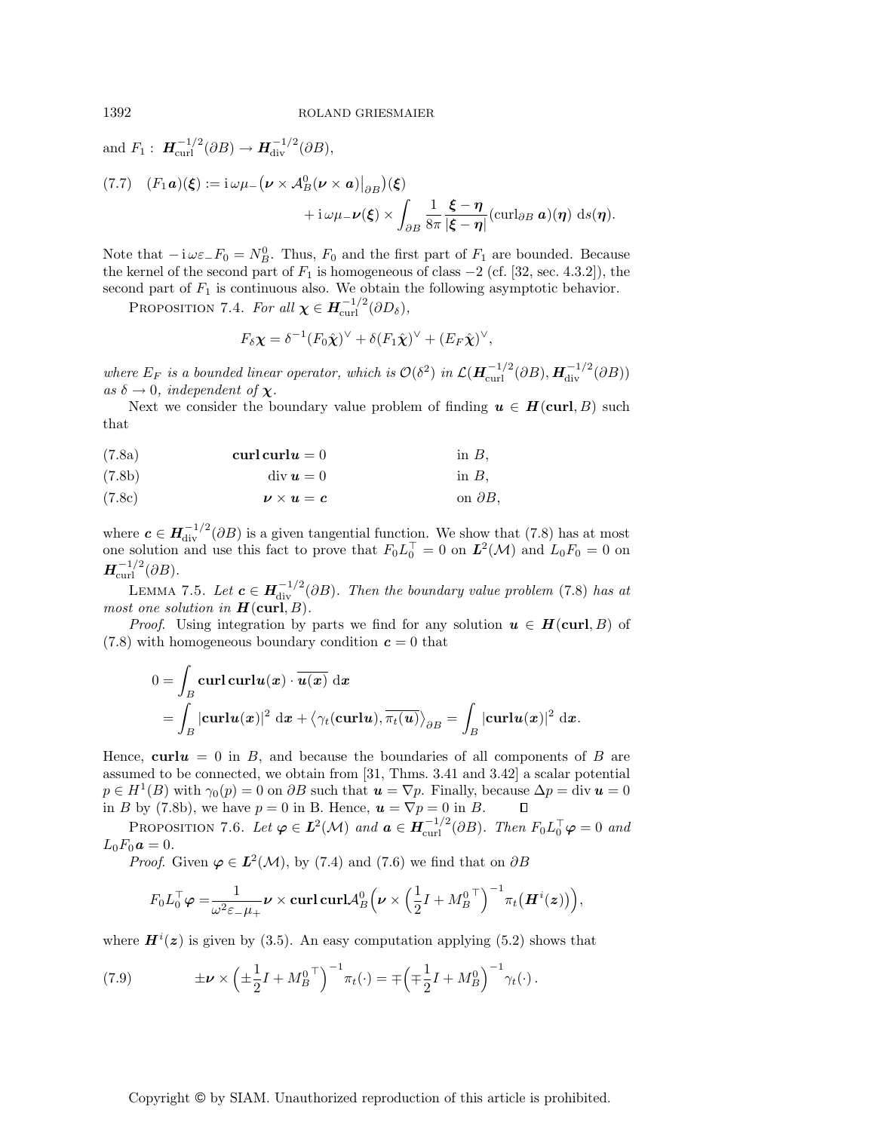and  $F_1: \mathbf{H}_{\text{curl}}^{-1/2}(\partial B) \to \mathbf{H}_{\text{div}}^{-1/2}(\partial B),$  $(T.7)$   $(F_1 \mathbf{a})(\boldsymbol{\xi}) := \mathrm{i} \omega \mu_-(\boldsymbol{\nu} \times \mathcal{A}_B^0(\boldsymbol{\nu} \times \boldsymbol{a})\big|_{\partial B})(\boldsymbol{\xi})$ + i  $\omega\mu_-\nu(\xi) \times$ ∂B 1 8π *ξ* − *η*  $\frac{\mathbf{S}-\mathbf{\eta}}{|\boldsymbol{\xi}-\mathbf{\eta}|}$  (curl<sub>∂B</sub> **a**)( $\boldsymbol{\eta}$ ) ds( $\boldsymbol{\eta}$ ).

Note that  $-i\omega \varepsilon_- F_0 = N_B^0$ . Thus,  $F_0$  and the first part of  $F_1$  are bounded. Because the kernel of the second part of  $F_1$  is homogeneous of class  $-2$  (cf. [32, sec. 4.3.2]), the second part of  $F_1$  is continuous also. We obtain the following asymptotic behavior.

PROPOSITION 7.4. For all  $\chi \in H^{-1/2}_{\text{curl}}(\partial D_{\delta}),$ 

$$
F_{\delta} \chi = \delta^{-1} (F_0 \hat{\chi})^{\vee} + \delta (F_1 \hat{\chi})^{\vee} + (E_F \hat{\chi})^{\vee},
$$

where  $E_F$  is a bounded linear operator, which is  $\mathcal{O}(\delta^2)$  in  $\mathcal{L}(\mathbf{H}_{\text{curl}}^{-1/2}(\partial B), \mathbf{H}_{\text{div}}^{-1/2}(\partial B))$ as  $\delta \to 0$ , independent of **χ**.

Next we consider the boundary value problem of finding  $u \in H(\text{curl}, B)$  such that

$$
(7.8a) \t\t curl curl u = 0 \t\t\t in B,
$$

(7.8b) div *u* = 0 in B,

$$
(7.8c) \t\t\t\t\t $\boldsymbol{\nu} \times \boldsymbol{u} = \boldsymbol{c}$  on  $\partial B$ ,
$$

where  $c \in H^{-1/2}_{div}(\partial B)$  is a given tangential function. We show that (7.8) has at most one solution and use this fact to prove that  $F_0 L_0^{\top} = 0$  on  $\mathbf{L}^2(\mathcal{M})$  and  $L_0 F_0 = 0$  on  $H_{\rm curl}^{-1/2}(\partial B)$ .

LEMMA 7.5. Let  $c \in H^{-1/2}_{\text{div}}(\partial B)$ . Then the boundary value problem (7.8) has at most one solution in  $H(\text{curl}, B)$ .

*Proof.* Using integration by parts we find for any solution  $u \in H(\text{curl}, B)$  of (7.8) with homogeneous boundary condition  $c = 0$  that

$$
0 = \int_B \mathbf{curl} \mathbf{curl} \mathbf{u}(x) \cdot \overline{\mathbf{u}(x)} \, \mathrm{d}x
$$
  
= 
$$
\int_B |\mathbf{curl} \mathbf{u}(x)|^2 \, \mathrm{d}x + \langle \gamma_t(\mathbf{curl} \mathbf{u}), \overline{\pi_t(\mathbf{u})} \rangle_{\partial B} = \int_B |\mathbf{curl} \mathbf{u}(x)|^2 \, \mathrm{d}x.
$$

Hence,  $\text{curl}u = 0$  in B, and because the boundaries of all components of B are assumed to be connected, we obtain from [31, Thms. 3.41 and 3.42] a scalar potential  $p \in H^1(B)$  with  $\gamma_0(p) = 0$  on  $\partial B$  such that  $u = \nabla p$ . Finally, because  $\Delta p = \text{div } u = 0$ in B by (7.8b), we have  $p = 0$  in B. Hence,  $\mathbf{u} = \nabla p = 0$  in B.  $\Box$ 

PROPOSITION 7.6. Let  $\varphi \in L^2(\mathcal{M})$  and  $\boldsymbol{a} \in H_{\text{curl}}^{-1/2}(\partial B)$ . Then  $F_0 L_0^{\top} \varphi = 0$  and  $L_0F_0a = 0.$ 

*Proof.* Given  $\varphi \in L^2(\mathcal{M})$ , by (7.4) and (7.6) we find that on  $\partial B$ 

$$
F_0L_0^{\top} \boldsymbol{\varphi} = \frac{1}{\omega^2 \varepsilon_-\mu_+} \boldsymbol{\nu} \times \mathbf{curl} \, \mathbf{curl} \, \mathbf{curl} \, \boldsymbol{\varphi} \bigg( \boldsymbol{\nu} \times \left( \frac{1}{2} I + M_B^{0\top} \right)^{-1} \pi_t \big( \boldsymbol{H}^i(\boldsymbol{z}) \big) \bigg),
$$

where  $H^{i}(z)$  is given by (3.5). An easy computation applying (5.2) shows that

(7.9) 
$$
\pm \nu \times \left( \pm \frac{1}{2} I + M_B^{0\; \top} \right)^{-1} \pi_t(\cdot) = \mp \left( \mp \frac{1}{2} I + M_B^{0} \right)^{-1} \gamma_t(\cdot).
$$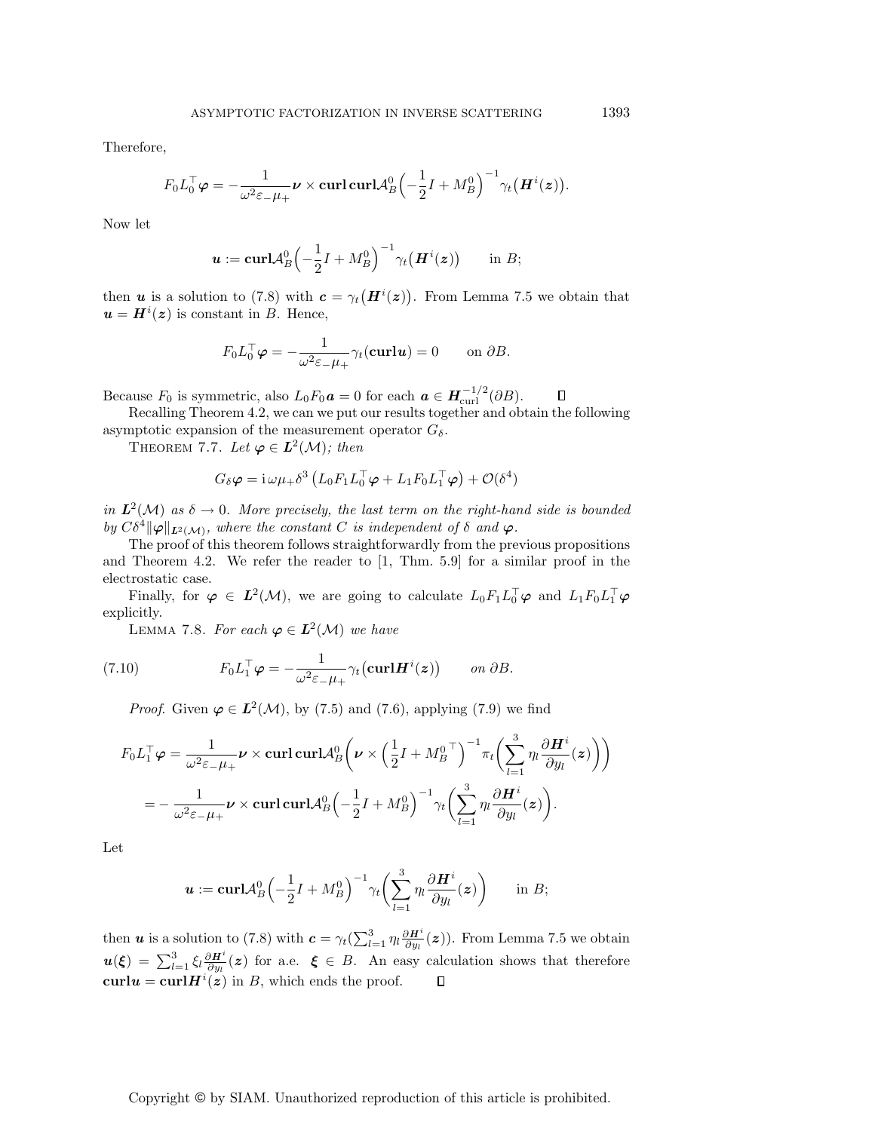Therefore,

$$
F_0 L_0^{\top} \boldsymbol \varphi = - \frac{1}{\omega^2 \varepsilon_- \mu_+} \boldsymbol \nu \times {\rm curl\,} {\rm curl} \mathcal A_B^0 \Bigl(- \frac{1}{2} I + M_B^0\Bigr)^{-1} \gamma_t \bigl(\boldsymbol H^i (\boldsymbol z)\bigr).
$$

Now let

$$
\boldsymbol{u}:=\mathbf{curl}\mathcal{A}_B^0\left(-\frac{1}{2}I+M_B^0\right)^{-1}\gamma_t\big(\boldsymbol{H}^i(\boldsymbol{z})\big) \qquad \text{in} \ B;
$$

then *u* is a solution to (7.8) with  $c = \gamma_t(H^{i}(z))$ . From Lemma 7.5 we obtain that  $u = H^{i}(z)$  is constant in B. Hence,

$$
F_0 L_0^\top \boldsymbol{\varphi} = -\frac{1}{\omega^2 \varepsilon_- \mu_+} \gamma_t(\mathbf{curl}\,\boldsymbol{u}) = 0 \qquad \text{on } \partial B.
$$

Because  $F_0$  is symmetric, also  $L_0 F_0 \mathbf{a} = 0$  for each  $\mathbf{a} \in \mathbf{H}_{\text{curl}}^{-1/2}(\partial B)$ .  $\Box$ 

Recalling Theorem 4.2, we can we put our results together and obtain the following asymptotic expansion of the measurement operator  $G_{\delta}$ .

THEOREM 7.7. Let  $\varphi \in L^2(\mathcal{M})$ ; then

$$
G_{\delta}\varphi = i\,\omega\mu_{+}\delta^{3}\left(L_{0}F_{1}L_{0}^{\top}\varphi + L_{1}F_{0}L_{1}^{\top}\varphi\right) + \mathcal{O}(\delta^{4})
$$

in  $L^2(\mathcal{M})$  as  $\delta \to 0$ . More precisely, the last term on the right-hand side is bounded by  $C\delta^4 \|\varphi\|_{L^2(\mathcal{M})}$ , where the constant C is independent of  $\delta$  and  $\varphi$ .

The proof of this theorem follows straightforwardly from the previous propositions and Theorem 4.2. We refer the reader to [1, Thm. 5.9] for a similar proof in the electrostatic case.

Finally, for  $\varphi \in L^2(\mathcal{M})$ , we are going to calculate  $L_0F_1L_0^{\top}\varphi$  and  $L_1F_0L_1^{\top}\varphi$ explicitly.

LEMMA 7.8. For each  $\varphi \in L^2(\mathcal{M})$  we have

(7.10) 
$$
F_0 L_1^\top \varphi = -\frac{1}{\omega^2 \varepsilon_- \mu_+} \gamma_t \left( \mathbf{curl} \mathbf{H}^i(\boldsymbol{z}) \right) \qquad on \ \partial B.
$$

*Proof.* Given  $\varphi \in L^2(\mathcal{M})$ , by (7.5) and (7.6), applying (7.9) we find

$$
F_0 L_1^{\top} \varphi = \frac{1}{\omega^2 \varepsilon_{-} \mu_{+}} \nu \times \operatorname{curl} \operatorname{curl} \mathcal{A}_B^0 \left( \nu \times \left( \frac{1}{2} I + M_B^0{}^{\top} \right)^{-1} \pi_t \left( \sum_{l=1}^3 \eta_l \frac{\partial H^i}{\partial y_l}(z) \right) \right)
$$
  
=  $-\frac{1}{\omega^2 \varepsilon_{-} \mu_{+}} \nu \times \operatorname{curl} \operatorname{curl} \mathcal{A}_B^0 \left( -\frac{1}{2} I + M_B^0 \right)^{-1} \gamma_t \left( \sum_{l=1}^3 \eta_l \frac{\partial H^i}{\partial y_l}(z) \right).$ 

Let

$$
\boldsymbol{u} := \mathbf{curl} \mathcal{A}_B^0 \left( -\frac{1}{2} I + M_B^0 \right)^{-1} \gamma_t \left( \sum_{l=1}^3 \eta_l \frac{\partial \boldsymbol{H}^i}{\partial y_l} (\boldsymbol{z}) \right) \quad \text{in } B;
$$

then *u* is a solution to (7.8) with  $c = \gamma_t(\sum_{l=1}^3 \eta_l \frac{\partial H^i}{\partial y_l}(z))$ . From Lemma 7.5 we obtain  $u(\xi) = \sum_{l=1}^{3} \xi_l \frac{\partial H^i}{\partial y_l}(z)$  for a.e.  $\xi \in B$ . An easy calculation shows that therefore  $\mathbf{curl}\mathbf{u} = \mathbf{curl}\mathbf{H}^i(\mathbf{z})$  in B, which ends the proof.  $\Box$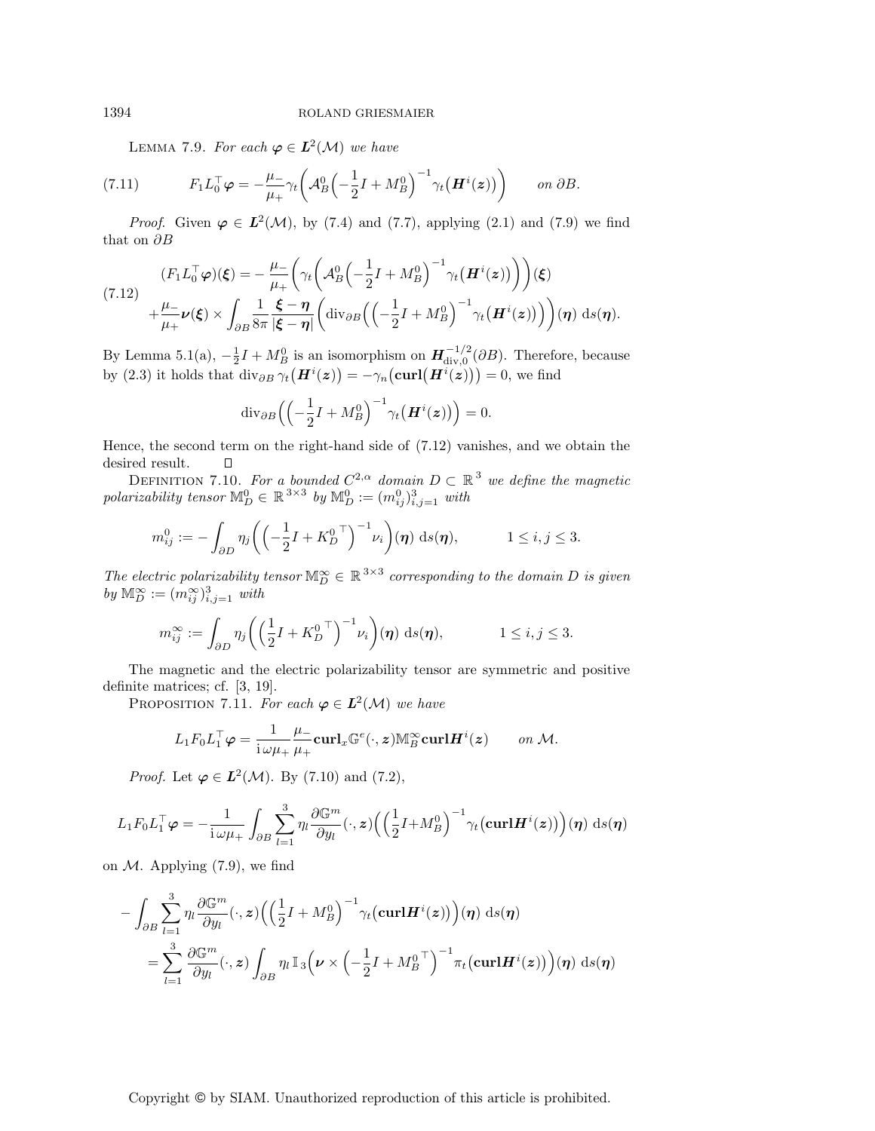LEMMA 7.9. For each  $\varphi \in L^2(\mathcal{M})$  we have

(7.11) 
$$
F_1 L_0^{\top} \varphi = -\frac{\mu_-}{\mu_+} \gamma_t \left( A_B^0 \left( -\frac{1}{2} I + M_B^0 \right)^{-1} \gamma_t \left( \boldsymbol{H}^i(\boldsymbol{z}) \right) \right) \qquad on \ \partial B.
$$

*Proof.* Given  $\varphi \in L^2(\mathcal{M})$ , by (7.4) and (7.7), applying (2.1) and (7.9) we find that on  $\partial B$ 

$$
(7.12) \quad (F_1 L_0^{\top} \varphi)(\boldsymbol{\xi}) = -\frac{\mu_{-}}{\mu_{+}} \bigg(\gamma_t \bigg(A_B^0 \bigg(-\frac{1}{2}I + M_B^0\bigg)^{-1} \gamma_t \big(\boldsymbol{H}^i(z)\bigg)\bigg)\bigg)(\boldsymbol{\xi}) + \frac{\mu_{-}}{\mu_{+}} \nu(\boldsymbol{\xi}) \times \int_{\partial B} \frac{1}{8\pi} \frac{\boldsymbol{\xi} - \boldsymbol{\eta}}{|\boldsymbol{\xi} - \boldsymbol{\eta}|} \bigg(\text{div}_{\partial B} \bigg(\bigg(-\frac{1}{2}I + M_B^0\bigg)^{-1} \gamma_t \big(\boldsymbol{H}^i(z)\bigg)\bigg)\bigg)(\boldsymbol{\eta}) \,ds(\boldsymbol{\eta}).
$$

By Lemma 5.1(a),  $-\frac{1}{2}I + M_B^0$  is an isomorphism on  $H_{div,0}^{-1/2}(\partial B)$ . Therefore, because by (2.3) it holds that  $\text{div}_{\partial B} \gamma_t \big( \boldsymbol{H}^i(\boldsymbol{z}) \big) = -\gamma_n \big( \text{curl} \big( \boldsymbol{H}^i(\boldsymbol{z}) \big) \big) = 0$ , we find

$$
\mathrm{div}_{\partial B}\Big(\Big(-\frac{1}{2}I + M_B^0\Big)^{-1}\gamma_t\big(\boldsymbol{H}^i(\boldsymbol{z})\big)\Big) = 0.
$$

Hence, the second term on the right-hand side of (7.12) vanishes, and we obtain the desired result.  $\Box$ 

DEFINITION 7.10. For a bounded  $C^{2,\alpha}$  domain  $D \subset \mathbb{R}^3$  we define the magnetic polarizability tensor  $\mathbb{M}_{D}^{0} \in \mathbb{R}^{3 \times 3}$  by  $\mathbb{M}_{D}^{0} := (m_{ij}^{0})_{i,j=1}^{3}$  with

$$
m_{ij}^0 := -\int_{\partial D} \eta_j \bigg( \Big( -\frac{1}{2} I + K_D^{0\; \top} \Big)^{-1} \nu_i \bigg) (\pmb{\eta}) \; \mathrm{d}s(\pmb{\eta}), \qquad 1 \le i, j \le 3.
$$

The electric polarizability tensor  $\mathbb{M}_{D}^{\infty} \in \mathbb{R}^{3 \times 3}$  corresponding to the domain D is given by  $\mathbb{M}_{D}^{\infty} := (m_{ij}^{\infty})_{i,j=1}^{3}$  with

$$
m_{ij}^{\infty} := \int_{\partial D} \eta_j \left( \left( \frac{1}{2} I + K_D^0 \right)^{-1} \nu_i \right) (\eta) \, \mathrm{d}s(\eta), \qquad 1 \le i, j \le 3.
$$

The magnetic and the electric polarizability tensor are symmetric and positive definite matrices; cf. [3, 19].

PROPOSITION 7.11. For each  $\varphi \in L^2(\mathcal{M})$  we have

$$
L_1 F_0 L_1^\top \varphi = \frac{1}{i \omega \mu_+} \frac{\mu_-}{\mu_+} \mathbf{curl}_x \mathbb{G}^e(\cdot, \mathbf{z}) \mathbb{M}_B^\infty \mathbf{curl} \mathbf{H}^i(\mathbf{z}) \qquad on \ \mathcal{M}.
$$

*Proof.* Let  $\varphi \in L^2(\mathcal{M})$ . By (7.10) and (7.2),

$$
L_1 F_0 L_1^\top \varphi = -\frac{1}{i \omega \mu_+} \int_{\partial B} \sum_{l=1}^3 \eta_l \frac{\partial \mathbb{G}^m}{\partial y_l} (\cdot, \mathbf{z}) \Big( \Big( \frac{1}{2} I + M_B^0 \Big)^{-1} \gamma_t \big( \mathbf{curl} \mathbf{H}^i(\mathbf{z}) \big) \Big) (\boldsymbol{\eta}) \, \mathrm{d}s(\boldsymbol{\eta})
$$

on  $M$ . Applying (7.9), we find

$$
- \int_{\partial B} \sum_{l=1}^{3} \eta_l \frac{\partial \mathbb{G}^m}{\partial y_l} (\cdot, \mathbf{z}) \Big( \Big( \frac{1}{2} I + M_B^0 \Big)^{-1} \gamma_t \big( \mathbf{curl} \mathbf{H}^i(\mathbf{z}) \big) \Big) (\eta) \, \mathrm{d}s(\eta)
$$
  
= 
$$
\sum_{l=1}^{3} \frac{\partial \mathbb{G}^m}{\partial y_l} (\cdot, \mathbf{z}) \int_{\partial B} \eta_l \, \mathbb{I}_3 \Big( \boldsymbol{\nu} \times \Big( -\frac{1}{2} I + M_B^0 \big)^{-1} \pi_t \big( \mathbf{curl} \mathbf{H}^i(\mathbf{z}) \big) \Big) (\eta) \, \mathrm{d}s(\eta)
$$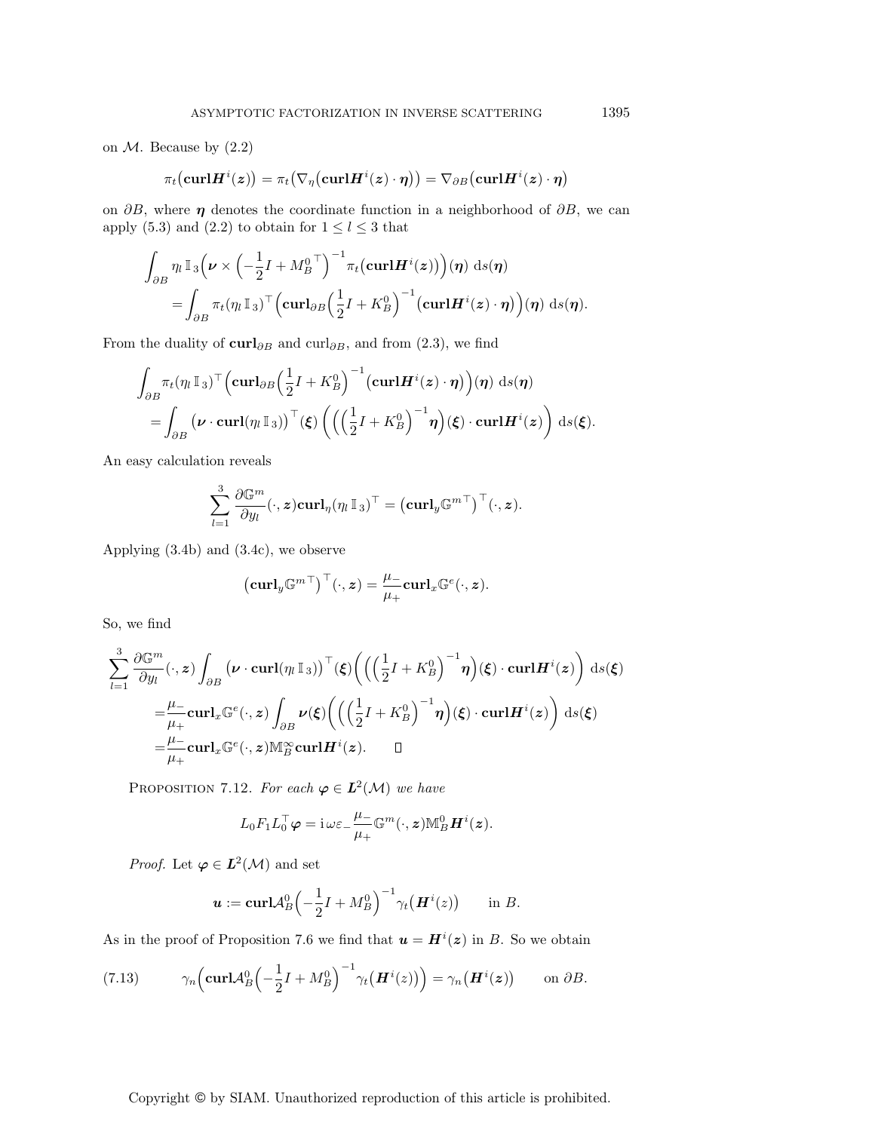on  $M$ . Because by  $(2.2)$ 

$$
\pi_t\bigl(\mathbf{curl}\boldsymbol{H}^i(\boldsymbol{z})\bigr)=\pi_t\bigl(\nabla_{\eta}\bigl(\mathbf{curl}\boldsymbol{H}^i(\boldsymbol{z})\cdot\boldsymbol{\eta}\bigr)\bigr)=\nabla_{\partial B}\bigl(\mathbf{curl}\boldsymbol{H}^i(\boldsymbol{z})\cdot\boldsymbol{\eta}\bigr)
$$

on  $\partial B$ , where  $\eta$  denotes the coordinate function in a neighborhood of  $\partial B$ , we can apply (5.3) and (2.2) to obtain for  $1 \le l \le 3$  that

$$
\int_{\partial B} \eta_l \mathbb{I}_3\Big(\nu \times \Big(-\frac{1}{2}I + M_B^{0\top}\Big)^{-1} \pi_t\big(\mathbf{curl} \mathbf{H}^i(\boldsymbol{z})\big)\Big)(\boldsymbol{\eta}) \, \mathrm{d}s(\boldsymbol{\eta})
$$
\n
$$
= \int_{\partial B} \pi_t(\eta_l \mathbb{I}_3)^\top \Big(\mathbf{curl}_{\partial B} \Big(\frac{1}{2}I + K_B^0\Big)^{-1} \big(\mathbf{curl} \mathbf{H}^i(\boldsymbol{z}) \cdot \boldsymbol{\eta}\big)\Big)(\boldsymbol{\eta}) \, \mathrm{d}s(\boldsymbol{\eta}).
$$

From the duality of  $\text{curl}_{\partial B}$  and  $\text{curl}_{\partial B}$ , and from (2.3), we find

$$
\int_{\partial B} \pi_t(\eta_l \mathbb{I}_3)^\top \Big( \mathbf{curl}_{\partial B} \Big( \frac{1}{2} I + K_B^0 \Big)^{-1} \big( \mathbf{curl} \mathbf{H}^i(\mathbf{z}) \cdot \boldsymbol{\eta} \big) \Big) (\boldsymbol{\eta}) \, \mathrm{d}s(\boldsymbol{\eta})
$$
  
= 
$$
\int_{\partial B} \big( \boldsymbol{\nu} \cdot \mathbf{curl}(\eta_l \mathbb{I}_3) \big)^\top (\boldsymbol{\xi}) \left( \Big( \Big( \frac{1}{2} I + K_B^0 \Big)^{-1} \boldsymbol{\eta} \Big) (\boldsymbol{\xi}) \cdot \mathbf{curl} \mathbf{H}^i(\mathbf{z}) \right) \, \mathrm{d}s(\boldsymbol{\xi}).
$$

An easy calculation reveals

$$
\sum_{l=1}^3 \frac{\partial \mathbb{G}^m}{\partial y_l}(\cdot, \boldsymbol{z})\mathbf{curl}_\eta (\eta_l \, \mathbb{I}_3)^\top = \big(\mathbf{curl}_y \mathbb{G}^{m\top}\big)^\top (\cdot, \boldsymbol{z}).
$$

Applying (3.4b) and (3.4c), we observe

$$
\left(\mathbf{curl}_y \mathbb{G}^{m\top}\right)^\top(\cdot,z) = \frac{\mu_-}{\mu_+} \mathbf{curl}_x \mathbb{G}^e(\cdot,z).
$$

So, we find

$$
\sum_{l=1}^{3} \frac{\partial \mathbb{G}^{m}}{\partial y_{l}}(\cdot, z) \int_{\partial B} (\nu \cdot \operatorname{curl}(\eta_{l} \mathbb{I}_{3}))^{\top}(\xi) \Big( \Big( \Big(\frac{1}{2}I + K_{B}^{0}\Big)^{-1} \eta \Big)(\xi) \cdot \operatorname{curl} \mathbf{H}^{i}(z) \Big) ds(\xi)
$$
  
\n
$$
= \frac{\mu_{-}}{\mu_{+}} \operatorname{curl}_{x} \mathbb{G}^{e}(\cdot, z) \int_{\partial B} \nu(\xi) \Big( \Big( \Big(\frac{1}{2}I + K_{B}^{0}\Big)^{-1} \eta \Big)(\xi) \cdot \operatorname{curl} \mathbf{H}^{i}(z) \Big) ds(\xi)
$$
  
\n
$$
= \frac{\mu_{-}}{\mu_{+}} \operatorname{curl}_{x} \mathbb{G}^{e}(\cdot, z) \mathbb{M}_{B}^{\infty} \operatorname{curl} \mathbf{H}^{i}(z). \qquad \Box
$$

PROPOSITION 7.12. For each  $\varphi \in L^2(\mathcal{M})$  we have

$$
L_0 F_1 L_0^{\top} \varphi = \mathrm{i} \,\omega \varepsilon_- \frac{\mu_-}{\mu_+} \mathbb{G}^m(\cdot, \boldsymbol{z}) \mathbb{M}_B^0 \boldsymbol{H}^i(\boldsymbol{z}).
$$

*Proof.* Let  $\varphi \in L^2(\mathcal{M})$  and set

$$
\boldsymbol{u} := \mathbf{curl} \mathcal{A}_B^0 \left(-\frac{1}{2}I + M_B^0\right)^{-1} \gamma_t(\boldsymbol{H}^i(z)) \quad \text{in } B.
$$

As in the proof of Proposition 7.6 we find that  $u = H^{i}(z)$  in B. So we obtain

(7.13) 
$$
\gamma_n\Big(\mathbf{curl}\mathcal{A}_B^0\Big(-\frac{1}{2}I+M_B^0\Big)^{-1}\gamma_t\big(\boldsymbol{H}^i(z)\big)\Big)=\gamma_n\big(\boldsymbol{H}^i(z)\big) \quad \text{on }\partial B.
$$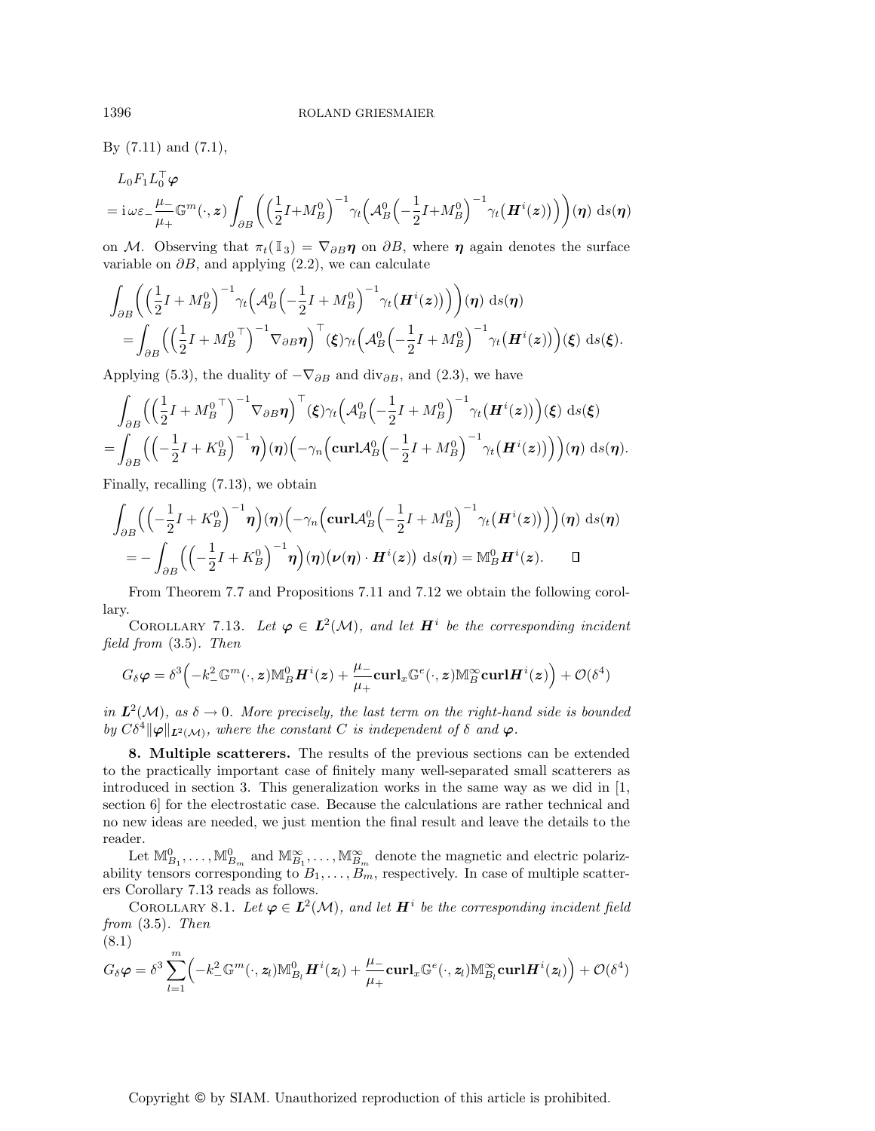By (7.11) and (7.1),

$$
L_0F_1L_0^{\dagger}\varphi
$$
  
=  $\mathrm{i}\omega\varepsilon_{-}\frac{\mu_{-}}{\mu_{+}}\mathbb{G}^m(\cdot,z)\int_{\partial B}\left(\left(\frac{1}{2}I+M_B^0\right)^{-1}\gamma_t\left(\mathcal{A}_B^0\left(-\frac{1}{2}I+M_B^0\right)^{-1}\gamma_t\left(\boldsymbol{H}^i(z)\right)\right)\right)(\boldsymbol{\eta})\,\mathrm{d}s(\boldsymbol{\eta})$ 

on M. Observing that  $\pi_t(\mathbb{I}_3) = \nabla_{\partial B} \eta$  on  $\partial B$ , where  $\eta$  again denotes the surface variable on  $\partial B$ , and applying (2.2), we can calculate

$$
\int_{\partial B} \left( \left( \frac{1}{2} I + M_B^0 \right)^{-1} \gamma_t \left( A_B^0 \left( -\frac{1}{2} I + M_B^0 \right)^{-1} \gamma_t \left( \boldsymbol{H}^i(z) \right) \right) \right) (\boldsymbol{\eta}) \, \mathrm{d}s(\boldsymbol{\eta})
$$
\n
$$
= \int_{\partial B} \left( \left( \frac{1}{2} I + M_B^0 \right)^{-1} \nabla_{\partial B} \boldsymbol{\eta} \right)^{\top} (\boldsymbol{\xi}) \gamma_t \left( A_B^0 \left( -\frac{1}{2} I + M_B^0 \right)^{-1} \gamma_t \left( \boldsymbol{H}^i(z) \right) \right) (\boldsymbol{\xi}) \, \mathrm{d}s(\boldsymbol{\xi}).
$$

Applying (5.3), the duality of  $-\nabla_{\partial B}$  and div<sub> $\partial B$ </sub>, and (2.3), we have

$$
\int_{\partial B} \left( \left( \frac{1}{2} I + M_B^0 \right)^{-1} \nabla_{\partial B} \eta \right)^{\top} (\xi) \gamma_t \left( A_B^0 \left( -\frac{1}{2} I + M_B^0 \right)^{-1} \gamma_t \left( \boldsymbol{H}^i(z) \right) \right) (\xi) \, \mathrm{d}s(\xi) \n= \int_{\partial B} \left( \left( -\frac{1}{2} I + K_B^0 \right)^{-1} \eta \right) (\eta) \left( -\gamma_n \left( \mathbf{curl} A_B^0 \left( -\frac{1}{2} I + M_B^0 \right)^{-1} \gamma_t \left( \boldsymbol{H}^i(z) \right) \right) \right) (\eta) \, \mathrm{d}s(\eta).
$$

Finally, recalling (7.13), we obtain

$$
\int_{\partial B} \Biggl( \Bigl( -\frac{1}{2}I + K_B^0 \Bigr)^{-1} \eta \Bigr) (\eta) \Bigl( -\gamma_n \Bigl( \operatorname{curl} \mathcal{A}_B^0 \Bigl( -\frac{1}{2}I + M_B^0 \Bigr)^{-1} \gamma_t \bigl( \boldsymbol{H}^i(\boldsymbol{z}) \bigr) \Bigr) (\eta) \, \mathrm{d}s(\eta) \n= - \int_{\partial B} \Bigl( \Bigl( -\frac{1}{2}I + K_B^0 \Bigr)^{-1} \eta \Bigr) (\eta) \bigl( \nu(\eta) \cdot \boldsymbol{H}^i(\boldsymbol{z}) \bigr) \, \mathrm{d}s(\eta) = \mathbb{M}_B^0 \boldsymbol{H}^i(\boldsymbol{z}). \qquad \Box
$$

From Theorem 7.7 and Propositions 7.11 and 7.12 we obtain the following corollary.

COROLLARY 7.13. Let  $\varphi \in L^2(\mathcal{M})$ , and let  $H^i$  be the corresponding incident field from (3.5). Then

$$
G_{\delta}\boldsymbol{\varphi}=\delta^3\Big(-k_{-}^2\mathbb{G}^m(\cdot,\boldsymbol{z})\mathbb{M}^0_B\boldsymbol{H}^i(\boldsymbol{z})+\frac{\mu_{-}}{\mu_{+}}\mathbf{curl}_x\mathbb{G}^e(\cdot,\boldsymbol{z})\mathbb{M}_B^\infty\mathbf{curl}\boldsymbol{H}^i(\boldsymbol{z})\Big)+\mathcal{O}(\delta^4)
$$

in  $L^2(\mathcal{M})$ , as  $\delta \to 0$ . More precisely, the last term on the right-hand side is bounded by  $C\delta^4 \|\varphi\|_{L^2(\mathcal{M})}$ , where the constant C is independent of  $\delta$  and  $\varphi$ .

**8. Multiple scatterers.** The results of the previous sections can be extended to the practically important case of finitely many well-separated small scatterers as introduced in section 3. This generalization works in the same way as we did in [1, section 6] for the electrostatic case. Because the calculations are rather technical and no new ideas are needed, we just mention the final result and leave the details to the reader.

Let  $\mathbb{M}_{B_1}^0, \ldots, \mathbb{M}_{B_m}^0$  and  $\mathbb{M}_{B_1}^{\infty}, \ldots, \mathbb{M}_{B_m}^{\infty}$  denote the magnetic and electric polarizability tensors corresponding to  $B_1, \ldots, B_m$ , respectively. In case of multiple scatterers Corollary 7.13 reads as follows.

COROLLARY 8.1. Let  $\varphi \in L^2(\mathcal{M})$ , and let  $H^i$  be the corresponding incident field from (3.5). Then (8.1)

$$
G_{\delta}\varphi = \delta^3 \sum_{l=1}^m \Bigl( -k_-^2 \mathbb{G}^m(\cdot, \mathbf{z}_l) \mathbb{M}_{B_l}^0 \boldsymbol{H}^i(\mathbf{z}_l) + \frac{\mu_-}{\mu_+} \mathbf{curl}_x \mathbb{G}^e(\cdot, \mathbf{z}_l) \mathbb{M}_{B_l}^\infty \mathbf{curl} \boldsymbol{H}^i(\mathbf{z}_l) \Bigr) + \mathcal{O}(\delta^4)
$$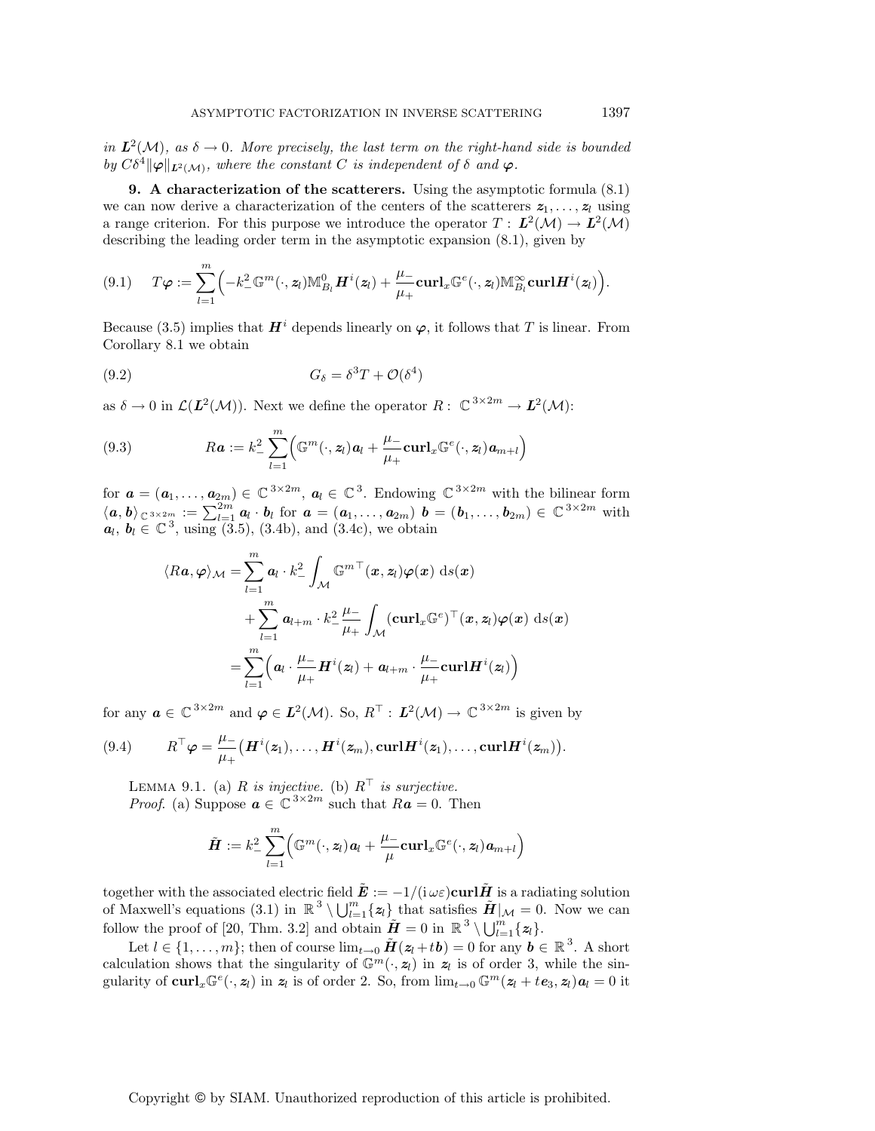in  $L^2(\mathcal{M})$ , as  $\delta \to 0$ . More precisely, the last term on the right-hand side is bounded by  $C\delta^4 ||\varphi||_{L^2(\mathcal{M})}$ , where the constant C is independent of  $\delta$  and  $\varphi$ .

**9. A characterization of the scatterers.** Using the asymptotic formula (8.1) we can now derive a characterization of the centers of the scatterers  $z_1, \ldots, z_l$  using a range criterion. For this purpose we introduce the operator  $T : L^2(\mathcal{M}) \to L^2(\mathcal{M})$ describing the leading order term in the asymptotic expansion (8.1), given by

$$
(9.1) \t T\varphi := \sum_{l=1}^m \Bigl(-k_-^2 \mathbb{G}^m(\cdot,z_l) \mathbb{M}_{B_l}^0 \boldsymbol{H}^i(z_l) + \frac{\mu_-}{\mu_+} \mathbf{curl}_x \mathbb{G}^e(\cdot,z_l) \mathbb{M}_{B_l}^\infty \mathbf{curl} \boldsymbol{H}^i(z_l)\Bigr).
$$

Because (3.5) implies that  $\mathbf{H}^i$  depends linearly on  $\varphi$ , it follows that T is linear. From Corollary 8.1 we obtain

$$
(9.2)\t\t\t G_{\delta} = \delta^3 T + \mathcal{O}(\delta^4)
$$

as  $\delta \to 0$  in  $\mathcal{L}(\mathbf{L}^2(\mathcal{M}))$ . Next we define the operator  $R: \mathbb{C}^{3 \times 2m} \to \mathbf{L}^2(\mathcal{M})$ :

(9.3) 
$$
Ra := k_{-}^{2} \sum_{l=1}^{m} \Big( \mathbb{G}^{m}(\cdot, z_{l}) a_{l} + \frac{\mu_{-}}{\mu_{+}} \mathbf{curl}_{x} \mathbb{G}^{e}(\cdot, z_{l}) a_{m+l} \Big)
$$

for  $\mathbf{a} = (\mathbf{a}_1, \dots, \mathbf{a}_{2m}) \in \mathbb{C}^{3 \times 2m}$ ,  $\mathbf{a}_l \in \mathbb{C}^3$ . Endowing  $\mathbb{C}^{3 \times 2m}$  with the bilinear form  $\langle a, b \rangle_{\mathbb{C}^{3 \times 2m}} := \sum_{l=1}^{2m} a_l \cdot b_l$  for  $a = (a_1, \ldots, a_{2m})$   $b = (b_1, \ldots, b_{2m}) \in \mathbb{C}^{3 \times 2m}$  with  $a_l, b_l \in \mathbb{C}^3$ , using (3.5), (3.4b), and (3.4c), we obtain

$$
\langle Ra, \varphi \rangle_{\mathcal{M}} = \sum_{l=1}^{m} a_{l} \cdot k_{-}^{2} \int_{\mathcal{M}} \mathbb{G}^{m} \(x, z_{l}) \varphi(x) \, ds(x)
$$
  
+ 
$$
\sum_{l=1}^{m} a_{l+m} \cdot k_{-}^{2} \frac{\mu_{-}}{\mu_{+}} \int_{\mathcal{M}} (\mathbf{curl}_{x} \mathbb{G}^{e}) \(x, z_{l}) \varphi(x) \, ds(x)
$$
  
= 
$$
\sum_{l=1}^{m} \left( a_{l} \cdot \frac{\mu_{-}}{\mu_{+}} \mathbf{H}^{i}(z_{l}) + a_{l+m} \cdot \frac{\mu_{-}}{\mu_{+}} \mathbf{curl} \mathbf{H}^{i}(z_{l}) \right)
$$

for any  $a \in \mathbb{C}^{3 \times 2m}$  and  $\varphi \in L^2(\mathcal{M})$ . So,  $R^{\top}: L^2(\mathcal{M}) \to \mathbb{C}^{3 \times 2m}$  is given by

(9.4) 
$$
R^{\mathsf{T}} \varphi = \frac{\mu_{-}}{\mu_{+}} \big(\boldsymbol{H}^{i}(z_{1}), \ldots, \boldsymbol{H}^{i}(z_{m}), \mathbf{curl}\boldsymbol{H}^{i}(z_{1}), \ldots, \mathbf{curl}\boldsymbol{H}^{i}(z_{m})\big).
$$

LEMMA 9.1. (a) R is injective. (b)  $R^{\top}$  is surjective. *Proof.* (a) Suppose  $\boldsymbol{a} \in \mathbb{C}^{3 \times 2m}$  such that  $R\boldsymbol{a} = 0$ . Then

$$
\tilde{\boldsymbol{H}} := k_-^2 \sum_{l=1}^m \Bigl( \mathbb{G}^m(\cdot,\boldsymbol{z}_l)\boldsymbol{a}_l + \frac{\mu_-}{\mu}\boldsymbol{\mathrm{curl}}_x \mathbb{G}^e(\cdot,\boldsymbol{z}_l)\boldsymbol{a}_{m+l} \Bigr)
$$

together with the associated electric field  $\mathbf{\vec{E}} := -1/(\mathrm{i} \omega \varepsilon) \mathbf{curl} \mathbf{\vec{H}}$  is a radiating solution of Maxwell's equations (3.1) in  $\mathbb{R}^3 \setminus \bigcup_{l=1}^m \{z_l\}$  that satisfies  $\tilde{H}|_{\mathcal{M}} = 0$ . Now we can follow the proof of [20, Thm. 3.2] and obtain  $\tilde{\boldsymbol{H}} = 0$  in  $\mathbb{R}^3 \setminus \bigcup_{l=1}^m \{z_l\}.$ 

Let  $l \in \{1,\ldots,m\}$ ; then of course  $\lim_{t\to 0} \tilde{H}(z_l + t\boldsymbol{b}) = 0$  for any  $\boldsymbol{b} \in \mathbb{R}^3$ . A short calculation shows that the singularity of  $\mathbb{G}^m(\cdot, z_l)$  in  $z_l$  is of order 3, while the singularity of  $\text{curl}_x \mathbb{G}^e(\cdot, z_l)$  in  $z_l$  is of order 2. So, from  $\lim_{t\to 0} \mathbb{G}^m(z_l + t e_3, z_l) a_l = 0$  it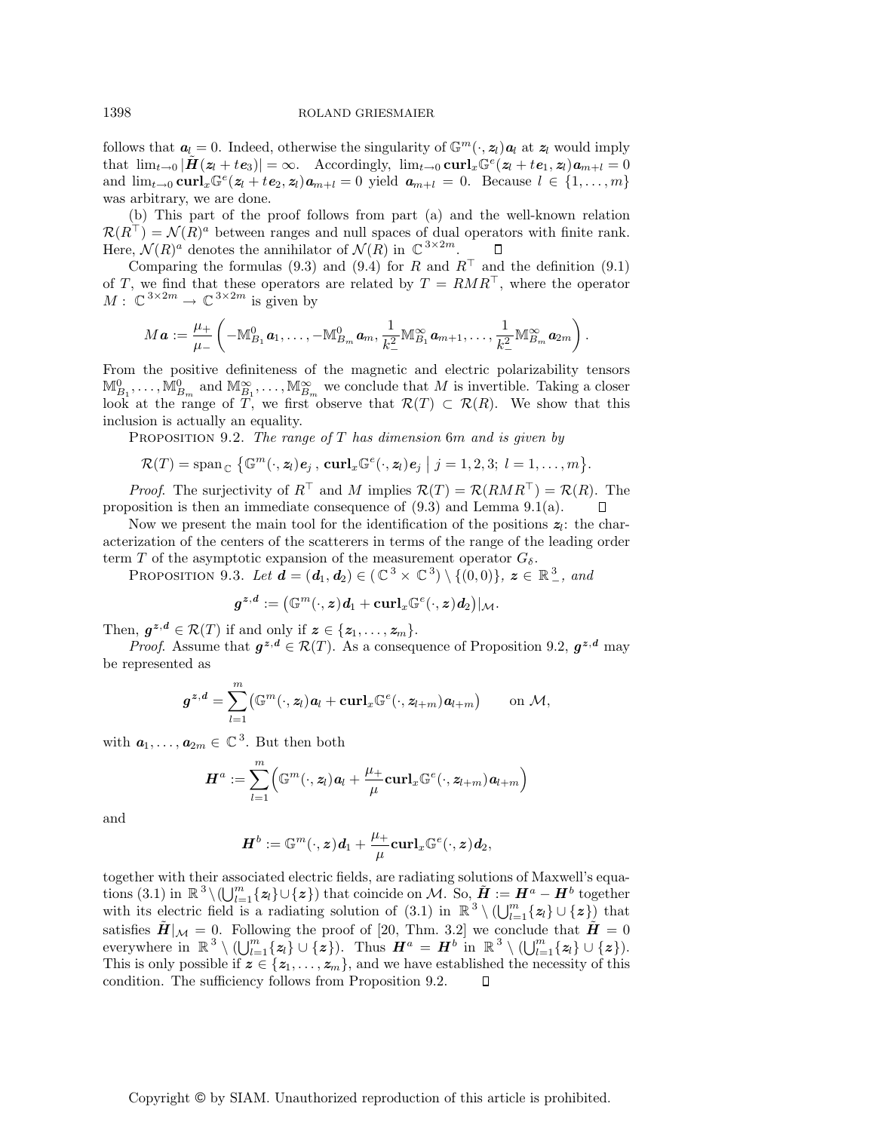follows that  $a_l = 0$ . Indeed, otherwise the singularity of  $\mathbb{G}^m(\cdot, z_l)a_l$  at  $z_l$  would imply that  $\lim_{t\to 0} |\tilde{H}(z_l + t e_3)| = \infty$ . Accordingly,  $\lim_{t\to 0} \mathbf{curl}_x \mathbb{G}^e(z_l + t e_1, z_l) a_{m+l} = 0$ and  $\lim_{t\to 0} \mathbf{curl}_x \mathbb{G}^e(z_l + t\mathbf{e}_2, z_l) \mathbf{a}_{m+l} = 0$  yield  $\mathbf{a}_{m+l} = 0$ . Because  $l \in \{1, \ldots, m\}$ was arbitrary, we are done.

(b) This part of the proof follows from part (a) and the well-known relation  $\mathcal{R}(R^{\perp}) = \mathcal{N}(R)^{a}$  between ranges and null spaces of dual operators with finite rank. Here,  $\mathcal{N}(R)^a$  denotes the annihilator of  $\mathcal{N}(R)$  in  $\mathbb{C}^{3 \times 2m}$ .

Comparing the formulas (9.3) and (9.4) for R and  $R^{\top}$  and the definition (9.1) of T, we find that these operators are related by  $T = RMR^{\top}$ , where the operator  $M: \mathbb{C}^{3 \times 2m} \to \mathbb{C}^{3 \times 2m}$  is given by

$$
M\boldsymbol{a} := \frac{\mu_+}{\mu_-} \left( -\mathbb{M}_{B_1}^0 \boldsymbol{a}_1, \ldots, -\mathbb{M}_{B_m}^0 \boldsymbol{a}_m, \frac{1}{k_-^2} \mathbb{M}_{B_1}^\infty \boldsymbol{a}_{m+1}, \ldots, \frac{1}{k_-^2} \mathbb{M}_{B_m}^\infty \boldsymbol{a}_{2m} \right).
$$

From the positive definiteness of the magnetic and electric polarizability tensors  $M_{B_1}^0, \ldots, M_{B_m}^0$  and  $M_{B_1}^{\infty}, \ldots, M_{B_m}^{\infty}$  we conclude that M is invertible. Taking a closer look at the range of T, we first observe that  $\mathcal{R}(T) \subset \mathcal{R}(R)$ . We show that this inclusion is actually an equality.

PROPOSITION 9.2. The range of  $T$  has dimension 6m and is given by

$$
\mathcal{R}(T) = \mathrm{span}_{\mathbb{C}} \left\{ \mathbb{G}^m(\cdot, \mathbf{z}_l) \mathbf{e}_j, \, \mathbf{curl}_x \mathbb{G}^e(\cdot, \mathbf{z}_l) \mathbf{e}_j \; \middle| \; j = 1, 2, 3; \; l = 1, \ldots, m \right\}.
$$

*Proof.* The surjectivity of  $R^{\top}$  and M implies  $\mathcal{R}(T) = \mathcal{R}(RMR^{\top}) = \mathcal{R}(R)$ . The proposition is then an immediate consequence of (9.3) and Lemma 9.1(a).  $\Box$ 

Now we present the main tool for the identification of the positions  $z_l$ : the characterization of the centers of the scatterers in terms of the range of the leading order term T of the asymptotic expansion of the measurement operator  $G_{\delta}$ .

PROPOSITION 9.3. Let  $\mathbf{d} = (\mathbf{d}_1, \mathbf{d}_2) \in (\mathbb{C}^3 \times \mathbb{C}^3) \setminus \{(0, 0)\}, \mathbf{z} \in \mathbb{R}^3_-,$  and

$$
\boldsymbol{g}^{\boldsymbol{z},\boldsymbol{d}}:=\big(\mathbb{G}^{m}(\cdot,\boldsymbol{z})\boldsymbol{d}_{1}+\mathbf{curl}_{x}\mathbb{G}^{e}(\cdot,\boldsymbol{z})\boldsymbol{d}_{2}\big)|_{\mathcal{M}}.
$$

Then,  $g^{z,d} \in \mathcal{R}(T)$  if and only if  $z \in \{z_1, \ldots, z_m\}$ .

*Proof.* Assume that  $g^{z,d} \in \mathcal{R}(T)$ . As a consequence of Proposition 9.2,  $g^{z,d}$  may be represented as

$$
\boldsymbol{g}^{\boldsymbol{z},\boldsymbol{d}}=\sum_{l=1}^m\bigl(\mathbb{G}^m(\cdot,\boldsymbol{z}_l)\boldsymbol{a}_l+\mathbf{curl}_x\mathbb{G}^e(\cdot,\boldsymbol{z}_{l+m})\boldsymbol{a}_{l+m}\bigr)\qquad\text{on }\mathcal{M},
$$

with  $a_1, \ldots, a_{2m} \in \mathbb{C}^3$ . But then both

$$
\displaystyle \boldsymbol{H}^{a}:=\sum_{l=1}^{m}\Bigl(\mathbb{G}^{m}(\cdot,\boldsymbol{z}_{l})\boldsymbol{a}_{l}+\frac{\mu_{+}}{\mu}\boldsymbol{\mathrm{curl}}_{x}\mathbb{G}^{e}(\cdot,\boldsymbol{z}_{l+m})\boldsymbol{a}_{l+m}\Bigr)
$$

and

$$
\boldsymbol{H}^b:=\mathbb{G}^m(\cdot,\boldsymbol{z})\boldsymbol{d}_1+\frac{\mu_+}{\mu}\boldsymbol{\mathrm{curl}}_x\mathbb{G}^e(\cdot,\boldsymbol{z})\boldsymbol{d}_2,
$$

together with their associated electric fields, are radiating solutions of Maxwell's equations (3.1) in  $\mathbb{R}^3 \setminus (\bigcup_{l=1}^m \{z_l\} \cup \{z\})$  that coincide on M. So,  $\tilde{H} := H^a - H^b$  together with its electric field is a radiating solution of  $(3.1)$  in  $\mathbb{R}^3 \setminus (\bigcup_{l=1}^m \{z_l\} \cup \{z\})$  that satisfies  $\tilde{H}|_{\mathcal{M}} = 0$ . Following the proof of [20, Thm. 3.2] we conclude that  $\tilde{H} = 0$ everywhere in  $\mathbb{R}^3 \setminus (\bigcup_{l=1}^m \{z_l\} \cup \{\mathbf{z}\})$ . Thus  $\mathbf{H}^a = \mathbf{H}^b$  in  $\mathbb{R}^3 \setminus (\bigcup_{l=1}^m \{z_l\} \cup \{\mathbf{z}\})$ . This is only possible if  $z \in \{z_1, \ldots, z_m\}$ , and we have established the necessity of this condition. The sufficiency follows from Proposition 9.2.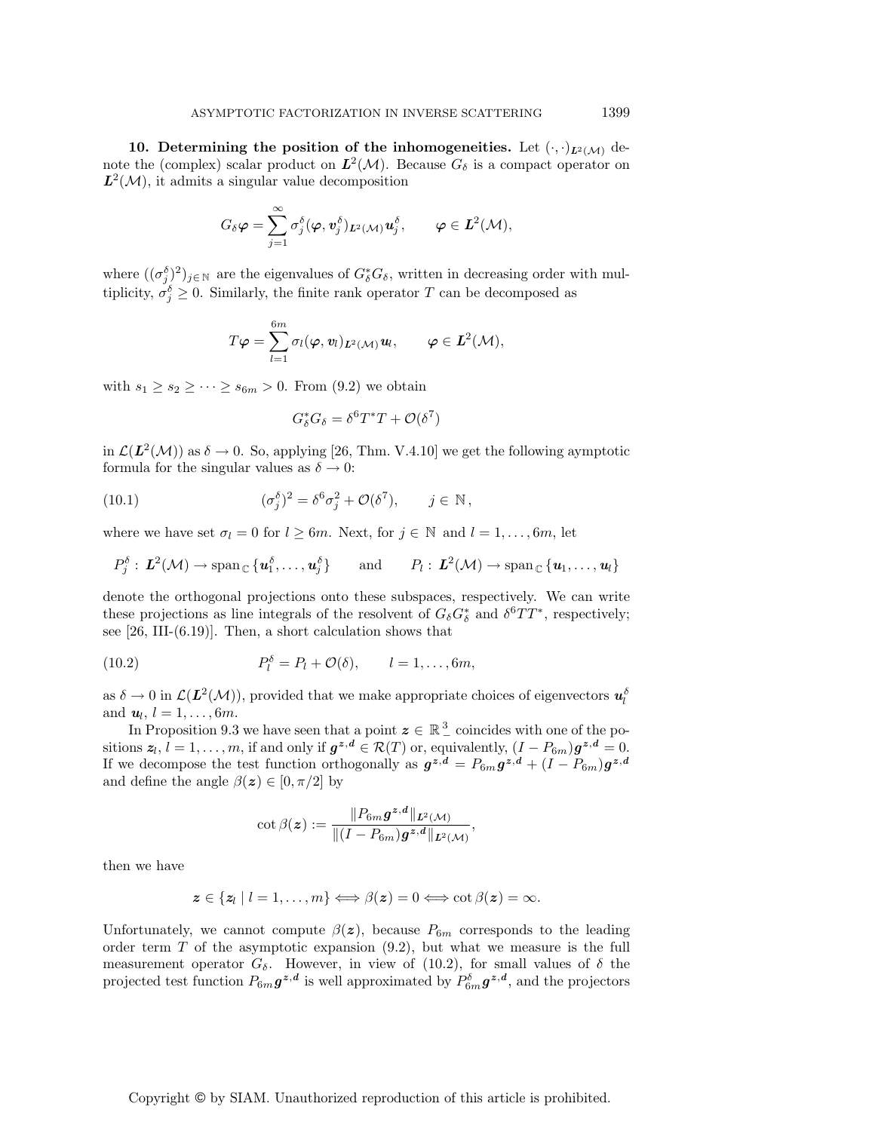**10. Determining the position of the inhomogeneities.** Let  $(\cdot, \cdot)_{L^2(\mathcal{M})}$  denote the (complex) scalar product on  $L^2(\mathcal{M})$ . Because  $G_\delta$  is a compact operator on  $L^2(\mathcal{M})$ , it admits a singular value decomposition

$$
G_\delta \bm \varphi = \sum_{j=1}^\infty \sigma_j^\delta(\bm \varphi, \bm v_j^\delta)_{\bm L^2(\mathcal{M})} \bm u_j^\delta, \qquad \bm \varphi \in \bm L^2(\mathcal{M}),
$$

where  $((\sigma_j^{\delta})^2)_{j\in\mathbb{N}}$  are the eigenvalues of  $G_{\delta}^*G_{\delta}$ , written in decreasing order with multiplicity,  $\sigma_j^{\delta} \geq 0$ . Similarly, the finite rank operator T can be decomposed as

$$
T\boldsymbol{\varphi} = \sum_{l=1}^{6m} \sigma_l(\boldsymbol{\varphi}, \boldsymbol{v}_l)_{\boldsymbol{L}^2(\mathcal{M})} \boldsymbol{u}_l, \qquad \boldsymbol{\varphi} \in \boldsymbol{L}^2(\mathcal{M}),
$$

with  $s_1 \geq s_2 \geq \cdots \geq s_{6m} > 0$ . From (9.2) we obtain

$$
G_{\delta}^* G_{\delta} = \delta^6 T^* T + \mathcal{O}(\delta^7)
$$

in  $\mathcal{L}(L^2(\mathcal{M}))$  as  $\delta \to 0$ . So, applying [26, Thm. V.4.10] we get the following aymptotic formula for the singular values as  $\delta \rightarrow 0$ :

(10.1) 
$$
(\sigma_j^{\delta})^2 = \delta^6 \sigma_j^2 + \mathcal{O}(\delta^7), \qquad j \in \mathbb{N},
$$

where we have set  $\sigma_l = 0$  for  $l \geq 6m$ . Next, for  $j \in \mathbb{N}$  and  $l = 1, \ldots, 6m$ , let

$$
P_j^{\delta}: \mathbf{L}^2(\mathcal{M}) \to \mathrm{span}_{\mathbb{C}}\{\mathbf{u}_1^{\delta}, \ldots, \mathbf{u}_j^{\delta}\} \quad \text{and} \quad P_l: \mathbf{L}^2(\mathcal{M}) \to \mathrm{span}_{\mathbb{C}}\{\mathbf{u}_1, \ldots, \mathbf{u}_l\}
$$

denote the orthogonal projections onto these subspaces, respectively. We can write these projections as line integrals of the resolvent of  $G_{\delta}G_{\delta}^*$  and  $\delta^6TT^*$ , respectively; see  $[26, III-(6.19)]$ . Then, a short calculation shows that

(10.2) 
$$
P_l^{\delta} = P_l + \mathcal{O}(\delta), \qquad l = 1, \ldots, 6m,
$$

as  $\delta \to 0$  in  $\mathcal{L}(\mathbf{L}^2(\mathcal{M}))$ , provided that we make appropriate choices of eigenvectors  $\mathbf{u}_l^{\delta}$ and  $u_l$ ,  $l = 1, \ldots, 6m$ .

In Proposition 9.3 we have seen that a point  $z \in \mathbb{R}^3$  coincides with one of the positions  $z_l$ ,  $l = 1, \ldots, m$ , if and only if  $g^{z,d} \in \mathcal{R}(T)$  or, equivalently,  $(I - P_{6m})g^{z,d} = 0$ . If we decompose the test function orthogonally as  $g^{z,d} = P_{6m}g^{z,d} + (I - P_{6m})g^{z,d}$ and define the angle  $\beta(z) \in [0, \pi/2]$  by

$$
\cot\beta(\boldsymbol{z}) := \frac{\|P_{6m}\boldsymbol{g}^{\boldsymbol{z},\boldsymbol{d}}\|_{\boldsymbol{L}^2(\mathcal{M})}}{\|(I-P_{6m})\boldsymbol{g}^{\boldsymbol{z},\boldsymbol{d}}\|_{\boldsymbol{L}^2(\mathcal{M})}},
$$

then we have

$$
\mathbf{z} \in \{\mathbf{z}_l \mid l=1,\ldots,m\} \Longleftrightarrow \beta(\mathbf{z}) = 0 \Longleftrightarrow \cot \beta(\mathbf{z}) = \infty.
$$

Unfortunately, we cannot compute  $\beta(z)$ , because  $P_{6m}$  corresponds to the leading order term  $T$  of the asymptotic expansion  $(9.2)$ , but what we measure is the full measurement operator  $G_{\delta}$ . However, in view of (10.2), for small values of  $\delta$  the projected test function  $P_{6m}g^{z,d}$  is well approximated by  $P_{6m}^{\delta}g^{z,d}$ , and the projectors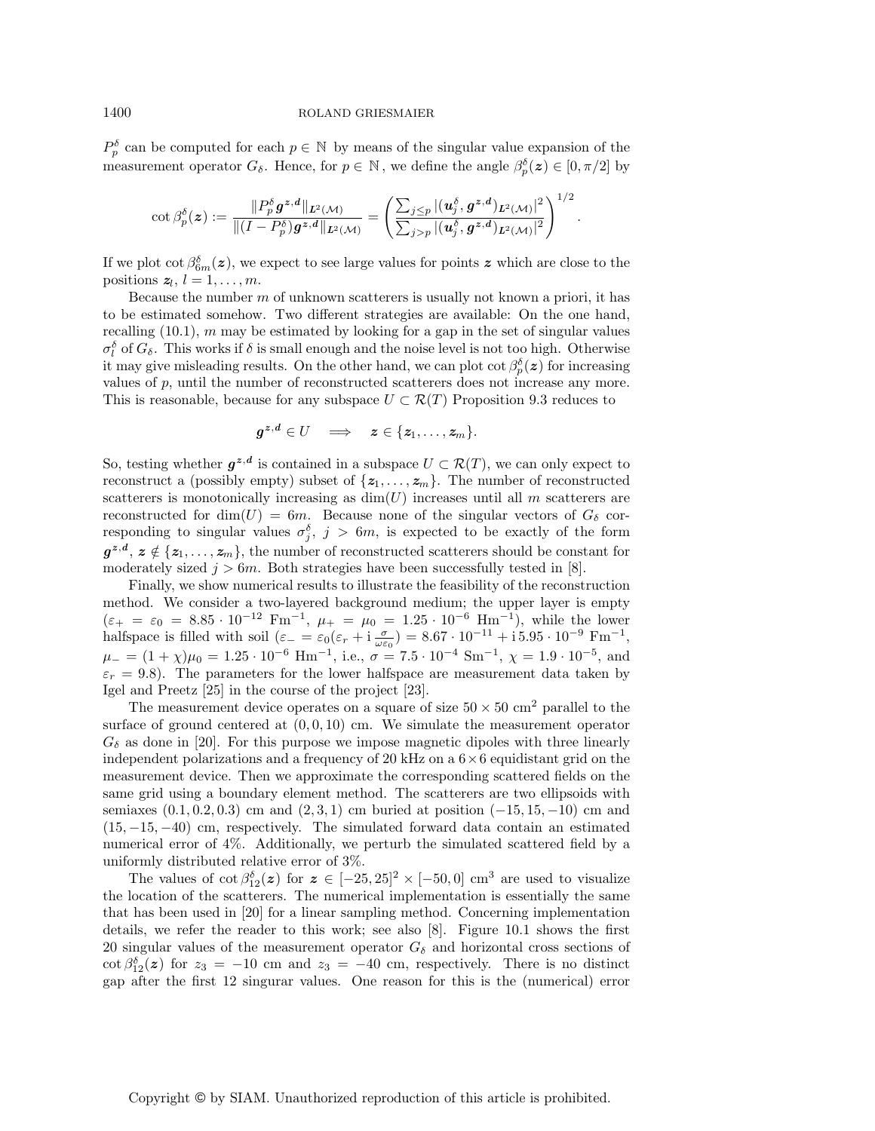$P_p^{\delta}$  can be computed for each  $p \in \mathbb{N}$  by means of the singular value expansion of the measurement operator  $G_{\delta}$ . Hence, for  $p \in \mathbb{N}$ , we define the angle  $\beta_p^{\delta}(z) \in [0, \pi/2]$  by

$$
\cot\beta_p^{\delta}(\boldsymbol{z}):=\frac{\|P_p^{\delta}\boldsymbol{g}^{\boldsymbol{z},\boldsymbol{d}}\|_{\boldsymbol{L}^2(\mathcal{M})}}{\|(I-P_p^{\delta})\boldsymbol{g}^{\boldsymbol{z},\boldsymbol{d}}\|_{\boldsymbol{L}^2(\mathcal{M})}}=\left(\frac{\sum_{j\leq p}|(\boldsymbol{u}^{\delta}_j,\boldsymbol{g}^{\boldsymbol{z},\boldsymbol{d}})_{\boldsymbol{L}^2(\mathcal{M})}|^2}{\sum_{j>p}|(\boldsymbol{u}^{\delta}_j,\boldsymbol{g}^{\boldsymbol{z},\boldsymbol{d}})_{\boldsymbol{L}^2(\mathcal{M})}|^2}\right)^{1/2}.
$$

If we plot  $\cot \beta_{6m}^{\delta}(z)$ , we expect to see large values for points  $z$  which are close to the positions  $z_l$ ,  $l = 1, \ldots, m$ .

Because the number  $m$  of unknown scatterers is usually not known a priori, it has to be estimated somehow. Two different strategies are available: On the one hand, recalling  $(10.1)$ , m may be estimated by looking for a gap in the set of singular values  $\sigma_l^{\delta}$  of  $G_{\delta}$ . This works if  $\delta$  is small enough and the noise level is not too high. Otherwise it may give misleading results. On the other hand, we can plot  $\cot \beta_p^{\delta}(z)$  for increasing values of  $p$ , until the number of reconstructed scatterers does not increase any more. This is reasonable, because for any subspace  $U \subset \mathcal{R}(T)$  Proposition 9.3 reduces to

$$
g^{z,d} \in U \quad \Longrightarrow \quad z \in \{z_1,\ldots,z_m\}.
$$

So, testing whether  $g^{z,d}$  is contained in a subspace  $U \subset \mathcal{R}(T)$ , we can only expect to reconstruct a (possibly empty) subset of  $\{z_1, \ldots, z_m\}$ . The number of reconstructed scatterers is monotonically increasing as  $\dim(U)$  increases until all m scatterers are reconstructed for dim(U) = 6m. Because none of the singular vectors of  $G_{\delta}$  corresponding to singular values  $\sigma_j^{\delta}$ ,  $j > 6m$ , is expected to be exactly of the form  $g^{z,d}, z \notin \{z_1,\ldots,z_m\}$ , the number of reconstructed scatterers should be constant for moderately sized  $j > 6m$ . Both strategies have been successfully tested in [8].

Finally, we show numerical results to illustrate the feasibility of the reconstruction method. We consider a two-layered background medium; the upper layer is empty  $(\varepsilon_+ = \varepsilon_0 = 8.85 \cdot 10^{-12} \text{ Fm}^{-1}, \ \mu_+ = \mu_0 = 1.25 \cdot 10^{-6} \text{ Hm}^{-1}$ , while the lower halfspace is filled with soil  $(\varepsilon_{-} = \varepsilon_0(\varepsilon_r + i \frac{\sigma}{\omega \varepsilon_0}) = 8.67 \cdot 10^{-11} + i 5.95 \cdot 10^{-9}$  Fm<sup>-1</sup>,  $\mu_- = (1 + \chi)\mu_0 = 1.25 \cdot 10^{-6}$  Hm<sup>-1</sup>, i.e.,  $\sigma = 7.5 \cdot 10^{-4}$  Sm<sup>-1</sup>,  $\chi = 1.9 \cdot 10^{-5}$ , and  $\varepsilon_r = 9.8$ ). The parameters for the lower halfspace are measurement data taken by Igel and Preetz [25] in the course of the project [23].

The measurement device operates on a square of size  $50 \times 50 \text{ cm}^2$  parallel to the surface of ground centered at  $(0, 0, 10)$  cm. We simulate the measurement operator  $G_{\delta}$  as done in [20]. For this purpose we impose magnetic dipoles with three linearly independent polarizations and a frequency of 20 kHz on a  $6 \times 6$  equidistant grid on the measurement device. Then we approximate the corresponding scattered fields on the same grid using a boundary element method. The scatterers are two ellipsoids with semiaxes  $(0.1, 0.2, 0.3)$  cm and  $(2, 3, 1)$  cm buried at position  $(-15, 15, -10)$  cm and (15, −15, −40) cm, respectively. The simulated forward data contain an estimated numerical error of 4%. Additionally, we perturb the simulated scattered field by a uniformly distributed relative error of 3%.

The values of  $\cot \beta_{12}^{\delta}(z)$  for  $z \in [-25, 25]^2 \times [-50, 0]$  cm<sup>3</sup> are used to visualize the location of the scatterers. The numerical implementation is essentially the same that has been used in [20] for a linear sampling method. Concerning implementation details, we refer the reader to this work; see also [8]. Figure 10.1 shows the first 20 singular values of the measurement operator  $G_{\delta}$  and horizontal cross sections of  $\cot \beta_{12}^{\delta}(z)$  for  $z_3 = -10$  cm and  $z_3 = -40$  cm, respectively. There is no distinct gap after the first 12 singurar values. One reason for this is the (numerical) error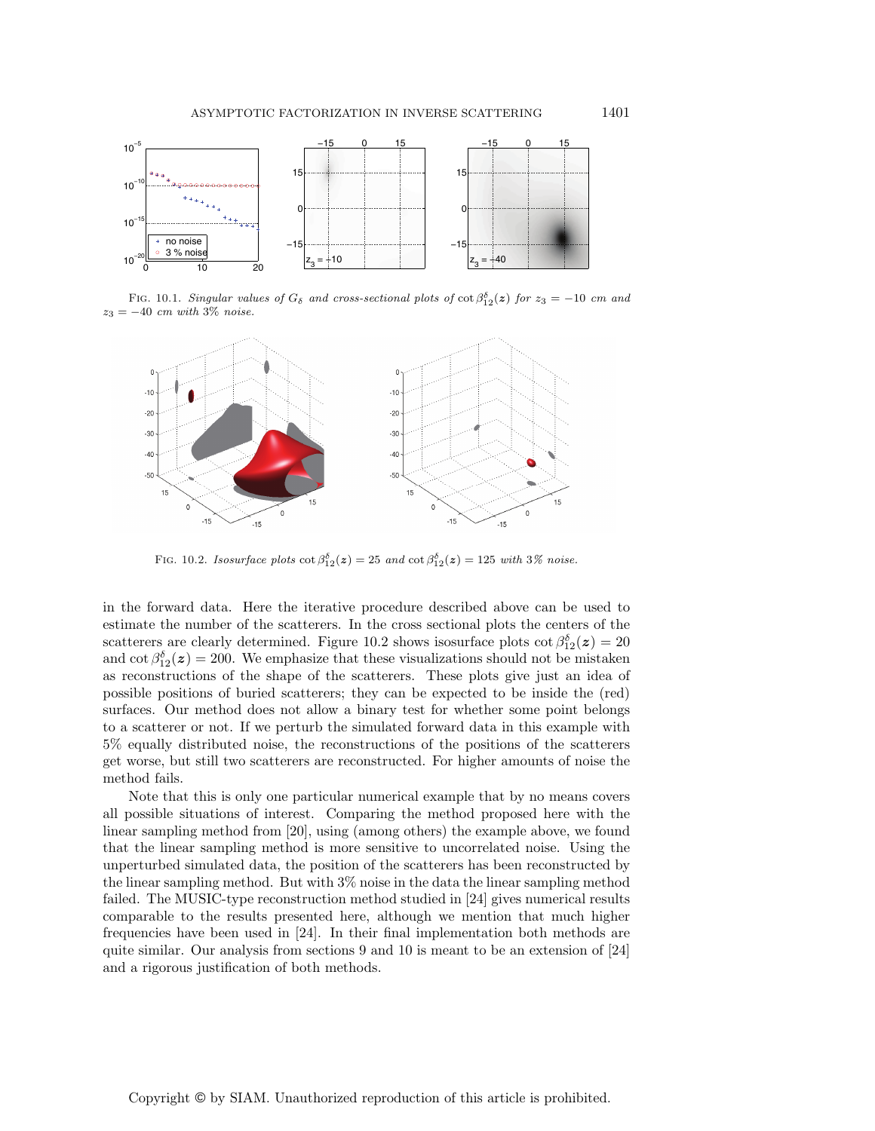

FIG. 10.1. Singular values of  $G_{\delta}$  and cross-sectional plots of  $\cot \beta_{12}^{\delta}(z)$  for  $z_3 = -10$  cm and  $z_3 = -40$  cm with 3% noise.



FIG. 10.2. Isosurface plots  $\cot \beta_{12}^{\delta}(z) = 25$  and  $\cot \beta_{12}^{\delta}(z) = 125$  with  $3\%$  noise.

in the forward data. Here the iterative procedure described above can be used to estimate the number of the scatterers. In the cross sectional plots the centers of the scatterers are clearly determined. Figure 10.2 shows isosurface plots  $\cot \beta_{12}^{\delta}(z) = 20$ and  $\cot \beta_{12}^{\delta}(z) = 200$ . We emphasize that these visualizations should not be mistaken as reconstructions of the shape of the scatterers. These plots give just an idea of possible positions of buried scatterers; they can be expected to be inside the (red) surfaces. Our method does not allow a binary test for whether some point belongs to a scatterer or not. If we perturb the simulated forward data in this example with 5% equally distributed noise, the reconstructions of the positions of the scatterers get worse, but still two scatterers are reconstructed. For higher amounts of noise the method fails.

Note that this is only one particular numerical example that by no means covers all possible situations of interest. Comparing the method proposed here with the linear sampling method from [20], using (among others) the example above, we found that the linear sampling method is more sensitive to uncorrelated noise. Using the unperturbed simulated data, the position of the scatterers has been reconstructed by the linear sampling method. But with 3% noise in the data the linear sampling method failed. The MUSIC-type reconstruction method studied in [24] gives numerical results comparable to the results presented here, although we mention that much higher frequencies have been used in [24]. In their final implementation both methods are quite similar. Our analysis from sections 9 and 10 is meant to be an extension of [24] and a rigorous justification of both methods.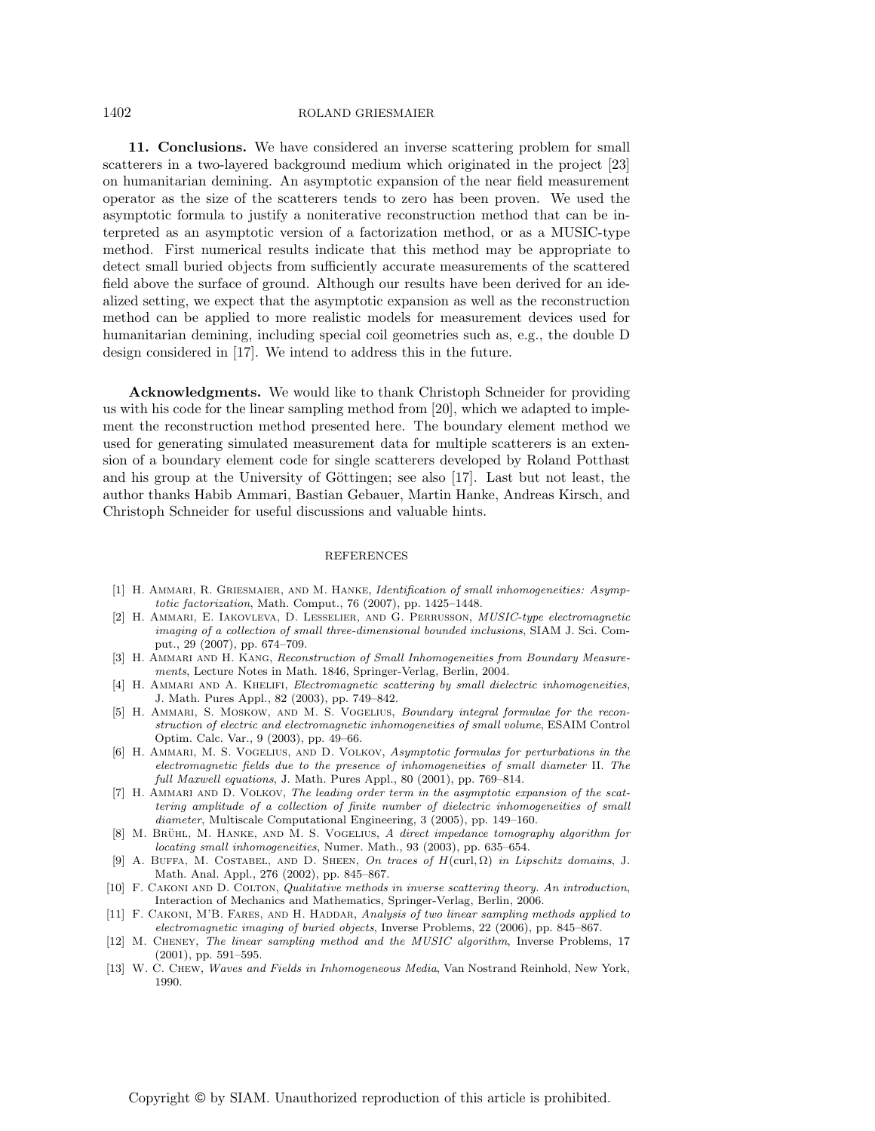#### 1402 ROLAND GRIESMAIER

**11. Conclusions.** We have considered an inverse scattering problem for small scatterers in a two-layered background medium which originated in the project [23] on humanitarian demining. An asymptotic expansion of the near field measurement operator as the size of the scatterers tends to zero has been proven. We used the asymptotic formula to justify a noniterative reconstruction method that can be interpreted as an asymptotic version of a factorization method, or as a MUSIC-type method. First numerical results indicate that this method may be appropriate to detect small buried objects from sufficiently accurate measurements of the scattered field above the surface of ground. Although our results have been derived for an idealized setting, we expect that the asymptotic expansion as well as the reconstruction method can be applied to more realistic models for measurement devices used for humanitarian demining, including special coil geometries such as, e.g., the double D design considered in [17]. We intend to address this in the future.

**Acknowledgments.** We would like to thank Christoph Schneider for providing us with his code for the linear sampling method from [20], which we adapted to implement the reconstruction method presented here. The boundary element method we used for generating simulated measurement data for multiple scatterers is an extension of a boundary element code for single scatterers developed by Roland Potthast and his group at the University of Göttingen; see also  $[17]$ . Last but not least, the author thanks Habib Ammari, Bastian Gebauer, Martin Hanke, Andreas Kirsch, and Christoph Schneider for useful discussions and valuable hints.

### **REFERENCES**

- [1] H. AMMARI, R. GRIESMAIER, AND M. HANKE, *Identification of small inhomogeneities: Asymp*totic factorization, Math. Comput., 76 (2007), pp. 1425–1448.
- [2] H. Ammari, E. Iakovleva, D. Lesselier, and G. Perrusson, MUSIC-type electromagnetic imaging of a collection of small three-dimensional bounded inclusions, SIAM J. Sci. Comput., 29 (2007), pp. 674–709.
- [3] H. AMMARI AND H. KANG, Reconstruction of Small Inhomogeneities from Boundary Measurements, Lecture Notes in Math. 1846, Springer-Verlag, Berlin, 2004.
- [4] H. AMMARI AND A. KHELIFI, Electromagnetic scattering by small dielectric inhomogeneities, J. Math. Pures Appl., 82 (2003), pp. 749–842.
- [5] H. AMMARI, S. MOSKOW, AND M. S. VOGELIUS, Boundary integral formulae for the reconstruction of electric and electromagnetic inhomogeneities of small volume, ESAIM Control Optim. Calc. Var., 9 (2003), pp. 49–66.
- [6] H. AMMARI, M. S. VOGELIUS, AND D. VOLKOV, Asymptotic formulas for perturbations in the electromagnetic fields due to the presence of inhomogeneities of small diameter II. The full Maxwell equations, J. Math. Pures Appl., 80 (2001), pp. 769–814.
- [7] H. AMMARI AND D. VOLKOV, The leading order term in the asymptotic expansion of the scattering amplitude of a collection of finite number of dielectric inhomogeneities of small diameter, Multiscale Computational Engineering, 3 (2005), pp. 149–160.
- [8] M. BRÜHL, M. HANKE, AND M. S. VOGELIUS, A direct impedance tomography algorithm for locating small inhomogeneities, Numer. Math., 93 (2003), pp. 635–654.
- [9] A. BUFFA, M. COSTABEL, AND D. SHEEN, On traces of  $H(\text{curl}, \Omega)$  in Lipschitz domains, J. Math. Anal. Appl., 276 (2002), pp. 845–867.
- [10] F. CAKONI AND D. COLTON, Qualitative methods in inverse scattering theory. An introduction, Interaction of Mechanics and Mathematics, Springer-Verlag, Berlin, 2006.
- [11] F. CAKONI, M'B. FARES, AND H. HADDAR, Analysis of two linear sampling methods applied to electromagnetic imaging of buried objects, Inverse Problems, 22 (2006), pp. 845–867.
- [12] M. Cheney, The linear sampling method and the MUSIC algorithm, Inverse Problems, 17 (2001), pp. 591–595.
- [13] W. C. Chew, Waves and Fields in Inhomogeneous Media, Van Nostrand Reinhold, New York, 1990.